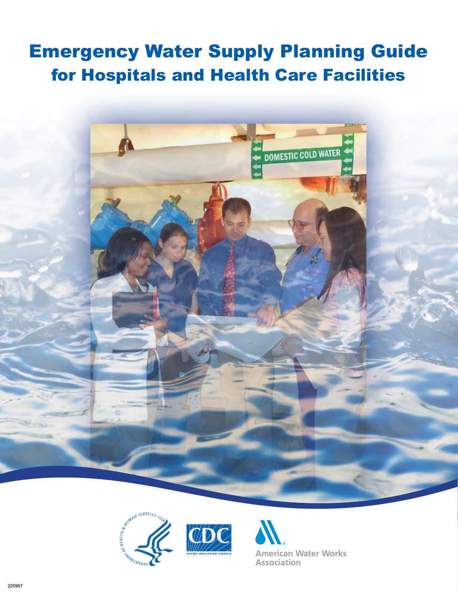# Emergency Water Supply Planning Guide for Hospitals and Health Care Facilities







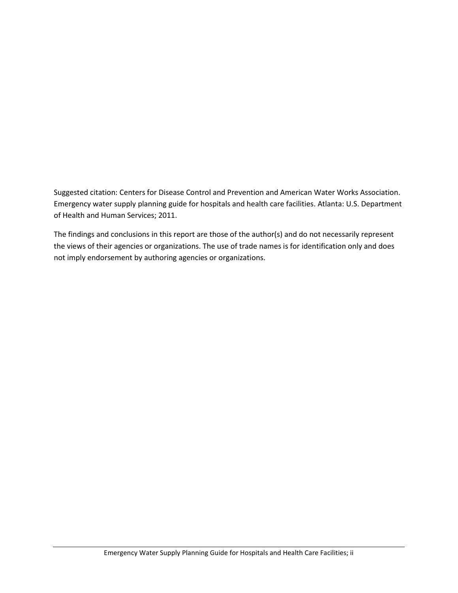Suggested citation: Centers for Disease Control and Prevention and American Water Works Association. Emergency water supply planning guide for hospitals and health care facilities. Atlanta: U.S. Department of Health and Human Services; 2011.

The findings and conclusions in this report are those of the author(s) and do not necessarily represent the views of their agencies or organizations. The use of trade names is for identification only and does not imply endorsement by authoring agencies or organizations.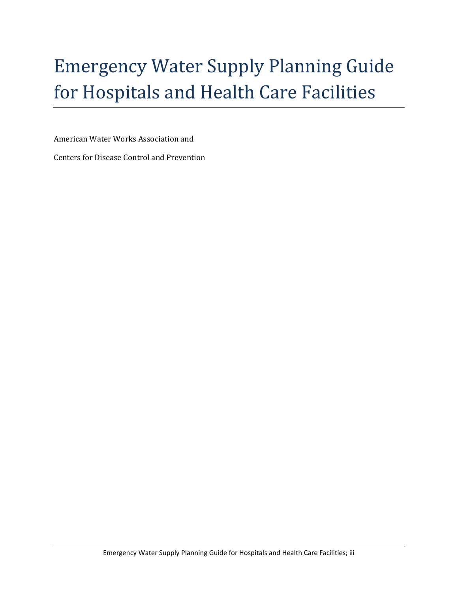# Emergency Water Supply Planning Guide for Hospitals and Health Care Facilities

American Water Works Association and

Centers for Disease Control and Prevention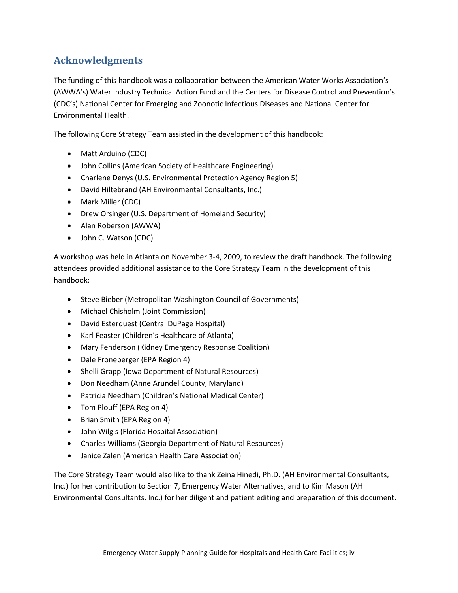## **Acknowledgments**

The funding of this handbook was a collaboration between the American Water Works Association's (AWWA's) Water Industry Technical Action Fund and the Centers for Disease Control and Prevention's (CDC's) National Center for Emerging and Zoonotic Infectious Diseases and National Center for Environmental Health.

The following Core Strategy Team assisted in the development of this handbook:

- Matt Arduino (CDC)
- John Collins (American Society of Healthcare Engineering)
- Charlene Denys (U.S. Environmental Protection Agency Region 5)
- David Hiltebrand (AH Environmental Consultants, Inc.)
- Mark Miller (CDC)
- Drew Orsinger (U.S. Department of Homeland Security)
- Alan Roberson (AWWA)
- John C. Watson (CDC)

A workshop was held in Atlanta on November 3-4, 2009, to review the draft handbook. The following attendees provided additional assistance to the Core Strategy Team in the development of this handbook:

- Steve Bieber (Metropolitan Washington Council of Governments)
- Michael Chisholm (Joint Commission)
- David Esterquest (Central DuPage Hospital)
- Karl Feaster (Children's Healthcare of Atlanta)
- Mary Fenderson (Kidney Emergency Response Coalition)
- Dale Froneberger (EPA Region 4)
- Shelli Grapp (Iowa Department of Natural Resources)
- Don Needham (Anne Arundel County, Maryland)
- Patricia Needham (Children's National Medical Center)
- Tom Plouff (EPA Region 4)
- Brian Smith (EPA Region 4)
- John Wilgis (Florida Hospital Association)
- Charles Williams (Georgia Department of Natural Resources)
- Janice Zalen (American Health Care Association)

The Core Strategy Team would also like to thank Zeina Hinedi, Ph.D. (AH Environmental Consultants, Inc.) for her contribution to Section 7, Emergency Water Alternatives, and to Kim Mason (AH Environmental Consultants, Inc.) for her diligent and patient editing and preparation of this document.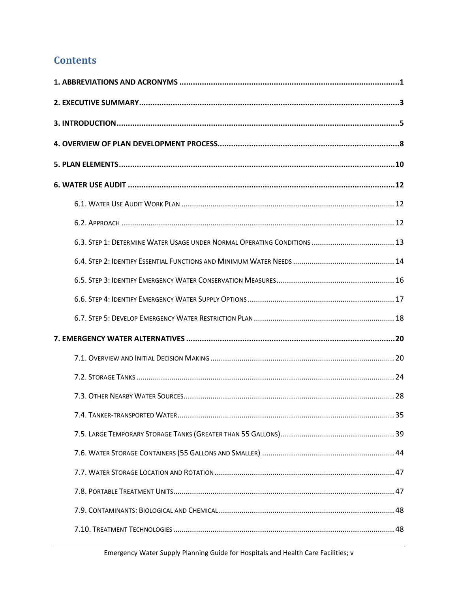## **Contents**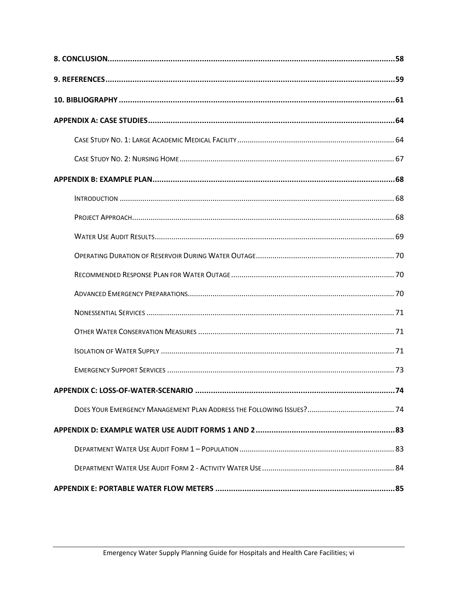| APPENDIX C: LOSS-OF-WATER-SCENARIO ……………………………………………………………………………………74 |
|-----------------------------------------------------------------------|
|                                                                       |
|                                                                       |
|                                                                       |
|                                                                       |
|                                                                       |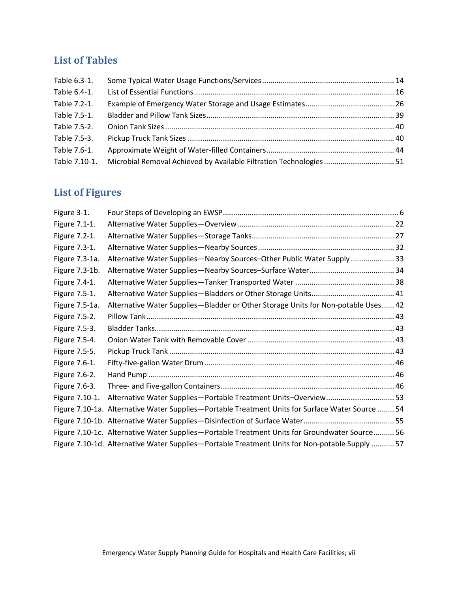# **List of Tables**

| Table 6.3-1.  |                                                                     |  |
|---------------|---------------------------------------------------------------------|--|
| Table 6.4-1.  |                                                                     |  |
| Table 7.2-1.  |                                                                     |  |
| Table 7.5-1.  |                                                                     |  |
| Table 7.5-2.  |                                                                     |  |
| Table 7.5-3.  |                                                                     |  |
| Table 7.6-1.  |                                                                     |  |
| Table 7.10-1. | Microbial Removal Achieved by Available Filtration Technologies  51 |  |

# **List of Figures**

| Figure 3-1.    |                                                                                                  |
|----------------|--------------------------------------------------------------------------------------------------|
| Figure 7.1-1.  |                                                                                                  |
| Figure 7.2-1.  |                                                                                                  |
| Figure 7.3-1.  |                                                                                                  |
| Figure 7.3-1a. | Alternative Water Supplies-Nearby Sources-Other Public Water Supply  33                          |
| Figure 7.3-1b. |                                                                                                  |
| Figure 7.4-1.  |                                                                                                  |
| Figure 7.5-1.  |                                                                                                  |
| Figure 7.5-1a. | Alternative Water Supplies-Bladder or Other Storage Units for Non-potable Uses 42                |
| Figure 7.5-2.  |                                                                                                  |
| Figure 7.5-3.  |                                                                                                  |
| Figure 7.5-4.  |                                                                                                  |
| Figure 7.5-5.  |                                                                                                  |
| Figure 7.6-1.  |                                                                                                  |
| Figure 7.6-2.  |                                                                                                  |
| Figure 7.6-3.  |                                                                                                  |
| Figure 7.10-1. | Alternative Water Supplies-Portable Treatment Units-Overview 53                                  |
|                | Figure 7.10-1a. Alternative Water Supplies-Portable Treatment Units for Surface Water Source  54 |
|                |                                                                                                  |
|                | Figure 7.10-1c. Alternative Water Supplies-Portable Treatment Units for Groundwater Source 56    |
|                | Figure 7.10-1d. Alternative Water Supplies-Portable Treatment Units for Non-potable Supply  57   |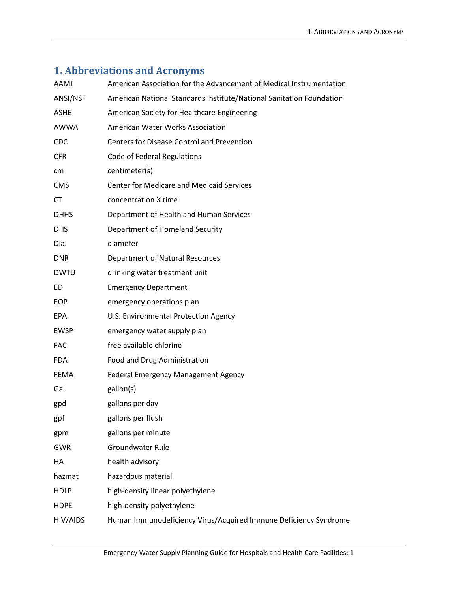# <span id="page-8-0"></span>**1. Abbreviations and Acronyms**

| AAMI        | American Association for the Advancement of Medical Instrumentation  |  |  |  |
|-------------|----------------------------------------------------------------------|--|--|--|
| ANSI/NSF    | American National Standards Institute/National Sanitation Foundation |  |  |  |
| <b>ASHE</b> | American Society for Healthcare Engineering                          |  |  |  |
| <b>AWWA</b> | American Water Works Association                                     |  |  |  |
| <b>CDC</b>  | <b>Centers for Disease Control and Prevention</b>                    |  |  |  |
| <b>CFR</b>  | Code of Federal Regulations                                          |  |  |  |
| cm          | centimeter(s)                                                        |  |  |  |
| <b>CMS</b>  | <b>Center for Medicare and Medicaid Services</b>                     |  |  |  |
| <b>CT</b>   | concentration X time                                                 |  |  |  |
| <b>DHHS</b> | Department of Health and Human Services                              |  |  |  |
| <b>DHS</b>  | Department of Homeland Security                                      |  |  |  |
| Dia.        | diameter                                                             |  |  |  |
| <b>DNR</b>  | Department of Natural Resources                                      |  |  |  |
| <b>DWTU</b> | drinking water treatment unit                                        |  |  |  |
| ED          | <b>Emergency Department</b>                                          |  |  |  |
| <b>EOP</b>  | emergency operations plan                                            |  |  |  |
| <b>EPA</b>  | U.S. Environmental Protection Agency                                 |  |  |  |
| <b>EWSP</b> | emergency water supply plan                                          |  |  |  |
| <b>FAC</b>  | free available chlorine                                              |  |  |  |
| <b>FDA</b>  | Food and Drug Administration                                         |  |  |  |
| FEMA        | <b>Federal Emergency Management Agency</b>                           |  |  |  |
| Gal.        | gallon(s)                                                            |  |  |  |
| gpd         | gallons per day                                                      |  |  |  |
| gpf         | gallons per flush                                                    |  |  |  |
| gpm         | gallons per minute                                                   |  |  |  |
| <b>GWR</b>  | <b>Groundwater Rule</b>                                              |  |  |  |
| НA          | health advisory                                                      |  |  |  |
| hazmat      | hazardous material                                                   |  |  |  |
| <b>HDLP</b> | high-density linear polyethylene                                     |  |  |  |
| <b>HDPE</b> | high-density polyethylene                                            |  |  |  |
| HIV/AIDS    | Human Immunodeficiency Virus/Acquired Immune Deficiency Syndrome     |  |  |  |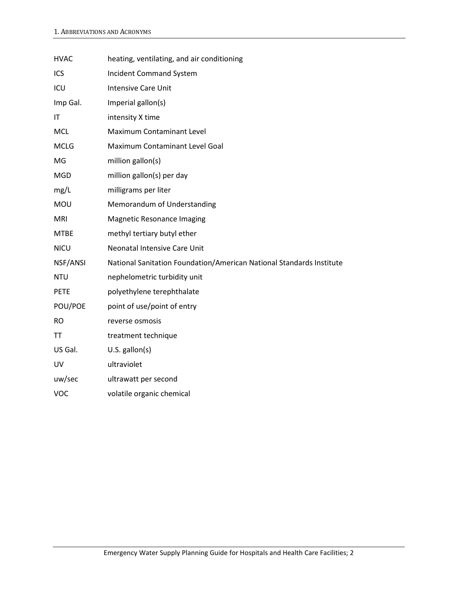| <b>HVAC</b> | heating, ventilating, and air conditioning                           |
|-------------|----------------------------------------------------------------------|
| ICS         | <b>Incident Command System</b>                                       |
| ICU         | <b>Intensive Care Unit</b>                                           |
| Imp Gal.    | Imperial gallon(s)                                                   |
| IT          | intensity X time                                                     |
| <b>MCL</b>  | Maximum Contaminant Level                                            |
| <b>MCLG</b> | Maximum Contaminant Level Goal                                       |
| MG          | million gallon(s)                                                    |
| <b>MGD</b>  | million gallon(s) per day                                            |
| mg/L        | milligrams per liter                                                 |
| MOU         | Memorandum of Understanding                                          |
| <b>MRI</b>  | <b>Magnetic Resonance Imaging</b>                                    |
| <b>MTBE</b> | methyl tertiary butyl ether                                          |
| <b>NICU</b> | <b>Neonatal Intensive Care Unit</b>                                  |
| NSF/ANSI    | National Sanitation Foundation/American National Standards Institute |
| <b>NTU</b>  | nephelometric turbidity unit                                         |
| <b>PETE</b> | polyethylene terephthalate                                           |
| POU/POE     | point of use/point of entry                                          |
| <b>RO</b>   | reverse osmosis                                                      |
| <b>TT</b>   | treatment technique                                                  |
| US Gal.     | $U.S.$ gallon(s)                                                     |
| UV          | ultraviolet                                                          |
| uw/sec      | ultrawatt per second                                                 |
| <b>VOC</b>  | volatile organic chemical                                            |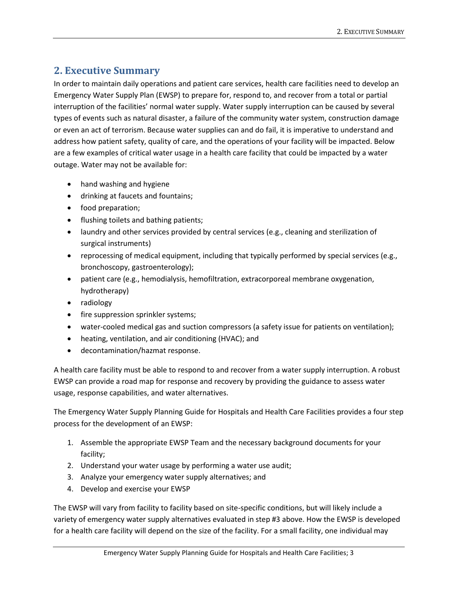## <span id="page-10-0"></span>**2. Executive Summary**

In order to maintain daily operations and patient care services, health care facilities need to develop an Emergency Water Supply Plan (EWSP) to prepare for, respond to, and recover from a total or partial interruption of the facilities' normal water supply. Water supply interruption can be caused by several types of events such as natural disaster, a failure of the community water system, construction damage or even an act of terrorism. Because water supplies can and do fail, it is imperative to understand and address how patient safety, quality of care, and the operations of your facility will be impacted. Below are a few examples of critical water usage in a health care facility that could be impacted by a water outage. Water may not be available for:

- hand washing and hygiene
- drinking at faucets and fountains;
- food preparation;
- flushing toilets and bathing patients;
- laundry and other services provided by central services (e.g., cleaning and sterilization of surgical instruments)
- reprocessing of medical equipment, including that typically performed by special services (e.g., bronchoscopy, gastroenterology);
- patient care (e.g., hemodialysis, hemofiltration, extracorporeal membrane oxygenation, hydrotherapy)
- radiology
- fire suppression sprinkler systems;
- water-cooled medical gas and suction compressors (a safety issue for patients on ventilation);
- heating, ventilation, and air conditioning (HVAC); and
- decontamination/hazmat response.

A health care facility must be able to respond to and recover from a water supply interruption. A robust EWSP can provide a road map for response and recovery by providing the guidance to assess water usage, response capabilities, and water alternatives.

The Emergency Water Supply Planning Guide for Hospitals and Health Care Facilities provides a four step process for the development of an EWSP:

- 1. Assemble the appropriate EWSP Team and the necessary background documents for your facility;
- 2. Understand your water usage by performing a water use audit;
- 3. Analyze your emergency water supply alternatives; and
- 4. Develop and exercise your EWSP

The EWSP will vary from facility to facility based on site-specific conditions, but will likely include a variety of emergency water supply alternatives evaluated in step #3 above. How the EWSP is developed for a health care facility will depend on the size of the facility. For a small facility, one individual may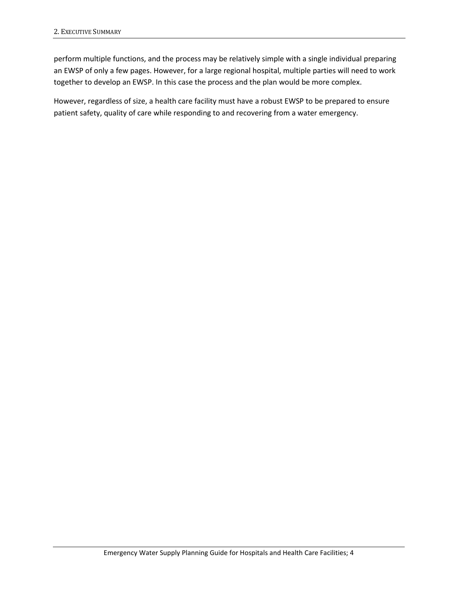perform multiple functions, and the process may be relatively simple with a single individual preparing an EWSP of only a few pages. However, for a large regional hospital, multiple parties will need to work together to develop an EWSP. In this case the process and the plan would be more complex.

However, regardless of size, a health care facility must have a robust EWSP to be prepared to ensure patient safety, quality of care while responding to and recovering from a water emergency.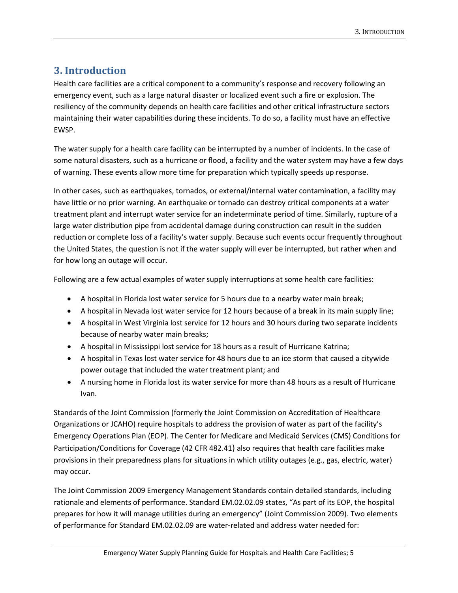## <span id="page-12-0"></span>**3. Introduction**

Health care facilities are a critical component to a community's response and recovery following an emergency event, such as a large natural disaster or localized event such a fire or explosion. The resiliency of the community depends on health care facilities and other critical infrastructure sectors maintaining their water capabilities during these incidents. To do so, a facility must have an effective EWSP.

The water supply for a health care facility can be interrupted by a number of incidents. In the case of some natural disasters, such as a hurricane or flood, a facility and the water system may have a few days of warning. These events allow more time for preparation which typically speeds up response.

In other cases, such as earthquakes, tornados, or external/internal water contamination, a facility may have little or no prior warning. An earthquake or tornado can destroy critical components at a water treatment plant and interrupt water service for an indeterminate period of time. Similarly, rupture of a large water distribution pipe from accidental damage during construction can result in the sudden reduction or complete loss of a facility's water supply. Because such events occur frequently throughout the United States, the question is not if the water supply will ever be interrupted, but rather when and for how long an outage will occur.

Following are a few actual examples of water supply interruptions at some health care facilities:

- A hospital in Florida lost water service for 5 hours due to a nearby water main break;
- A hospital in Nevada lost water service for 12 hours because of a break in its main supply line;
- A hospital in West Virginia lost service for 12 hours and 30 hours during two separate incidents because of nearby water main breaks;
- A hospital in Mississippi lost service for 18 hours as a result of Hurricane Katrina;
- A hospital in Texas lost water service for 48 hours due to an ice storm that caused a citywide power outage that included the water treatment plant; and
- A nursing home in Florida lost its water service for more than 48 hours as a result of Hurricane Ivan.

Standards of the Joint Commission (formerly the Joint Commission on Accreditation of Healthcare Organizations or JCAHO) require hospitals to address the provision of water as part of the facility's Emergency Operations Plan (EOP). The Center for Medicare and Medicaid Services (CMS) Conditions for Participation/Conditions for Coverage (42 CFR 482.41) also requires that health care facilities make provisions in their preparedness plans for situations in which utility outages (e.g., gas, electric, water) may occur.

The Joint Commission 2009 Emergency Management Standards contain detailed standards, including rationale and elements of performance. Standard EM.02.02.09 states, "As part of its EOP, the hospital prepares for how it will manage utilities during an emergency" (Joint Commission 2009). Two elements of performance for Standard EM.02.02.09 are water-related and address water needed for: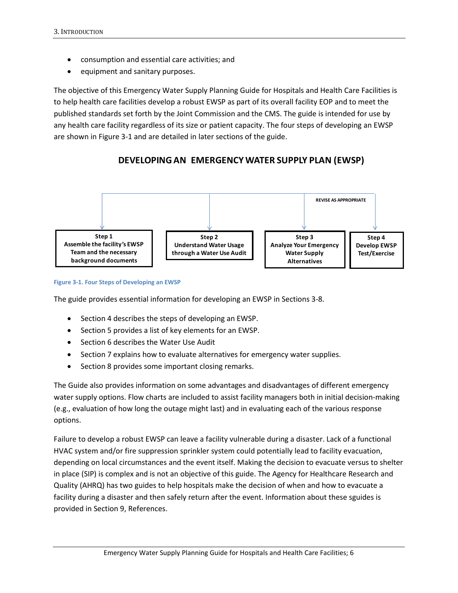- consumption and essential care activities; and
- equipment and sanitary purposes.

The objective of this Emergency Water Supply Planning Guide for Hospitals and Health Care Facilities is to help health care facilities develop a robust EWSP as part of its overall facility EOP and to meet the published standards set forth by the Joint Commission and the CMS. The guide is intended for use by any health care facility regardless of its size or patient capacity. The four steps of developing an EWSP are shown in Figure 3-1 and are detailed in later sections of the guide.

## **DEVELOPING AN EMERGENCY WATER SUPPLY PLAN (EWSP)**





The guide provides essential information for developing an EWSP in Sections 3-8.

- Section 4 describes the steps of developing an EWSP.
- Section 5 provides a list of key elements for an EWSP.
- Section 6 describes the Water Use Audit
- Section 7 explains how to evaluate alternatives for emergency water supplies.
- Section 8 provides some important closing remarks.

The Guide also provides information on some advantages and disadvantages of different emergency water supply options. Flow charts are included to assist facility managers both in initial decision-making (e.g., evaluation of how long the outage might last) and in evaluating each of the various response options.

Failure to develop a robust EWSP can leave a facility vulnerable during a disaster. Lack of a functional HVAC system and/or fire suppression sprinkler system could potentially lead to facility evacuation, depending on local circumstances and the event itself. Making the decision to evacuate versus to shelter in place (SIP) is complex and is not an objective of this guide. The Agency for Healthcare Research and Quality (AHRQ) has two guides to help hospitals make the decision of when and how to evacuate a facility during a disaster and then safely return after the event. Information about these sguides is provided in Section 9, References.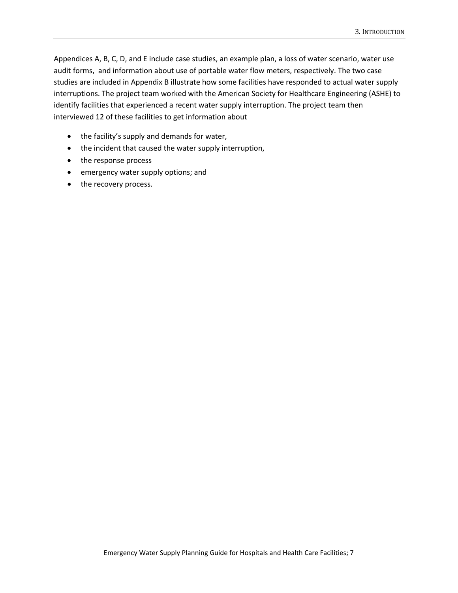Appendices A, B, C, D, and E include case studies, an example plan, a loss of water scenario, water use audit forms, and information about use of portable water flow meters, respectively. The two case studies are included in Appendix B illustrate how some facilities have responded to actual water supply interruptions. The project team worked with the American Society for Healthcare Engineering (ASHE) to identify facilities that experienced a recent water supply interruption. The project team then interviewed 12 of these facilities to get information about

- the facility's supply and demands for water,
- the incident that caused the water supply interruption,
- the response process
- emergency water supply options; and
- the recovery process.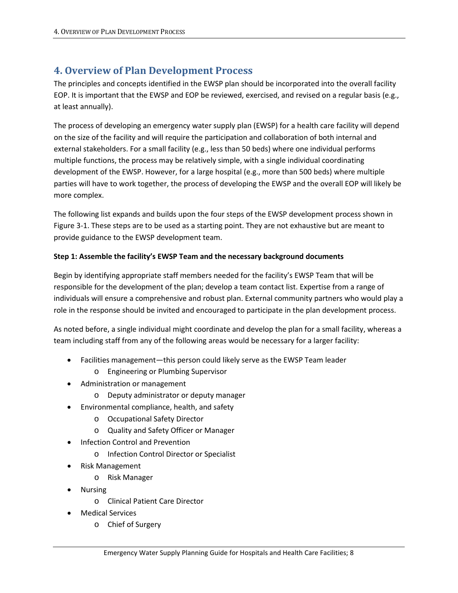## <span id="page-15-0"></span>**4. Overview of Plan Development Process**

The principles and concepts identified in the EWSP plan should be incorporated into the overall facility EOP. It is important that the EWSP and EOP be reviewed, exercised, and revised on a regular basis (e.g., at least annually).

The process of developing an emergency water supply plan (EWSP) for a health care facility will depend on the size of the facility and will require the participation and collaboration of both internal and external stakeholders. For a small facility (e.g., less than 50 beds) where one individual performs multiple functions, the process may be relatively simple, with a single individual coordinating development of the EWSP. However, for a large hospital (e.g., more than 500 beds) where multiple parties will have to work together, the process of developing the EWSP and the overall EOP will likely be more complex.

The following list expands and builds upon the four steps of the EWSP development process shown in Figure 3-1. These steps are to be used as a starting point. They are not exhaustive but are meant to provide guidance to the EWSP development team.

#### **Step 1: Assemble the facility's EWSP Team and the necessary background documents**

Begin by identifying appropriate staff members needed for the facility's EWSP Team that will be responsible for the development of the plan; develop a team contact list. Expertise from a range of individuals will ensure a comprehensive and robust plan. External community partners who would play a role in the response should be invited and encouraged to participate in the plan development process.

As noted before, a single individual might coordinate and develop the plan for a small facility, whereas a team including staff from any of the following areas would be necessary for a larger facility:

- Facilities management—this person could likely serve as the EWSP Team leader
	- o Engineering or Plumbing Supervisor
- Administration or management
	- o Deputy administrator or deputy manager
- Environmental compliance, health, and safety
	- o Occupational Safety Director
	- o Quality and Safety Officer or Manager
- Infection Control and Prevention
	- o Infection Control Director or Specialist
- Risk Management
	- o Risk Manager
- Nursing
	- o Clinical Patient Care Director
- Medical Services
	- o Chief of Surgery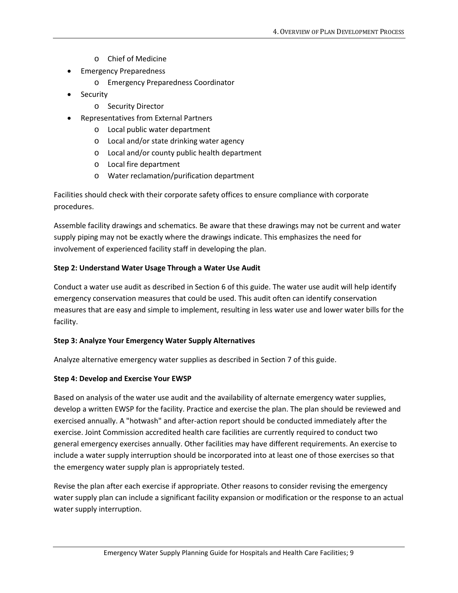- o Chief of Medicine
- Emergency Preparedness
	- o Emergency Preparedness Coordinator
- Security
	- o Security Director
- Representatives from External Partners
	- o Local public water department
	- o Local and/or state drinking water agency
	- o Local and/or county public health department
	- o Local fire department
	- o Water reclamation/purification department

Facilities should check with their corporate safety offices to ensure compliance with corporate procedures.

Assemble facility drawings and schematics. Be aware that these drawings may not be current and water supply piping may not be exactly where the drawings indicate. This emphasizes the need for involvement of experienced facility staff in developing the plan.

#### **Step 2: Understand Water Usage Through a Water Use Audit**

Conduct a water use audit as described in Section 6 of this guide. The water use audit will help identify emergency conservation measures that could be used. This audit often can identify conservation measures that are easy and simple to implement, resulting in less water use and lower water bills for the facility.

#### **Step 3: Analyze Your Emergency Water Supply Alternatives**

Analyze alternative emergency water supplies as described in Section 7 of this guide.

#### **Step 4: Develop and Exercise Your EWSP**

Based on analysis of the water use audit and the availability of alternate emergency water supplies, develop a written EWSP for the facility. Practice and exercise the plan. The plan should be reviewed and exercised annually. A "hotwash" and after-action report should be conducted immediately after the exercise. Joint Commission accredited health care facilities are currently required to conduct two general emergency exercises annually. Other facilities may have different requirements. An exercise to include a water supply interruption should be incorporated into at least one of those exercises so that the emergency water supply plan is appropriately tested.

Revise the plan after each exercise if appropriate. Other reasons to consider revising the emergency water supply plan can include a significant facility expansion or modification or the response to an actual water supply interruption.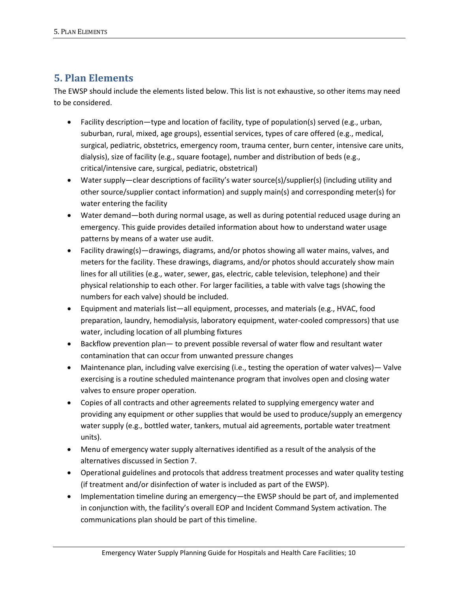## <span id="page-17-0"></span>**5. Plan Elements**

The EWSP should include the elements listed below. This list is not exhaustive, so other items may need to be considered.

- Facility description—type and location of facility, type of population(s) served (e.g., urban, suburban, rural, mixed, age groups), essential services, types of care offered (e.g., medical, surgical, pediatric, obstetrics, emergency room, trauma center, burn center, intensive care units, dialysis), size of facility (e.g., square footage), number and distribution of beds (e.g., critical/intensive care, surgical, pediatric, obstetrical)
- Water supply—clear descriptions of facility's water source(s)/supplier(s) (including utility and other source/supplier contact information) and supply main(s) and corresponding meter(s) for water entering the facility
- Water demand—both during normal usage, as well as during potential reduced usage during an emergency. This guide provides detailed information about how to understand water usage patterns by means of a water use audit.
- Facility drawing(s)—drawings, diagrams, and/or photos showing all water mains, valves, and meters for the facility. These drawings, diagrams, and/or photos should accurately show main lines for all utilities (e.g., water, sewer, gas, electric, cable television, telephone) and their physical relationship to each other. For larger facilities, a table with valve tags (showing the numbers for each valve) should be included.
- Equipment and materials list—all equipment, processes, and materials (e.g., HVAC, food preparation, laundry, hemodialysis, laboratory equipment, water-cooled compressors) that use water, including location of all plumbing fixtures
- Backflow prevention plan— to prevent possible reversal of water flow and resultant water contamination that can occur from unwanted pressure changes
- Maintenance plan, including valve exercising (i.e., testing the operation of water valves)— Valve exercising is a routine scheduled maintenance program that involves open and closing water valves to ensure proper operation.
- Copies of all contracts and other agreements related to supplying emergency water and providing any equipment or other supplies that would be used to produce/supply an emergency water supply (e.g., bottled water, tankers, mutual aid agreements, portable water treatment units).
- Menu of emergency water supply alternatives identified as a result of the analysis of the alternatives discussed in Section 7.
- Operational guidelines and protocols that address treatment processes and water quality testing (if treatment and/or disinfection of water is included as part of the EWSP).
- Implementation timeline during an emergency—the EWSP should be part of, and implemented in conjunction with, the facility's overall EOP and Incident Command System activation. The communications plan should be part of this timeline.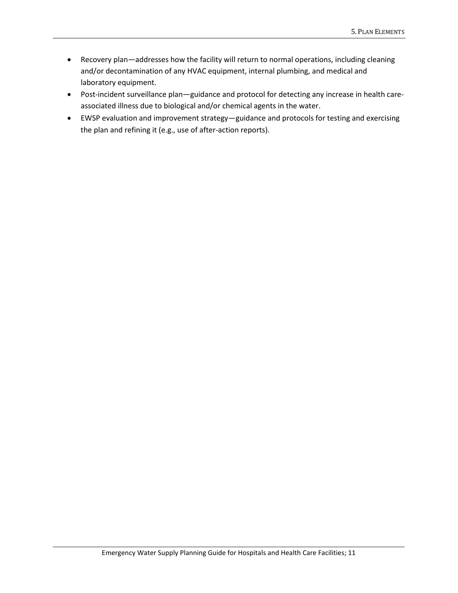- Recovery plan—addresses how the facility will return to normal operations, including cleaning and/or decontamination of any HVAC equipment, internal plumbing, and medical and laboratory equipment.
- Post-incident surveillance plan—guidance and protocol for detecting any increase in health careassociated illness due to biological and/or chemical agents in the water.
- EWSP evaluation and improvement strategy—guidance and protocols for testing and exercising the plan and refining it (e.g., use of after-action reports).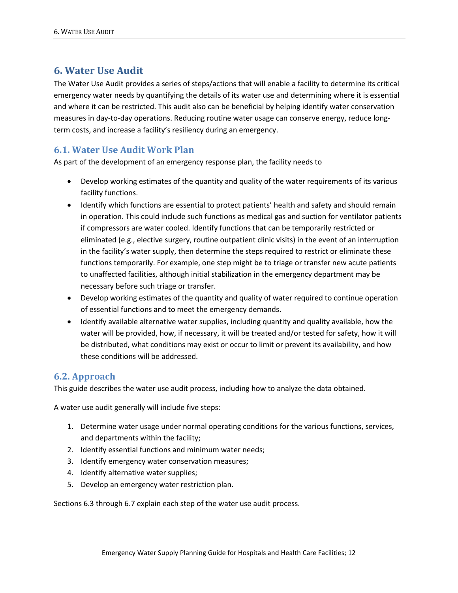## <span id="page-19-0"></span>**6. Water Use Audit**

The Water Use Audit provides a series of steps/actions that will enable a facility to determine its critical emergency water needs by quantifying the details of its water use and determining where it is essential and where it can be restricted. This audit also can be beneficial by helping identify water conservation measures in day-to-day operations. Reducing routine water usage can conserve energy, reduce longterm costs, and increase a facility's resiliency during an emergency.

### <span id="page-19-1"></span>**6.1. Water Use Audit Work Plan**

As part of the development of an emergency response plan, the facility needs to

- Develop working estimates of the quantity and quality of the water requirements of its various facility functions.
- Identify which functions are essential to protect patients' health and safety and should remain in operation. This could include such functions as medical gas and suction for ventilator patients if compressors are water cooled. Identify functions that can be temporarily restricted or eliminated (e.g., elective surgery, routine outpatient clinic visits) in the event of an interruption in the facility's water supply, then determine the steps required to restrict or eliminate these functions temporarily. For example, one step might be to triage or transfer new acute patients to unaffected facilities, although initial stabilization in the emergency department may be necessary before such triage or transfer.
- Develop working estimates of the quantity and quality of water required to continue operation of essential functions and to meet the emergency demands.
- Identify available alternative water supplies, including quantity and quality available, how the water will be provided, how, if necessary, it will be treated and/or tested for safety, how it will be distributed, what conditions may exist or occur to limit or prevent its availability, and how these conditions will be addressed.

### <span id="page-19-2"></span>**6.2. Approach**

This guide describes the water use audit process, including how to analyze the data obtained.

A water use audit generally will include five steps:

- 1. Determine water usage under normal operating conditions for the various functions, services, and departments within the facility;
- 2. Identify essential functions and minimum water needs;
- 3. Identify emergency water conservation measures;
- 4. Identify alternative water supplies;
- 5. Develop an emergency water restriction plan.

Sections 6.3 through 6.7 explain each step of the water use audit process.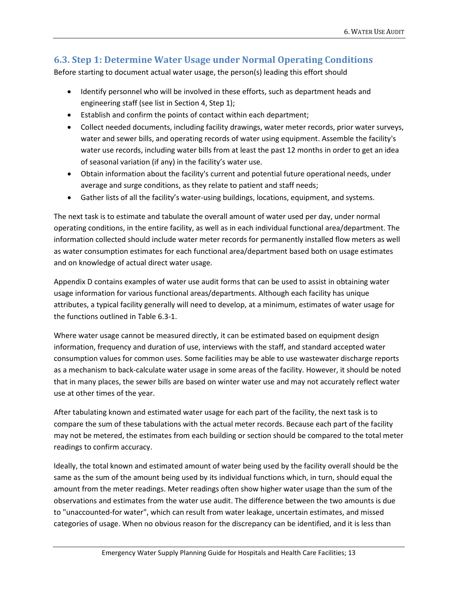## <span id="page-20-0"></span>**6.3. Step 1: Determine Water Usage under Normal Operating Conditions**

Before starting to document actual water usage, the person(s) leading this effort should

- Identify personnel who will be involved in these efforts, such as department heads and engineering staff (see list in Section 4, Step 1);
- Establish and confirm the points of contact within each department;
- Collect needed documents, including facility drawings, water meter records, prior water surveys, water and sewer bills, and operating records of water using equipment. Assemble the facility's water use records, including water bills from at least the past 12 months in order to get an idea of seasonal variation (if any) in the facility's water use.
- Obtain information about the facility's current and potential future operational needs, under average and surge conditions, as they relate to patient and staff needs;
- Gather lists of all the facility's water-using buildings, locations, equipment, and systems.

The next task is to estimate and tabulate the overall amount of water used per day, under normal operating conditions, in the entire facility, as well as in each individual functional area/department. The information collected should include water meter records for permanently installed flow meters as well as water consumption estimates for each functional area/department based both on usage estimates and on knowledge of actual direct water usage.

Appendix D contains examples of water use audit forms that can be used to assist in obtaining water usage information for various functional areas/departments. Although each facility has unique attributes, a typical facility generally will need to develop, at a minimum, estimates of water usage for the functions outlined in Table 6.3-1.

Where water usage cannot be measured directly, it can be estimated based on equipment design information, frequency and duration of use, interviews with the staff, and standard accepted water consumption values for common uses. Some facilities may be able to use wastewater discharge reports as a mechanism to back-calculate water usage in some areas of the facility. However, it should be noted that in many places, the sewer bills are based on winter water use and may not accurately reflect water use at other times of the year.

After tabulating known and estimated water usage for each part of the facility, the next task is to compare the sum of these tabulations with the actual meter records. Because each part of the facility may not be metered, the estimates from each building or section should be compared to the total meter readings to confirm accuracy.

Ideally, the total known and estimated amount of water being used by the facility overall should be the same as the sum of the amount being used by its individual functions which, in turn, should equal the amount from the meter readings. Meter readings often show higher water usage than the sum of the observations and estimates from the water use audit. The difference between the two amounts is due to "unaccounted-for water", which can result from water leakage, uncertain estimates, and missed categories of usage. When no obvious reason for the discrepancy can be identified, and it is less than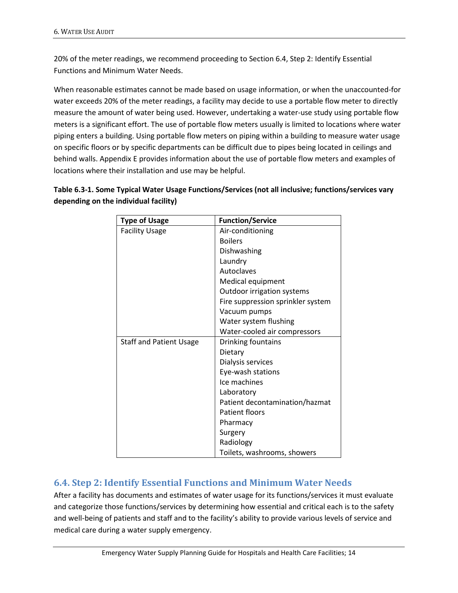20% of the meter readings, we recommend proceeding to Section 6.4, Step 2: Identify Essential Functions and Minimum Water Needs.

When reasonable estimates cannot be made based on usage information, or when the unaccounted-for water exceeds 20% of the meter readings, a facility may decide to use a portable flow meter to directly measure the amount of water being used. However, undertaking a water-use study using portable flow meters is a significant effort. The use of portable flow meters usually is limited to locations where water piping enters a building. Using portable flow meters on piping within a building to measure water usage on specific floors or by specific departments can be difficult due to pipes being located in ceilings and behind walls. Appendix E provides information about the use of portable flow meters and examples of locations where their installation and use may be helpful.

| Table 6.3-1. Some Typical Water Usage Functions/Services (not all inclusive; functions/services vary |
|------------------------------------------------------------------------------------------------------|
| depending on the individual facility)                                                                |

| <b>Type of Usage</b>           | <b>Function/Service</b>           |
|--------------------------------|-----------------------------------|
| <b>Facility Usage</b>          | Air-conditioning                  |
|                                | <b>Boilers</b>                    |
|                                | Dishwashing                       |
|                                | Laundry                           |
|                                | Autoclaves                        |
|                                | Medical equipment                 |
|                                | Outdoor irrigation systems        |
|                                | Fire suppression sprinkler system |
|                                | Vacuum pumps                      |
|                                | Water system flushing             |
|                                | Water-cooled air compressors      |
| <b>Staff and Patient Usage</b> | Drinking fountains                |
|                                | Dietary                           |
|                                | Dialysis services                 |
|                                | Eye-wash stations                 |
|                                | Ice machines                      |
|                                | Laboratory                        |
|                                | Patient decontamination/hazmat    |
|                                | <b>Patient floors</b>             |
|                                | Pharmacy                          |
|                                | Surgery                           |
|                                | Radiology                         |
|                                | Toilets, washrooms, showers       |

### <span id="page-21-0"></span>**6.4. Step 2: Identify Essential Functions and Minimum Water Needs**

After a facility has documents and estimates of water usage for its functions/services it must evaluate and categorize those functions/services by determining how essential and critical each is to the safety and well-being of patients and staff and to the facility's ability to provide various levels of service and medical care during a water supply emergency.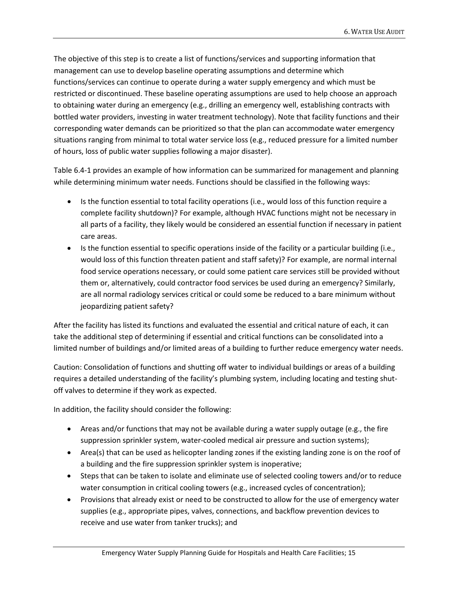The objective of this step is to create a list of functions/services and supporting information that management can use to develop baseline operating assumptions and determine which functions/services can continue to operate during a water supply emergency and which must be restricted or discontinued. These baseline operating assumptions are used to help choose an approach to obtaining water during an emergency (e.g., drilling an emergency well, establishing contracts with bottled water providers, investing in water treatment technology). Note that facility functions and their corresponding water demands can be prioritized so that the plan can accommodate water emergency situations ranging from minimal to total water service loss (e.g., reduced pressure for a limited number of hours, loss of public water supplies following a major disaster).

Table 6.4-1 provides an example of how information can be summarized for management and planning while determining minimum water needs. Functions should be classified in the following ways:

- Is the function essential to total facility operations (i.e., would loss of this function require a complete facility shutdown)? For example, although HVAC functions might not be necessary in all parts of a facility, they likely would be considered an essential function if necessary in patient care areas.
- Is the function essential to specific operations inside of the facility or a particular building (i.e., would loss of this function threaten patient and staff safety)? For example, are normal internal food service operations necessary, or could some patient care services still be provided without them or, alternatively, could contractor food services be used during an emergency? Similarly, are all normal radiology services critical or could some be reduced to a bare minimum without jeopardizing patient safety?

After the facility has listed its functions and evaluated the essential and critical nature of each, it can take the additional step of determining if essential and critical functions can be consolidated into a limited number of buildings and/or limited areas of a building to further reduce emergency water needs.

Caution: Consolidation of functions and shutting off water to individual buildings or areas of a building requires a detailed understanding of the facility's plumbing system, including locating and testing shutoff valves to determine if they work as expected.

In addition, the facility should consider the following:

- Areas and/or functions that may not be available during a water supply outage (e.g., the fire suppression sprinkler system, water-cooled medical air pressure and suction systems);
- Area(s) that can be used as helicopter landing zones if the existing landing zone is on the roof of a building and the fire suppression sprinkler system is inoperative;
- Steps that can be taken to isolate and eliminate use of selected cooling towers and/or to reduce water consumption in critical cooling towers (e.g., increased cycles of concentration);
- Provisions that already exist or need to be constructed to allow for the use of emergency water supplies (e.g., appropriate pipes, valves, connections, and backflow prevention devices to receive and use water from tanker trucks); and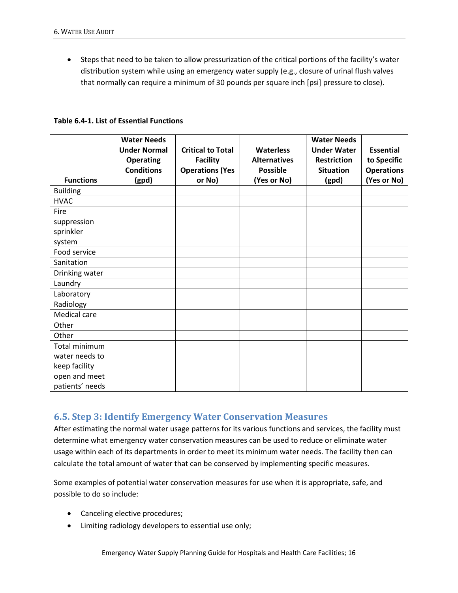• Steps that need to be taken to allow pressurization of the critical portions of the facility's water distribution system while using an emergency water supply (e.g., closure of urinal flush valves that normally can require a minimum of 30 pounds per square inch [psi] pressure to close).

|                  | <b>Water Needs</b><br><b>Under Normal</b><br><b>Operating</b><br><b>Conditions</b> | <b>Critical to Total</b><br><b>Facility</b><br><b>Operations (Yes</b> | <b>Waterless</b><br><b>Alternatives</b><br><b>Possible</b> | <b>Water Needs</b><br><b>Under Water</b><br><b>Restriction</b><br><b>Situation</b> | <b>Essential</b><br>to Specific<br><b>Operations</b> |
|------------------|------------------------------------------------------------------------------------|-----------------------------------------------------------------------|------------------------------------------------------------|------------------------------------------------------------------------------------|------------------------------------------------------|
| <b>Functions</b> | (gpd)                                                                              | or No)                                                                | (Yes or No)                                                | (gpd)                                                                              | (Yes or No)                                          |
| <b>Building</b>  |                                                                                    |                                                                       |                                                            |                                                                                    |                                                      |
| <b>HVAC</b>      |                                                                                    |                                                                       |                                                            |                                                                                    |                                                      |
| Fire             |                                                                                    |                                                                       |                                                            |                                                                                    |                                                      |
| suppression      |                                                                                    |                                                                       |                                                            |                                                                                    |                                                      |
| sprinkler        |                                                                                    |                                                                       |                                                            |                                                                                    |                                                      |
| system           |                                                                                    |                                                                       |                                                            |                                                                                    |                                                      |
| Food service     |                                                                                    |                                                                       |                                                            |                                                                                    |                                                      |
| Sanitation       |                                                                                    |                                                                       |                                                            |                                                                                    |                                                      |
| Drinking water   |                                                                                    |                                                                       |                                                            |                                                                                    |                                                      |
| Laundry          |                                                                                    |                                                                       |                                                            |                                                                                    |                                                      |
| Laboratory       |                                                                                    |                                                                       |                                                            |                                                                                    |                                                      |
| Radiology        |                                                                                    |                                                                       |                                                            |                                                                                    |                                                      |
| Medical care     |                                                                                    |                                                                       |                                                            |                                                                                    |                                                      |
| Other            |                                                                                    |                                                                       |                                                            |                                                                                    |                                                      |
| Other            |                                                                                    |                                                                       |                                                            |                                                                                    |                                                      |
| Total minimum    |                                                                                    |                                                                       |                                                            |                                                                                    |                                                      |
| water needs to   |                                                                                    |                                                                       |                                                            |                                                                                    |                                                      |
| keep facility    |                                                                                    |                                                                       |                                                            |                                                                                    |                                                      |
| open and meet    |                                                                                    |                                                                       |                                                            |                                                                                    |                                                      |
| patients' needs  |                                                                                    |                                                                       |                                                            |                                                                                    |                                                      |

**Table 6.4-1. List of Essential Functions**

#### <span id="page-23-0"></span>**6.5. Step 3: Identify Emergency Water Conservation Measures**

After estimating the normal water usage patterns for its various functions and services, the facility must determine what emergency water conservation measures can be used to reduce or eliminate water usage within each of its departments in order to meet its minimum water needs. The facility then can calculate the total amount of water that can be conserved by implementing specific measures.

Some examples of potential water conservation measures for use when it is appropriate, safe, and possible to do so include:

- Canceling elective procedures;
- Limiting radiology developers to essential use only;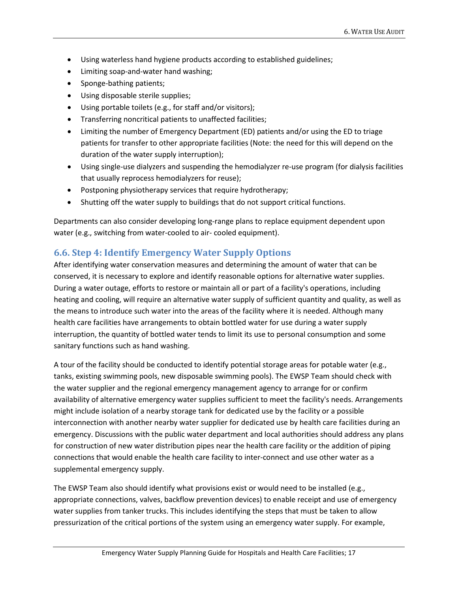- Using waterless hand hygiene products according to established guidelines;
- Limiting soap-and-water hand washing;
- Sponge-bathing patients;
- Using disposable sterile supplies;
- Using portable toilets (e.g., for staff and/or visitors);
- Transferring noncritical patients to unaffected facilities;
- Limiting the number of Emergency Department (ED) patients and/or using the ED to triage patients for transfer to other appropriate facilities (Note: the need for this will depend on the duration of the water supply interruption);
- Using single-use dialyzers and suspending the hemodialyzer re-use program (for dialysis facilities that usually reprocess hemodialyzers for reuse);
- Postponing physiotherapy services that require hydrotherapy;
- Shutting off the water supply to buildings that do not support critical functions.

Departments can also consider developing long-range plans to replace equipment dependent upon water (e.g., switching from water-cooled to air- cooled equipment).

## <span id="page-24-0"></span>**6.6. Step 4: Identify Emergency Water Supply Options**

After identifying water conservation measures and determining the amount of water that can be conserved, it is necessary to explore and identify reasonable options for alternative water supplies. During a water outage, efforts to restore or maintain all or part of a facility's operations, including heating and cooling, will require an alternative water supply of sufficient quantity and quality, as well as the means to introduce such water into the areas of the facility where it is needed. Although many health care facilities have arrangements to obtain bottled water for use during a water supply interruption, the quantity of bottled water tends to limit its use to personal consumption and some sanitary functions such as hand washing.

A tour of the facility should be conducted to identify potential storage areas for potable water (e.g., tanks, existing swimming pools, new disposable swimming pools). The EWSP Team should check with the water supplier and the regional emergency management agency to arrange for or confirm availability of alternative emergency water supplies sufficient to meet the facility's needs. Arrangements might include isolation of a nearby storage tank for dedicated use by the facility or a possible interconnection with another nearby water supplier for dedicated use by health care facilities during an emergency. Discussions with the public water department and local authorities should address any plans for construction of new water distribution pipes near the health care facility or the addition of piping connections that would enable the health care facility to inter-connect and use other water as a supplemental emergency supply.

The EWSP Team also should identify what provisions exist or would need to be installed (e.g., appropriate connections, valves, backflow prevention devices) to enable receipt and use of emergency water supplies from tanker trucks. This includes identifying the steps that must be taken to allow pressurization of the critical portions of the system using an emergency water supply. For example,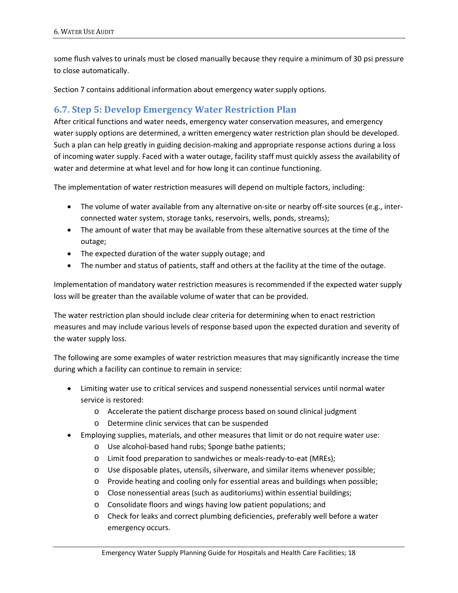some flush valves to urinals must be closed manually because they require a minimum of 30 psi pressure to close automatically.

Section 7 contains additional information about emergency water supply options.

### <span id="page-25-0"></span>**6.7. Step 5: Develop Emergency Water Restriction Plan**

After critical functions and water needs, emergency water conservation measures, and emergency water supply options are determined, a written emergency water restriction plan should be developed. Such a plan can help greatly in guiding decision-making and appropriate response actions during a loss of incoming water supply. Faced with a water outage, facility staff must quickly assess the availability of water and determine at what level and for how long it can continue functioning.

The implementation of water restriction measures will depend on multiple factors, including:

- The volume of water available from any alternative on-site or nearby off-site sources (e.g., interconnected water system, storage tanks, reservoirs, wells, ponds, streams);
- The amount of water that may be available from these alternative sources at the time of the outage;
- The expected duration of the water supply outage; and
- The number and status of patients, staff and others at the facility at the time of the outage.

Implementation of mandatory water restriction measures is recommended if the expected water supply loss will be greater than the available volume of water that can be provided.

The water restriction plan should include clear criteria for determining when to enact restriction measures and may include various levels of response based upon the expected duration and severity of the water supply loss.

The following are some examples of water restriction measures that may significantly increase the time during which a facility can continue to remain in service:

- Limiting water use to critical services and suspend nonessential services until normal water service is restored:
	- o Accelerate the patient discharge process based on sound clinical judgment
	- o Determine clinic services that can be suspended
- Employing supplies, materials, and other measures that limit or do not require water use:
	- o Use alcohol-based hand rubs; Sponge bathe patients;
	- o Limit food preparation to sandwiches or meals-ready-to-eat (MREs);
	- o Use disposable plates, utensils, silverware, and similar items whenever possible;
	- o Provide heating and cooling only for essential areas and buildings when possible;
	- o Close nonessential areas (such as auditoriums) within essential buildings;
	- o Consolidate floors and wings having low patient populations; and
	- o Check for leaks and correct plumbing deficiencies, preferably well before a water emergency occurs.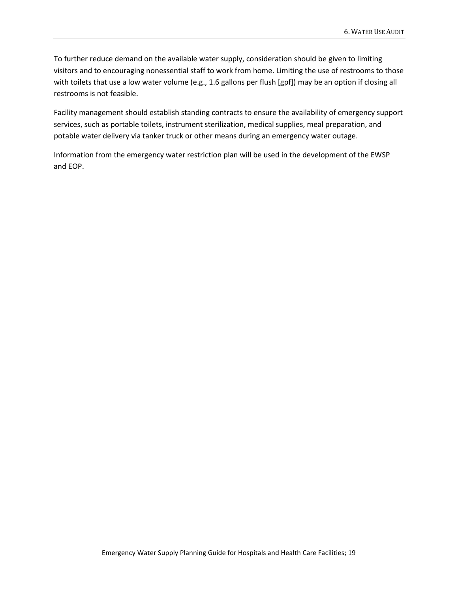To further reduce demand on the available water supply, consideration should be given to limiting visitors and to encouraging nonessential staff to work from home. Limiting the use of restrooms to those with toilets that use a low water volume (e.g., 1.6 gallons per flush [gpf]) may be an option if closing all restrooms is not feasible.

Facility management should establish standing contracts to ensure the availability of emergency support services, such as portable toilets, instrument sterilization, medical supplies, meal preparation, and potable water delivery via tanker truck or other means during an emergency water outage.

Information from the emergency water restriction plan will be used in the development of the EWSP and EOP.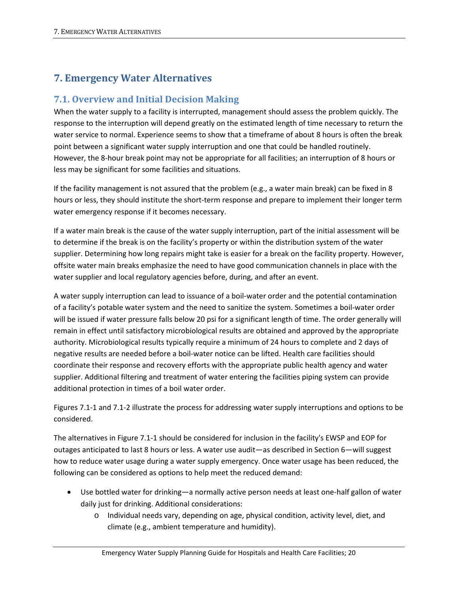## <span id="page-27-0"></span>**7. Emergency Water Alternatives**

### <span id="page-27-1"></span>**7.1. Overview and Initial Decision Making**

When the water supply to a facility is interrupted, management should assess the problem quickly. The response to the interruption will depend greatly on the estimated length of time necessary to return the water service to normal. Experience seems to show that a timeframe of about 8 hours is often the break point between a significant water supply interruption and one that could be handled routinely. However, the 8-hour break point may not be appropriate for all facilities; an interruption of 8 hours or less may be significant for some facilities and situations.

If the facility management is not assured that the problem (e.g., a water main break) can be fixed in 8 hours or less, they should institute the short-term response and prepare to implement their longer term water emergency response if it becomes necessary.

If a water main break is the cause of the water supply interruption, part of the initial assessment will be to determine if the break is on the facility's property or within the distribution system of the water supplier. Determining how long repairs might take is easier for a break on the facility property. However, offsite water main breaks emphasize the need to have good communication channels in place with the water supplier and local regulatory agencies before, during, and after an event.

A water supply interruption can lead to issuance of a boil-water order and the potential contamination of a facility's potable water system and the need to sanitize the system. Sometimes a boil-water order will be issued if water pressure falls below 20 psi for a significant length of time. The order generally will remain in effect until satisfactory microbiological results are obtained and approved by the appropriate authority. Microbiological results typically require a minimum of 24 hours to complete and 2 days of negative results are needed before a boil-water notice can be lifted. Health care facilities should coordinate their response and recovery efforts with the appropriate public health agency and water supplier. Additional filtering and treatment of water entering the facilities piping system can provide additional protection in times of a boil water order.

Figures 7.1-1 and 7.1-2 illustrate the process for addressing water supply interruptions and options to be considered.

The alternatives in Figure 7.1-1 should be considered for inclusion in the facility's EWSP and EOP for outages anticipated to last 8 hours or less. A water use audit—as described in Section 6—will suggest how to reduce water usage during a water supply emergency. Once water usage has been reduced, the following can be considered as options to help meet the reduced demand:

- Use bottled water for drinking—a normally active person needs at least one-half gallon of water daily just for drinking. Additional considerations:
	- o Individual needs vary, depending on age, physical condition, activity level, diet, and climate (e.g., ambient temperature and humidity).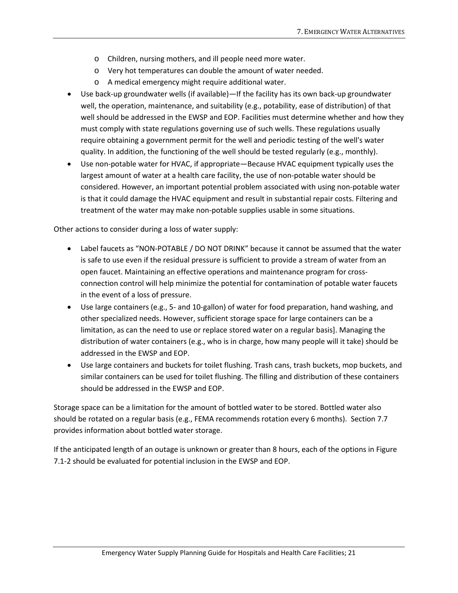- o Children, nursing mothers, and ill people need more water.
- o Very hot temperatures can double the amount of water needed.
- o A medical emergency might require additional water.
- Use back-up groundwater wells (if available)—If the facility has its own back-up groundwater well, the operation, maintenance, and suitability (e.g., potability, ease of distribution) of that well should be addressed in the EWSP and EOP. Facilities must determine whether and how they must comply with state regulations governing use of such wells. These regulations usually require obtaining a government permit for the well and periodic testing of the well's water quality. In addition, the functioning of the well should be tested regularly (e.g., monthly).
- Use non-potable water for HVAC, if appropriate—Because HVAC equipment typically uses the largest amount of water at a health care facility, the use of non-potable water should be considered. However, an important potential problem associated with using non-potable water is that it could damage the HVAC equipment and result in substantial repair costs. Filtering and treatment of the water may make non-potable supplies usable in some situations.

Other actions to consider during a loss of water supply:

- Label faucets as "NON-POTABLE / DO NOT DRINK" because it cannot be assumed that the water is safe to use even if the residual pressure is sufficient to provide a stream of water from an open faucet. Maintaining an effective operations and maintenance program for crossconnection control will help minimize the potential for contamination of potable water faucets in the event of a loss of pressure.
- Use large containers (e.g., 5- and 10-gallon) of water for food preparation, hand washing, and other specialized needs. However, sufficient storage space for large containers can be a limitation, as can the need to use or replace stored water on a regular basis]. Managing the distribution of water containers (e.g., who is in charge, how many people will it take) should be addressed in the EWSP and EOP.
- Use large containers and buckets for toilet flushing. Trash cans, trash buckets, mop buckets, and similar containers can be used for toilet flushing. The filling and distribution of these containers should be addressed in the EWSP and EOP.

Storage space can be a limitation for the amount of bottled water to be stored. Bottled water also should be rotated on a regular basis (e.g., FEMA recommends rotation every 6 months). Section 7.7 provides information about bottled water storage.

If the anticipated length of an outage is unknown or greater than 8 hours, each of the options in Figure 7.1-2 should be evaluated for potential inclusion in the EWSP and EOP.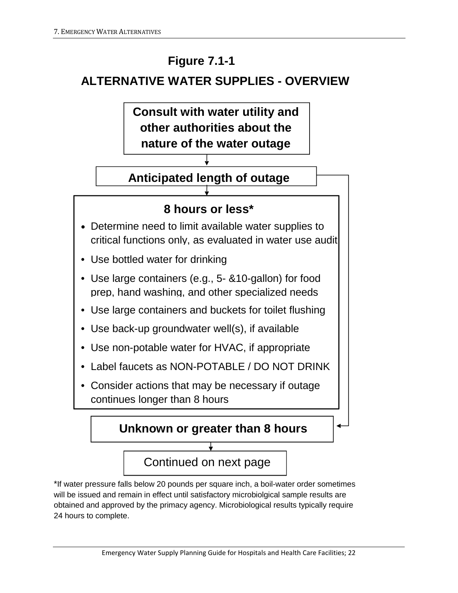# **Figure 7.1-1**

# **ALTERNATIVE WATER SUPPLIES - OVERVIEW**



# **Anticipated length of outage**

# **8 hours or less\***

- Determine need to limit available water supplies to critical functions only, as evaluated in water use audit
- Use bottled water for drinking
- Use large containers (e.g., 5- &10-gallon) for food prep, hand washing, and other specialized needs
- Use large containers and buckets for toilet flushing
- Use back-up groundwater well(s), if available
- Use non-potable water for HVAC, if appropriate
- Label faucets as NON-POTABLE / DO NOT DRINK
- Consider actions that may be necessary if outage continues longer than 8 hours

**Unknown or greater than 8 hours**

# Continued on next page

\*If water pressure falls below 20 pounds per square inch, a boil-water order sometimes will be issued and remain in effect until satisfactory microbiolgical sample results are obtained and approved by the primacy agency. Microbiological results typically require 24 hours to complete.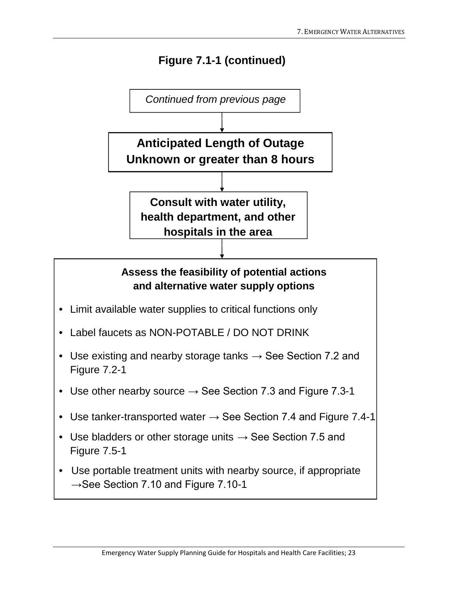# **Figure 7.1-1 (continued)**

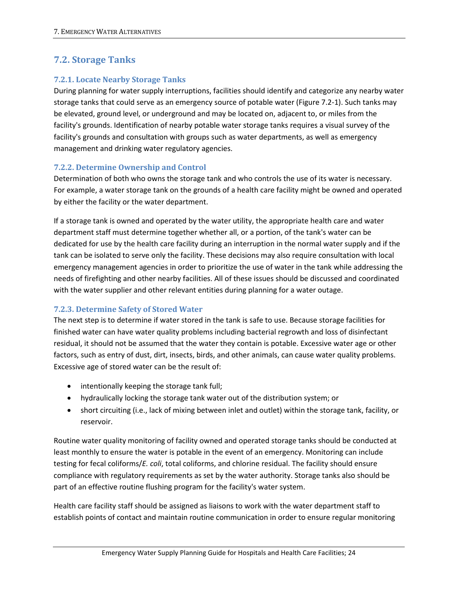## <span id="page-31-0"></span>**7.2. Storage Tanks**

#### **7.2.1. Locate Nearby Storage Tanks**

During planning for water supply interruptions, facilities should identify and categorize any nearby water storage tanks that could serve as an emergency source of potable water (Figure 7.2-1). Such tanks may be elevated, ground level, or underground and may be located on, adjacent to, or miles from the facility's grounds. Identification of nearby potable water storage tanks requires a visual survey of the facility's grounds and consultation with groups such as water departments, as well as emergency management and drinking water regulatory agencies.

#### **7.2.2. Determine Ownership and Control**

Determination of both who owns the storage tank and who controls the use of its water is necessary. For example, a water storage tank on the grounds of a health care facility might be owned and operated by either the facility or the water department.

If a storage tank is owned and operated by the water utility, the appropriate health care and water department staff must determine together whether all, or a portion, of the tank's water can be dedicated for use by the health care facility during an interruption in the normal water supply and if the tank can be isolated to serve only the facility. These decisions may also require consultation with local emergency management agencies in order to prioritize the use of water in the tank while addressing the needs of firefighting and other nearby facilities. All of these issues should be discussed and coordinated with the water supplier and other relevant entities during planning for a water outage.

#### **7.2.3. Determine Safety of Stored Water**

The next step is to determine if water stored in the tank is safe to use. Because storage facilities for finished water can have water quality problems including bacterial regrowth and loss of disinfectant residual, it should not be assumed that the water they contain is potable. Excessive water age or other factors, such as entry of dust, dirt, insects, birds, and other animals, can cause water quality problems. Excessive age of stored water can be the result of:

- intentionally keeping the storage tank full;
- hydraulically locking the storage tank water out of the distribution system; or
- short circuiting (i.e., lack of mixing between inlet and outlet) within the storage tank, facility, or reservoir.

Routine water quality monitoring of facility owned and operated storage tanks should be conducted at least monthly to ensure the water is potable in the event of an emergency. Monitoring can include testing for fecal coliforms/*E. coli*, total coliforms, and chlorine residual. The facility should ensure compliance with regulatory requirements as set by the water authority. Storage tanks also should be part of an effective routine flushing program for the facility's water system.

Health care facility staff should be assigned as liaisons to work with the water department staff to establish points of contact and maintain routine communication in order to ensure regular monitoring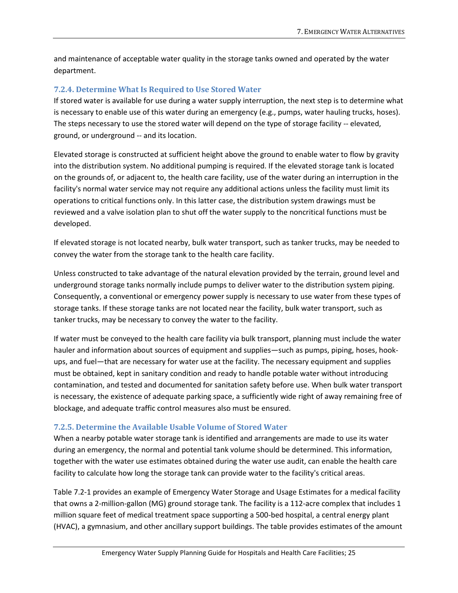and maintenance of acceptable water quality in the storage tanks owned and operated by the water department.

#### **7.2.4. Determine What Is Required to Use Stored Water**

If stored water is available for use during a water supply interruption, the next step is to determine what is necessary to enable use of this water during an emergency (e.g., pumps, water hauling trucks, hoses). The steps necessary to use the stored water will depend on the type of storage facility -- elevated, ground, or underground -- and its location.

Elevated storage is constructed at sufficient height above the ground to enable water to flow by gravity into the distribution system. No additional pumping is required. If the elevated storage tank is located on the grounds of, or adjacent to, the health care facility, use of the water during an interruption in the facility's normal water service may not require any additional actions unless the facility must limit its operations to critical functions only. In this latter case, the distribution system drawings must be reviewed and a valve isolation plan to shut off the water supply to the noncritical functions must be developed.

If elevated storage is not located nearby, bulk water transport, such as tanker trucks, may be needed to convey the water from the storage tank to the health care facility.

Unless constructed to take advantage of the natural elevation provided by the terrain, ground level and underground storage tanks normally include pumps to deliver water to the distribution system piping. Consequently, a conventional or emergency power supply is necessary to use water from these types of storage tanks. If these storage tanks are not located near the facility, bulk water transport, such as tanker trucks, may be necessary to convey the water to the facility.

If water must be conveyed to the health care facility via bulk transport, planning must include the water hauler and information about sources of equipment and supplies—such as pumps, piping, hoses, hookups, and fuel—that are necessary for water use at the facility. The necessary equipment and supplies must be obtained, kept in sanitary condition and ready to handle potable water without introducing contamination, and tested and documented for sanitation safety before use. When bulk water transport is necessary, the existence of adequate parking space, a sufficiently wide right of away remaining free of blockage, and adequate traffic control measures also must be ensured.

#### **7.2.5. Determine the Available Usable Volume of Stored Water**

When a nearby potable water storage tank is identified and arrangements are made to use its water during an emergency, the normal and potential tank volume should be determined. This information, together with the water use estimates obtained during the water use audit, can enable the health care facility to calculate how long the storage tank can provide water to the facility's critical areas.

Table 7.2-1 provides an example of Emergency Water Storage and Usage Estimates for a medical facility that owns a 2-million-gallon (MG) ground storage tank. The facility is a 112-acre complex that includes 1 million square feet of medical treatment space supporting a 500-bed hospital, a central energy plant (HVAC), a gymnasium, and other ancillary support buildings. The table provides estimates of the amount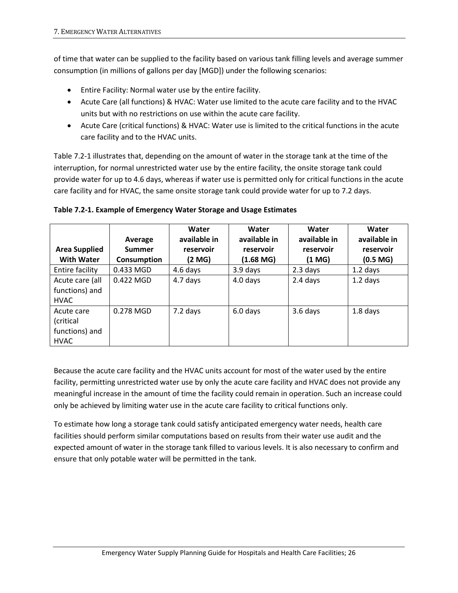of time that water can be supplied to the facility based on various tank filling levels and average summer consumption (in millions of gallons per day [MGD]) under the following scenarios:

- Entire Facility: Normal water use by the entire facility.
- Acute Care (all functions) & HVAC: Water use limited to the acute care facility and to the HVAC units but with no restrictions on use within the acute care facility.
- Acute Care (critical functions) & HVAC: Water use is limited to the critical functions in the acute care facility and to the HVAC units.

Table 7.2-1 illustrates that, depending on the amount of water in the storage tank at the time of the interruption, for normal unrestricted water use by the entire facility, the onsite storage tank could provide water for up to 4.6 days, whereas if water use is permitted only for critical functions in the acute care facility and for HVAC, the same onsite storage tank could provide water for up to 7.2 days.

|                                           | Average                      | Water<br>available in | Water<br>available in  | Water<br>available in | Water<br>available in             |
|-------------------------------------------|------------------------------|-----------------------|------------------------|-----------------------|-----------------------------------|
| <b>Area Supplied</b><br><b>With Water</b> | Summer<br><b>Consumption</b> | reservoir<br>(2 MG)   | reservoir<br>(1.68 MG) | reservoir<br>(1 MG)   | reservoir<br>(0.5 <sub>MG</sub> ) |
| Entire facility                           | 0.433 MGD                    | 4.6 days              | 3.9 days               | 2.3 days              | $1.2$ days                        |
| Acute care (all                           | $0.422$ MGD                  | 4.7 days              | 4.0 days               | 2.4 days              | $1.2$ days                        |
| functions) and<br><b>HVAC</b>             |                              |                       |                        |                       |                                   |
| Acute care<br>(critical                   | 0.278 MGD                    | 7.2 days              | 6.0 days               | 3.6 days              | 1.8 days                          |
| functions) and<br><b>HVAC</b>             |                              |                       |                        |                       |                                   |

#### **Table 7.2-1. Example of Emergency Water Storage and Usage Estimates**

Because the acute care facility and the HVAC units account for most of the water used by the entire facility, permitting unrestricted water use by only the acute care facility and HVAC does not provide any meaningful increase in the amount of time the facility could remain in operation. Such an increase could only be achieved by limiting water use in the acute care facility to critical functions only.

To estimate how long a storage tank could satisfy anticipated emergency water needs, health care facilities should perform similar computations based on results from their water use audit and the expected amount of water in the storage tank filled to various levels. It is also necessary to confirm and ensure that only potable water will be permitted in the tank.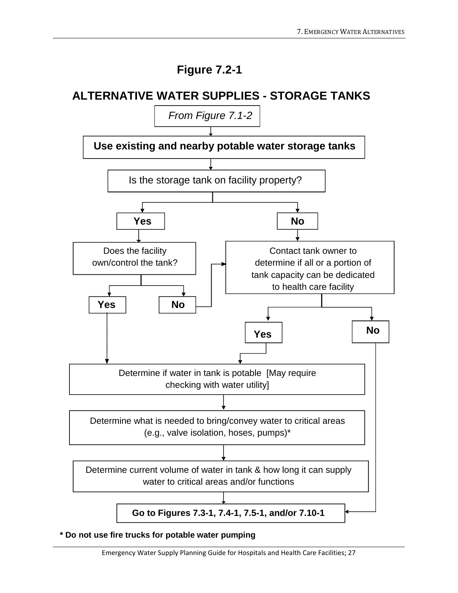# **Figure 7.2-1**

# **ALTERNATIVE WATER SUPPLIES - STORAGE TANKS**



**\* Do not use fire trucks for potable water pumping**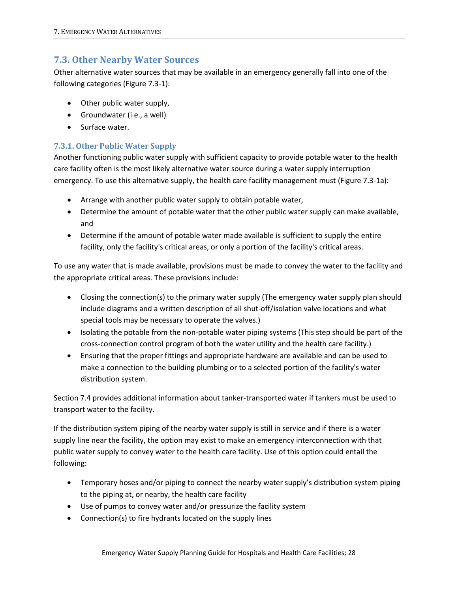### <span id="page-35-0"></span>**7.3. Other Nearby Water Sources**

Other alternative water sources that may be available in an emergency generally fall into one of the following categories (Figure 7.3-1):

- Other public water supply,
- Groundwater (i.e., a well)
- Surface water.

#### **7.3.1. Other Public Water Supply**

Another functioning public water supply with sufficient capacity to provide potable water to the health care facility often is the most likely alternative water source during a water supply interruption emergency. To use this alternative supply, the health care facility management must (Figure 7.3-1a):

- Arrange with another public water supply to obtain potable water,
- Determine the amount of potable water that the other public water supply can make available, and
- Determine if the amount of potable water made available is sufficient to supply the entire facility, only the facility's critical areas, or only a portion of the facility's critical areas.

To use any water that is made available, provisions must be made to convey the water to the facility and the appropriate critical areas. These provisions include:

- Closing the connection(s) to the primary water supply (The emergency water supply plan should include diagrams and a written description of all shut-off/isolation valve locations and what special tools may be necessary to operate the valves.)
- Isolating the potable from the non-potable water piping systems (This step should be part of the cross-connection control program of both the water utility and the health care facility.)
- Ensuring that the proper fittings and appropriate hardware are available and can be used to make a connection to the building plumbing or to a selected portion of the facility's water distribution system.

Section 7.4 provides additional information about tanker-transported water if tankers must be used to transport water to the facility.

If the distribution system piping of the nearby water supply is still in service and if there is a water supply line near the facility, the option may exist to make an emergency interconnection with that public water supply to convey water to the health care facility. Use of this option could entail the following:

- Temporary hoses and/or piping to connect the nearby water supply's distribution system piping to the piping at, or nearby, the health care facility
- Use of pumps to convey water and/or pressurize the facility system
- Connection(s) to fire hydrants located on the supply lines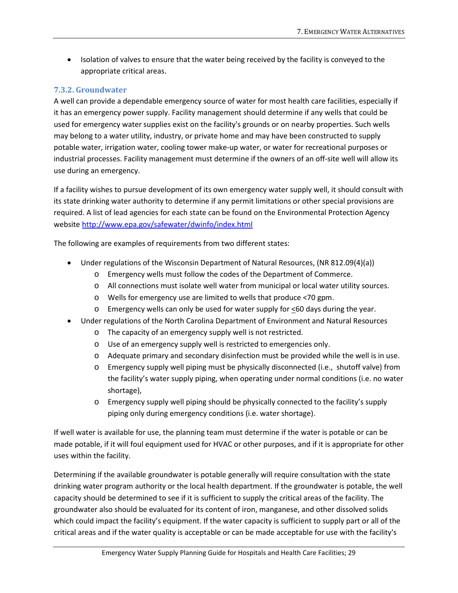• Isolation of valves to ensure that the water being received by the facility is conveyed to the appropriate critical areas.

#### **7.3.2. Groundwater**

A well can provide a dependable emergency source of water for most health care facilities, especially if it has an emergency power supply. Facility management should determine if any wells that could be used for emergency water supplies exist on the facility's grounds or on nearby properties. Such wells may belong to a water utility, industry, or private home and may have been constructed to supply potable water, irrigation water, cooling tower make-up water, or water for recreational purposes or industrial processes. Facility management must determine if the owners of an off-site well will allow its use during an emergency.

If a facility wishes to pursue development of its own emergency water supply well, it should consult with its state drinking water authority to determine if any permit limitations or other special provisions are required. A list of lead agencies for each state can be found on the Environmental Protection Agency websit[e http://www.epa.gov/safewater/dwinfo/index.html](http://www.epa.gov/safewater/dwinfo/index.html)

The following are examples of requirements from two different states:

- Under regulations of the Wisconsin Department of Natural Resources, (NR 812.09(4)(a))
	- o Emergency wells must follow the codes of the Department of Commerce.
	- o All connections must isolate well water from municipal or local water utility sources.
	- o Wells for emergency use are limited to wells that produce <70 gpm.
	- $\circ$  Emergency wells can only be used for water supply for  $\leq 60$  days during the year.
- Under regulations of the North Carolina Department of Environment and Natural Resources
	- o The capacity of an emergency supply well is not restricted.
	- o Use of an emergency supply well is restricted to emergencies only.
	- o Adequate primary and secondary disinfection must be provided while the well is in use.
	- o Emergency supply well piping must be physically disconnected (i.e., shutoff valve) from the facility's water supply piping, when operating under normal conditions (i.e. no water shortage),
	- o Emergency supply well piping should be physically connected to the facility's supply piping only during emergency conditions (i.e. water shortage).

If well water is available for use, the planning team must determine if the water is potable or can be made potable, if it will foul equipment used for HVAC or other purposes, and if it is appropriate for other uses within the facility.

Determining if the available groundwater is potable generally will require consultation with the state drinking water program authority or the local health department. If the groundwater is potable, the well capacity should be determined to see if it is sufficient to supply the critical areas of the facility. The groundwater also should be evaluated for its content of iron, manganese, and other dissolved solids which could impact the facility's equipment. If the water capacity is sufficient to supply part or all of the critical areas and if the water quality is acceptable or can be made acceptable for use with the facility's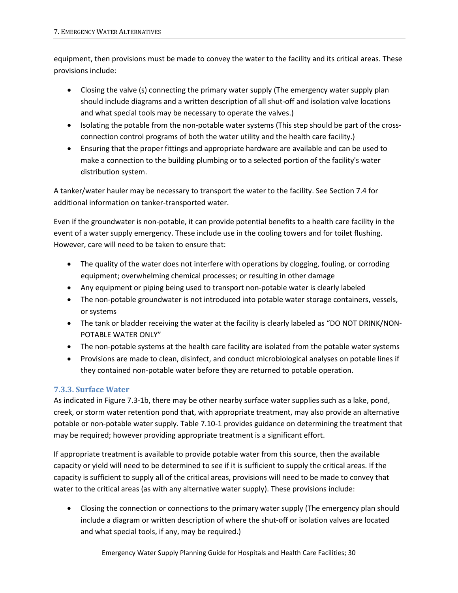equipment, then provisions must be made to convey the water to the facility and its critical areas. These provisions include:

- Closing the valve (s) connecting the primary water supply (The emergency water supply plan should include diagrams and a written description of all shut-off and isolation valve locations and what special tools may be necessary to operate the valves.)
- Isolating the potable from the non-potable water systems (This step should be part of the crossconnection control programs of both the water utility and the health care facility.)
- Ensuring that the proper fittings and appropriate hardware are available and can be used to make a connection to the building plumbing or to a selected portion of the facility's water distribution system.

A tanker/water hauler may be necessary to transport the water to the facility. See Section 7.4 for additional information on tanker-transported water.

Even if the groundwater is non-potable, it can provide potential benefits to a health care facility in the event of a water supply emergency. These include use in the cooling towers and for toilet flushing. However, care will need to be taken to ensure that:

- The quality of the water does not interfere with operations by clogging, fouling, or corroding equipment; overwhelming chemical processes; or resulting in other damage
- Any equipment or piping being used to transport non-potable water is clearly labeled
- The non-potable groundwater is not introduced into potable water storage containers, vessels, or systems
- The tank or bladder receiving the water at the facility is clearly labeled as "DO NOT DRINK/NON-POTABLE WATER ONLY"
- The non-potable systems at the health care facility are isolated from the potable water systems
- Provisions are made to clean, disinfect, and conduct microbiological analyses on potable lines if they contained non-potable water before they are returned to potable operation.

### **7.3.3. Surface Water**

As indicated in Figure 7.3-1b, there may be other nearby surface water supplies such as a lake, pond, creek, or storm water retention pond that, with appropriate treatment, may also provide an alternative potable or non-potable water supply. Table 7.10-1 provides guidance on determining the treatment that may be required; however providing appropriate treatment is a significant effort.

If appropriate treatment is available to provide potable water from this source, then the available capacity or yield will need to be determined to see if it is sufficient to supply the critical areas. If the capacity is sufficient to supply all of the critical areas, provisions will need to be made to convey that water to the critical areas (as with any alternative water supply). These provisions include:

• Closing the connection or connections to the primary water supply (The emergency plan should include a diagram or written description of where the shut-off or isolation valves are located and what special tools, if any, may be required.)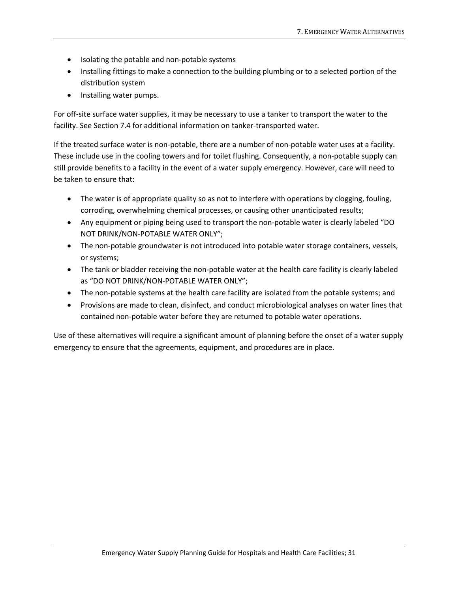- Isolating the potable and non-potable systems
- Installing fittings to make a connection to the building plumbing or to a selected portion of the distribution system
- Installing water pumps.

For off-site surface water supplies, it may be necessary to use a tanker to transport the water to the facility. See Section 7.4 for additional information on tanker-transported water.

If the treated surface water is non-potable, there are a number of non-potable water uses at a facility. These include use in the cooling towers and for toilet flushing. Consequently, a non-potable supply can still provide benefits to a facility in the event of a water supply emergency. However, care will need to be taken to ensure that:

- The water is of appropriate quality so as not to interfere with operations by clogging, fouling, corroding, overwhelming chemical processes, or causing other unanticipated results;
- Any equipment or piping being used to transport the non-potable water is clearly labeled "DO NOT DRINK/NON-POTABLE WATER ONLY";
- The non-potable groundwater is not introduced into potable water storage containers, vessels, or systems;
- The tank or bladder receiving the non-potable water at the health care facility is clearly labeled as "DO NOT DRINK/NON-POTABLE WATER ONLY";
- The non-potable systems at the health care facility are isolated from the potable systems; and
- Provisions are made to clean, disinfect, and conduct microbiological analyses on water lines that contained non-potable water before they are returned to potable water operations.

Use of these alternatives will require a significant amount of planning before the onset of a water supply emergency to ensure that the agreements, equipment, and procedures are in place.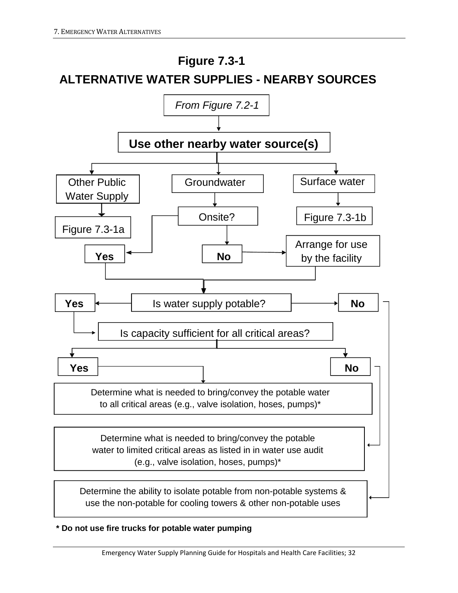

**\* Do not use fire trucks for potable water pumping**

Emergency Water Supply Planning Guide for Hospitals and Health Care Facilities; 32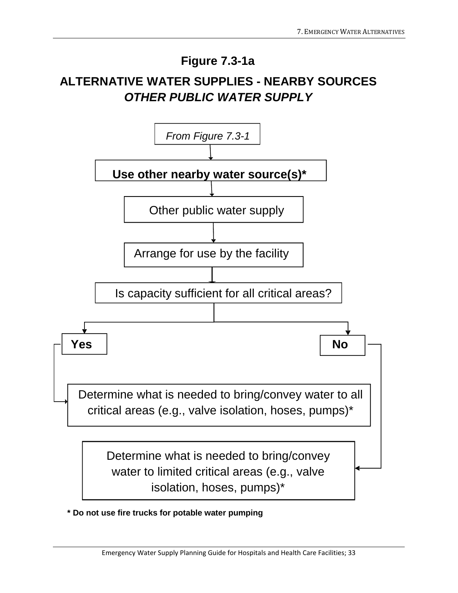# **Figure 7.3-1a**

# **ALTERNATIVE WATER SUPPLIES - NEARBY SOURCES**  *OTHER PUBLIC WATER SUPPLY*



**\* Do not use fire trucks for potable water pumping**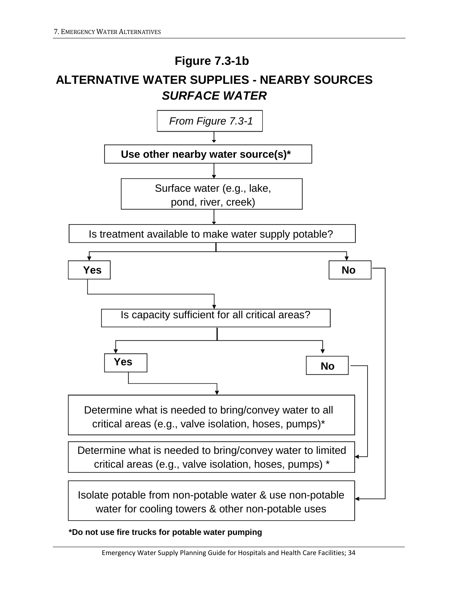# **Use other nearby water source(s)\* ALTERNATIVE WATER SUPPLIES - NEARBY SOURCES**  *SURFACE WATER* **Figure 7.3-1b**  Surface water (e.g., lake, pond, river, creek) **Yes No** Is treatment available to make water supply potable? Isolate potable from non-potable water & use non-potable water for cooling towers & other non-potable uses Is capacity sufficient for all critical areas? **Yes Res** No Determine what is needed to bring/convey water to limited critical areas (e.g., valve isolation, hoses, pumps) \* Determine what is needed to bring/convey water to all critical areas (e.g., valve isolation, hoses, pumps)\* *From Figure 7.3-1*

**\*Do not use fire trucks for potable water pumping**

Emergency Water Supply Planning Guide for Hospitals and Health Care Facilities; 34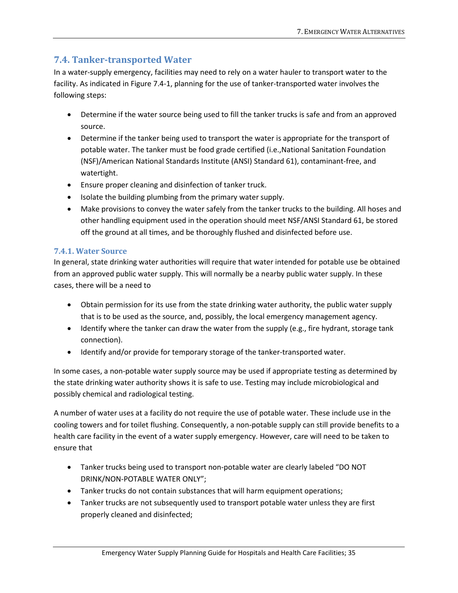# **7.4. Tanker-transported Water**

In a water-supply emergency, facilities may need to rely on a water hauler to transport water to the facility. As indicated in Figure 7.4-1, planning for the use of tanker-transported water involves the following steps:

- Determine if the water source being used to fill the tanker trucks is safe and from an approved source.
- Determine if the tanker being used to transport the water is appropriate for the transport of potable water. The tanker must be food grade certified (i.e.,National Sanitation Foundation (NSF)/American National Standards Institute (ANSI) Standard 61), contaminant-free, and watertight.
- Ensure proper cleaning and disinfection of tanker truck.
- Isolate the building plumbing from the primary water supply.
- Make provisions to convey the water safely from the tanker trucks to the building. All hoses and other handling equipment used in the operation should meet NSF/ANSI Standard 61, be stored off the ground at all times, and be thoroughly flushed and disinfected before use.

### **7.4.1. Water Source**

In general, state drinking water authorities will require that water intended for potable use be obtained from an approved public water supply. This will normally be a nearby public water supply. In these cases, there will be a need to

- Obtain permission for its use from the state drinking water authority, the public water supply that is to be used as the source, and, possibly, the local emergency management agency.
- Identify where the tanker can draw the water from the supply (e.g., fire hydrant, storage tank connection).
- Identify and/or provide for temporary storage of the tanker-transported water.

In some cases, a non-potable water supply source may be used if appropriate testing as determined by the state drinking water authority shows it is safe to use. Testing may include microbiological and possibly chemical and radiological testing.

A number of water uses at a facility do not require the use of potable water. These include use in the cooling towers and for toilet flushing. Consequently, a non-potable supply can still provide benefits to a health care facility in the event of a water supply emergency. However, care will need to be taken to ensure that

- Tanker trucks being used to transport non-potable water are clearly labeled "DO NOT DRINK/NON-POTABLE WATER ONLY";
- Tanker trucks do not contain substances that will harm equipment operations;
- Tanker trucks are not subsequently used to transport potable water unless they are first properly cleaned and disinfected;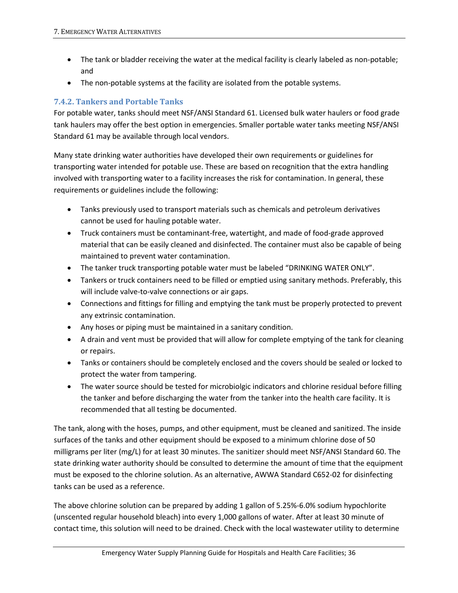- The tank or bladder receiving the water at the medical facility is clearly labeled as non-potable; and
- The non-potable systems at the facility are isolated from the potable systems.

#### **7.4.2. Tankers and Portable Tanks**

For potable water, tanks should meet NSF/ANSI Standard 61. Licensed bulk water haulers or food grade tank haulers may offer the best option in emergencies. Smaller portable water tanks meeting NSF/ANSI Standard 61 may be available through local vendors.

Many state drinking water authorities have developed their own requirements or guidelines for transporting water intended for potable use. These are based on recognition that the extra handling involved with transporting water to a facility increases the risk for contamination. In general, these requirements or guidelines include the following:

- Tanks previously used to transport materials such as chemicals and petroleum derivatives cannot be used for hauling potable water.
- Truck containers must be contaminant-free, watertight, and made of food-grade approved material that can be easily cleaned and disinfected. The container must also be capable of being maintained to prevent water contamination.
- The tanker truck transporting potable water must be labeled "DRINKING WATER ONLY".
- Tankers or truck containers need to be filled or emptied using sanitary methods. Preferably, this will include valve-to-valve connections or air gaps.
- Connections and fittings for filling and emptying the tank must be properly protected to prevent any extrinsic contamination.
- Any hoses or piping must be maintained in a sanitary condition.
- A drain and vent must be provided that will allow for complete emptying of the tank for cleaning or repairs.
- Tanks or containers should be completely enclosed and the covers should be sealed or locked to protect the water from tampering.
- The water source should be tested for microbiolgic indicators and chlorine residual before filling the tanker and before discharging the water from the tanker into the health care facility. It is recommended that all testing be documented.

The tank, along with the hoses, pumps, and other equipment, must be cleaned and sanitized. The inside surfaces of the tanks and other equipment should be exposed to a minimum chlorine dose of 50 milligrams per liter (mg/L) for at least 30 minutes. The sanitizer should meet NSF/ANSI Standard 60. The state drinking water authority should be consulted to determine the amount of time that the equipment must be exposed to the chlorine solution. As an alternative, AWWA Standard C652-02 for disinfecting tanks can be used as a reference.

The above chlorine solution can be prepared by adding 1 gallon of 5.25%-6.0% sodium hypochlorite (unscented regular household bleach) into every 1,000 gallons of water. After at least 30 minute of contact time, this solution will need to be drained. Check with the local wastewater utility to determine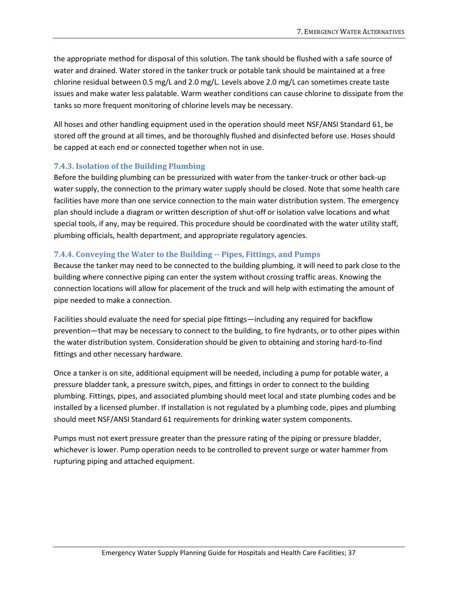the appropriate method for disposal of this solution. The tank should be flushed with a safe source of water and drained. Water stored in the tanker truck or potable tank should be maintained at a free chlorine residual between 0.5 mg/L and 2.0 mg/L. Levels above 2.0 mg/L can sometimes create taste issues and make water less palatable. Warm weather conditions can cause chlorine to dissipate from the tanks so more frequent monitoring of chlorine levels may be necessary.

All hoses and other handling equipment used in the operation should meet NSF/ANSI Standard 61, be stored off the ground at all times, and be thoroughly flushed and disinfected before use. Hoses should be capped at each end or connected together when not in use.

#### **7.4.3. Isolation of the Building Plumbing**

Before the building plumbing can be pressurized with water from the tanker-truck or other back-up water supply, the connection to the primary water supply should be closed. Note that some health care facilities have more than one service connection to the main water distribution system. The emergency plan should include a diagram or written description of shut-off or isolation valve locations and what special tools, if any, may be required. This procedure should be coordinated with the water utility staff, plumbing officials, health department, and appropriate regulatory agencies.

#### **7.4.4. Conveying the Water to the Building -- Pipes, Fittings, and Pumps**

Because the tanker may need to be connected to the building plumbing, it will need to park close to the building where connective piping can enter the system without crossing traffic areas. Knowing the connection locations will allow for placement of the truck and will help with estimating the amount of pipe needed to make a connection.

Facilities should evaluate the need for special pipe fittings—including any required for backflow prevention—that may be necessary to connect to the building, to fire hydrants, or to other pipes within the water distribution system. Consideration should be given to obtaining and storing hard-to-find fittings and other necessary hardware.

Once a tanker is on site, additional equipment will be needed, including a pump for potable water, a pressure bladder tank, a pressure switch, pipes, and fittings in order to connect to the building plumbing. Fittings, pipes, and associated plumbing should meet local and state plumbing codes and be installed by a licensed plumber. If installation is not regulated by a plumbing code, pipes and plumbing should meet NSF/ANSI Standard 61 requirements for drinking water system components.

Pumps must not exert pressure greater than the pressure rating of the piping or pressure bladder, whichever is lower. Pump operation needs to be controlled to prevent surge or water hammer from rupturing piping and attached equipment.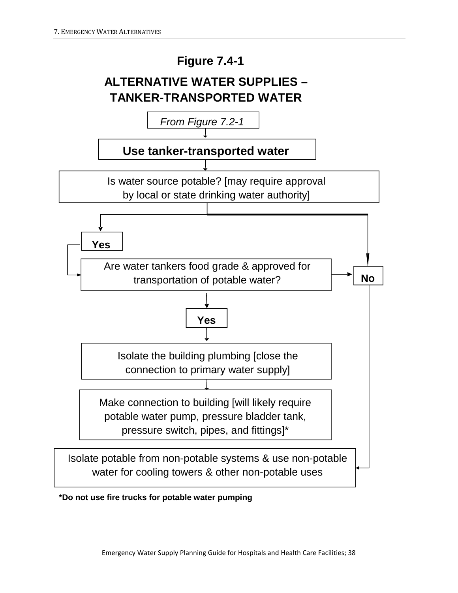

### **\*Do not use fire trucks for potable water pumping**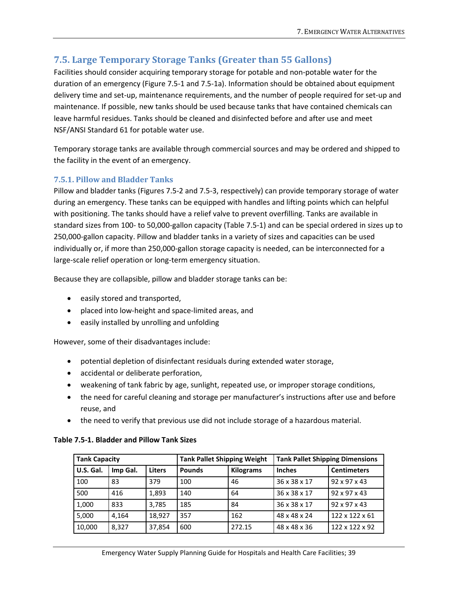# **7.5. Large Temporary Storage Tanks (Greater than 55 Gallons)**

Facilities should consider acquiring temporary storage for potable and non-potable water for the duration of an emergency (Figure 7.5-1 and 7.5-1a). Information should be obtained about equipment delivery time and set-up, maintenance requirements, and the number of people required for set-up and maintenance. If possible, new tanks should be used because tanks that have contained chemicals can leave harmful residues. Tanks should be cleaned and disinfected before and after use and meet NSF/ANSI Standard 61 for potable water use.

Temporary storage tanks are available through commercial sources and may be ordered and shipped to the facility in the event of an emergency.

#### **7.5.1. Pillow and Bladder Tanks**

Pillow and bladder tanks (Figures 7.5-2 and 7.5-3, respectively) can provide temporary storage of water during an emergency. These tanks can be equipped with handles and lifting points which can helpful with positioning. The tanks should have a relief valve to prevent overfilling. Tanks are available in standard sizes from 100- to 50,000-gallon capacity (Table 7.5-1) and can be special ordered in sizes up to 250,000-gallon capacity. Pillow and bladder tanks in a variety of sizes and capacities can be used individually or, if more than 250,000-gallon storage capacity is needed, can be interconnected for a large-scale relief operation or long-term emergency situation.

Because they are collapsible, pillow and bladder storage tanks can be:

- easily stored and transported,
- placed into low-height and space-limited areas, and
- easily installed by unrolling and unfolding

However, some of their disadvantages include:

- potential depletion of disinfectant residuals during extended water storage,
- accidental or deliberate perforation,
- weakening of tank fabric by age, sunlight, repeated use, or improper storage conditions,
- the need for careful cleaning and storage per manufacturer's instructions after use and before reuse, and
- the need to verify that previous use did not include storage of a hazardous material.

| <b>Tank Capacity</b> |          |               |               | <b>Tank Pallet Shipping Weight</b><br><b>Tank Pallet Shipping Dimensions</b> |               |                          |
|----------------------|----------|---------------|---------------|------------------------------------------------------------------------------|---------------|--------------------------|
| U.S. Gal.            | Imp Gal. | <b>Liters</b> | <b>Pounds</b> | <b>Kilograms</b>                                                             | <b>Inches</b> | <b>Centimeters</b>       |
| 100                  | 83       | 379           | 100           | 46                                                                           | 36 x 38 x 17  | $92 \times 97 \times 43$ |
| 500                  | 416      | 1.893         | 140           | 64                                                                           | 36 x 38 x 17  | $92 \times 97 \times 43$ |
| 1,000                | 833      | 3,785         | 185           | 84                                                                           | 36 x 38 x 17  | $92 \times 97 \times 43$ |
| 5,000                | 4.164    | 18.927        | 357           | 162                                                                          | 48 x 48 x 24  | 122 x 122 x 61           |
| 10,000               | 8,327    | 37,854        | 600           | 272.15                                                                       | 48 x 48 x 36  | 122 x 122 x 92           |

#### **Table 7.5-1. Bladder and Pillow Tank Sizes**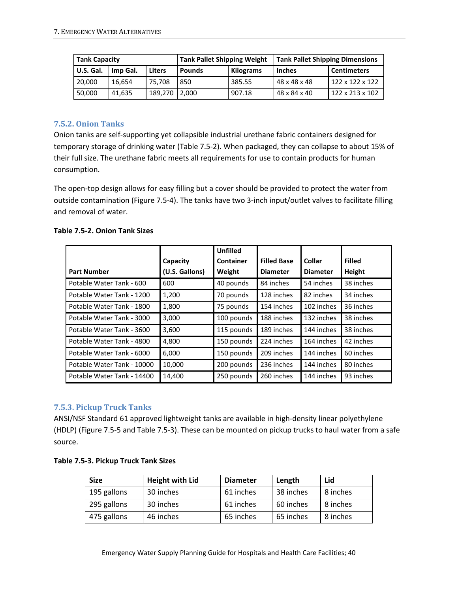| <b>Tank Capacity</b> |          |         |               | <b>Tank Pallet Shipping Dimensions</b><br><b>Tank Pallet Shipping Weight</b> |               |                             |
|----------------------|----------|---------|---------------|------------------------------------------------------------------------------|---------------|-----------------------------|
| U.S. Gal.            | Imp Gal. | Liters  | <b>Pounds</b> | <b>Kilograms</b>                                                             | <b>Inches</b> | <b>Centimeters</b>          |
| 20,000               | 16.654   | 75.708  | 850           | 385.55                                                                       | 48 x 48 x 48  | 122 x 122 x 122             |
| 50,000               | 41.635   | 189.270 | 2.000         | 907.18                                                                       | 48 x 84 x 40  | $122 \times 213 \times 102$ |

#### **7.5.2. Onion Tanks**

Onion tanks are self-supporting yet collapsible industrial urethane fabric containers designed for temporary storage of drinking water (Table 7.5-2). When packaged, they can collapse to about 15% of their full size. The urethane fabric meets all requirements for use to contain products for human consumption.

The open-top design allows for easy filling but a cover should be provided to protect the water from outside contamination (Figure 7.5-4). The tanks have two 3-inch input/outlet valves to facilitate filling and removal of water.

#### **Table 7.5-2. Onion Tank Sizes**

|                            |                | <b>Unfilled</b> |                    |                 |               |
|----------------------------|----------------|-----------------|--------------------|-----------------|---------------|
|                            | Capacity       | Container       | <b>Filled Base</b> | Collar          | <b>Filled</b> |
| <b>Part Number</b>         | (U.S. Gallons) | Weight          | <b>Diameter</b>    | <b>Diameter</b> | <b>Height</b> |
| Potable Water Tank - 600   | 600            | 40 pounds       | 84 inches          | 54 inches       | 38 inches     |
| Potable Water Tank - 1200  | 1,200          | 70 pounds       | 128 inches         | 82 inches       | 34 inches     |
| Potable Water Tank - 1800  | 1,800          | 75 pounds       | 154 inches         | 102 inches      | 36 inches     |
| Potable Water Tank - 3000  | 3,000          | 100 pounds      | 188 inches         | 132 inches      | 38 inches     |
| Potable Water Tank - 3600  | 3,600          | 115 pounds      | 189 inches         | 144 inches      | 38 inches     |
| Potable Water Tank - 4800  | 4,800          | 150 pounds      | 224 inches         | 164 inches      | 42 inches     |
| Potable Water Tank - 6000  | 6,000          | 150 pounds      | 209 inches         | 144 inches      | 60 inches     |
| Potable Water Tank - 10000 | 10,000         | 200 pounds      | 236 inches         | 144 inches      | 80 inches     |
| Potable Water Tank - 14400 | 14,400         | 250 pounds      | 260 inches         | 144 inches      | 93 inches     |

#### **7.5.3. Pickup Truck Tanks**

ANSI/NSF Standard 61 approved lightweight tanks are available in high-density linear polyethylene (HDLP) (Figure 7.5-5 and Table 7.5-3). These can be mounted on pickup trucks to haul water from a safe source.

| Table 7.5-3. Pickup Truck Tank Sizes |
|--------------------------------------|
|--------------------------------------|

| <b>Size</b> | <b>Height with Lid</b> | <b>Diameter</b> | Length    | Lid      |
|-------------|------------------------|-----------------|-----------|----------|
| 195 gallons | 30 inches              | 61 inches       | 38 inches | 8 inches |
| 295 gallons | 30 inches              | 61 inches       | 60 inches | 8 inches |
| 475 gallons | 46 inches              | 65 inches       | 65 inches | 8 inches |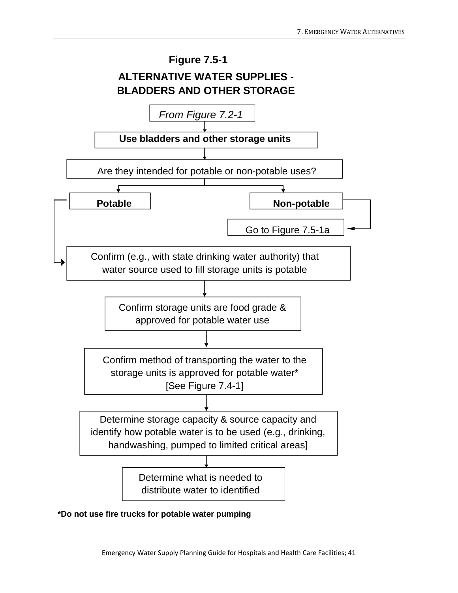

#### **\*Do not use fire trucks for potable water pumping**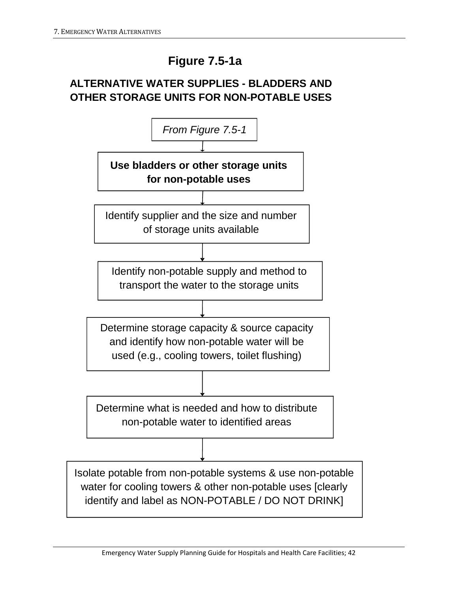# **Figure 7.5-1a**

# **ALTERNATIVE WATER SUPPLIES - BLADDERS AND OTHER STORAGE UNITS FOR NON-POTABLE USES**

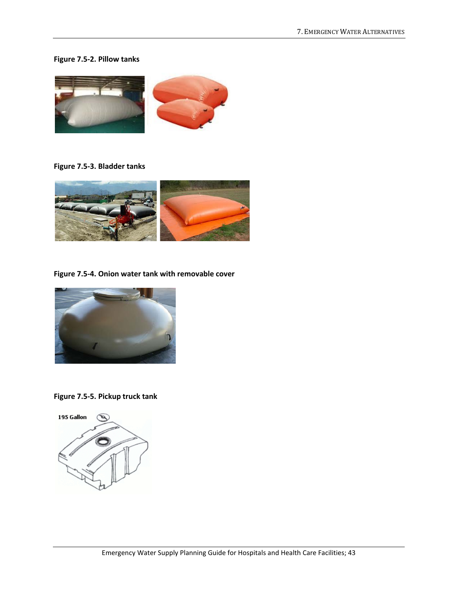#### **Figure 7.5-2. Pillow tanks**



**Figure 7.5-3. Bladder tanks**



**Figure 7.5-4. Onion water tank with removable cover**



**Figure 7.5-5. Pickup truck tank**

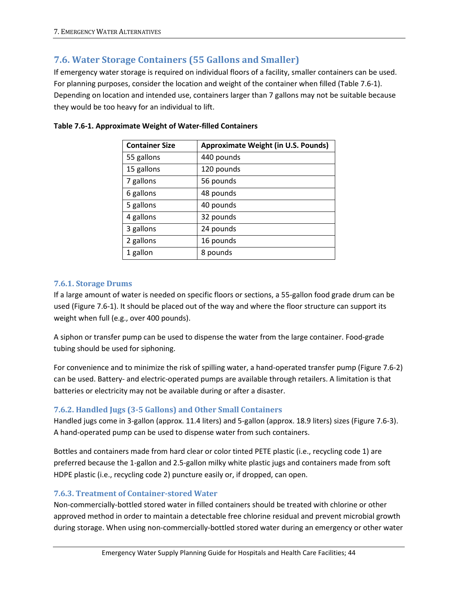### **7.6. Water Storage Containers (55 Gallons and Smaller)**

If emergency water storage is required on individual floors of a facility, smaller containers can be used. For planning purposes, consider the location and weight of the container when filled (Table 7.6-1). Depending on location and intended use, containers larger than 7 gallons may not be suitable because they would be too heavy for an individual to lift.

| <b>Container Size</b> | <b>Approximate Weight (in U.S. Pounds)</b> |
|-----------------------|--------------------------------------------|
| 55 gallons            | 440 pounds                                 |
| 15 gallons            | 120 pounds                                 |
| 7 gallons             | 56 pounds                                  |
| 6 gallons             | 48 pounds                                  |
| 5 gallons             | 40 pounds                                  |
| 4 gallons             | 32 pounds                                  |
| 3 gallons             | 24 pounds                                  |
| 2 gallons             | 16 pounds                                  |
| 1 gallon              | 8 pounds                                   |

#### **Table 7.6-1. Approximate Weight of Water-filled Containers**

#### **7.6.1. Storage Drums**

If a large amount of water is needed on specific floors or sections, a 55-gallon food grade drum can be used (Figure 7.6-1). It should be placed out of the way and where the floor structure can support its weight when full (e.g., over 400 pounds).

A siphon or transfer pump can be used to dispense the water from the large container. Food-grade tubing should be used for siphoning.

For convenience and to minimize the risk of spilling water, a hand-operated transfer pump (Figure 7.6-2) can be used. Battery- and electric-operated pumps are available through retailers. A limitation is that batteries or electricity may not be available during or after a disaster.

#### **7.6.2. Handled Jugs (3-5 Gallons) and Other Small Containers**

Handled jugs come in 3-gallon (approx. 11.4 liters) and 5-gallon (approx. 18.9 liters) sizes (Figure 7.6-3). A hand-operated pump can be used to dispense water from such containers.

Bottles and containers made from hard clear or color tinted PETE plastic (i.e., recycling code 1) are preferred because the 1-gallon and 2.5-gallon milky white plastic jugs and containers made from soft HDPE plastic (i.e., recycling code 2) puncture easily or, if dropped, can open.

#### **7.6.3. Treatment of Container-stored Water**

Non-commercially-bottled stored water in filled containers should be treated with chlorine or other approved method in order to maintain a detectable free chlorine residual and prevent microbial growth during storage. When using non-commercially-bottled stored water during an emergency or other water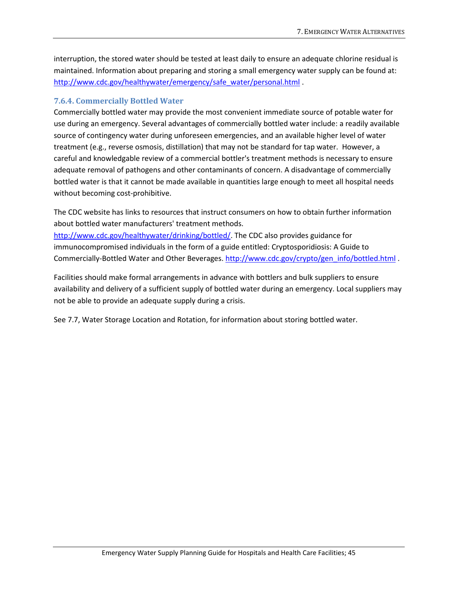interruption, the stored water should be tested at least daily to ensure an adequate chlorine residual is maintained. Information about preparing and storing a small emergency water supply can be found at: [http://www.cdc.gov/healthywater/emergency/safe\\_water/personal.html](http://www.cdc.gov/healthywater/emergency/safe_water/personal.html) .

#### **7.6.4. Commercially Bottled Water**

Commercially bottled water may provide the most convenient immediate source of potable water for use during an emergency. Several advantages of commercially bottled water include: a readily available source of contingency water during unforeseen emergencies, and an available higher level of water treatment (e.g., reverse osmosis, distillation) that may not be standard for tap water. However, a careful and knowledgable review of a commercial bottler's treatment methods is necessary to ensure adequate removal of pathogens and other contaminants of concern. A disadvantage of commercially bottled water is that it cannot be made available in quantities large enough to meet all hospital needs without becoming cost-prohibitive.

The CDC website has links to resources that instruct consumers on how to obtain further information about bottled water manufacturers' treatment methods.

[http://www.cdc.gov/healthywater/drinking/bottled/.](http://www.cdc.gov/healthywater/drinking/bottled/) The CDC also provides guidance for immunocompromised individuals in the form of a guide entitled: Cryptosporidiosis: A Guide to Commercially-Bottled Water and Other Beverages[. http://www.cdc.gov/crypto/gen\\_info/bottled.html](http://www.cdc.gov/crypto/gen_info/bottled.html) .

Facilities should make formal arrangements in advance with bottlers and bulk suppliers to ensure availability and delivery of a sufficient supply of bottled water during an emergency. Local suppliers may not be able to provide an adequate supply during a crisis.

See 7.7, Water Storage Location and Rotation, for information about storing bottled water.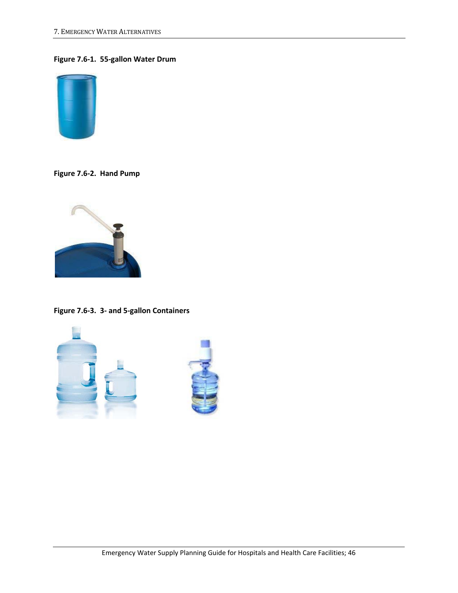#### **Figure 7.6-1. 55-gallon Water Drum**



**Figure 7.6-2. Hand Pump**



**Figure 7.6-3. 3- and 5-gallon Containers**

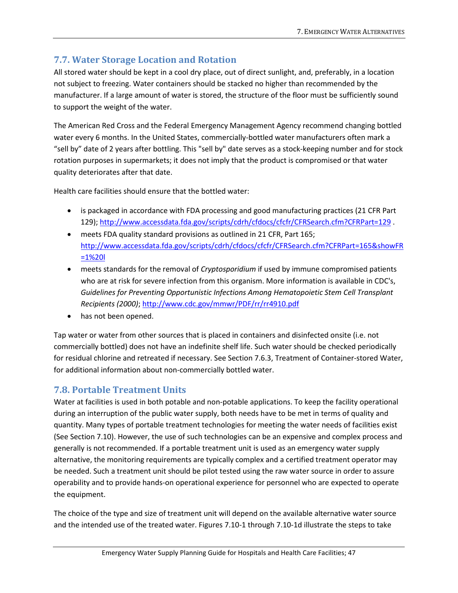# **7.7. Water Storage Location and Rotation**

All stored water should be kept in a cool dry place, out of direct sunlight, and, preferably, in a location not subject to freezing. Water containers should be stacked no higher than recommended by the manufacturer. If a large amount of water is stored, the structure of the floor must be sufficiently sound to support the weight of the water.

The American Red Cross and the Federal Emergency Management Agency recommend changing bottled water every 6 months. In the United States, commercially-bottled water manufacturers often mark a "sell by" date of 2 years after bottling. This "sell by" date serves as a stock-keeping number and for stock rotation purposes in supermarkets; it does not imply that the product is compromised or that water quality deteriorates after that date.

Health care facilities should ensure that the bottled water:

- is packaged in accordance with FDA processing and good manufacturing practices (21 CFR Part 129); <http://www.accessdata.fda.gov/scripts/cdrh/cfdocs/cfcfr/CFRSearch.cfm?CFRPart=129> .
- meets FDA quality standard provisions as outlined in 21 CFR, Part 165; [http://www.accessdata.fda.gov/scripts/cdrh/cfdocs/cfcfr/CFRSearch.cfm?CFRPart=165&showFR](http://www.accessdata.fda.gov/scripts/cdrh/cfdocs/cfcfr/CFRSearch.cfm?CFRPart=165&showFR=1%20l) [=1%20l](http://www.accessdata.fda.gov/scripts/cdrh/cfdocs/cfcfr/CFRSearch.cfm?CFRPart=165&showFR=1%20l)
- meets standards for the removal of *Cryptosporidium* if used by immune compromised patients who are at risk for severe infection from this organism. More information is available in CDC's, *Guidelines for Preventing Opportunistic Infections Among Hematopoietic Stem Cell Transplant Recipients (2000)*; <http://www.cdc.gov/mmwr/PDF/rr/rr4910.pdf>
- has not been opened.

Tap water or water from other sources that is placed in containers and disinfected onsite (i.e. not commercially bottled) does not have an indefinite shelf life. Such water should be checked periodically for residual chlorine and retreated if necessary. See Section 7.6.3, Treatment of Container-stored Water, for additional information about non-commercially bottled water.

## **7.8. Portable Treatment Units**

Water at facilities is used in both potable and non-potable applications. To keep the facility operational during an interruption of the public water supply, both needs have to be met in terms of quality and quantity. Many types of portable treatment technologies for meeting the water needs of facilities exist (See Section 7.10). However, the use of such technologies can be an expensive and complex process and generally is not recommended. If a portable treatment unit is used as an emergency water supply alternative, the monitoring requirements are typically complex and a certified treatment operator may be needed. Such a treatment unit should be pilot tested using the raw water source in order to assure operability and to provide hands-on operational experience for personnel who are expected to operate the equipment.

The choice of the type and size of treatment unit will depend on the available alternative water source and the intended use of the treated water. Figures 7.10-1 through 7.10-1d illustrate the steps to take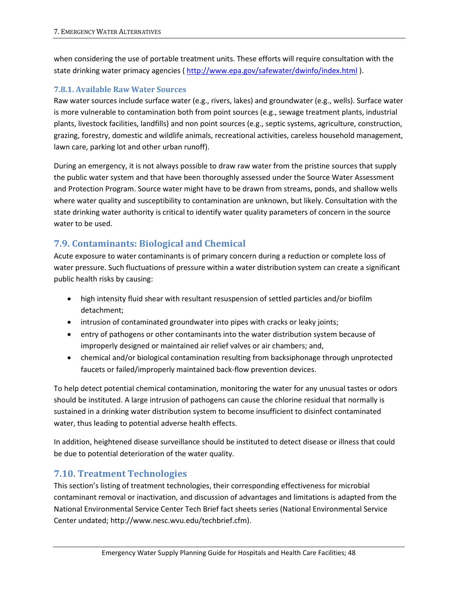when considering the use of portable treatment units. These efforts will require consultation with the state drinking water primacy agencies [\( http://www.epa.gov/safewater/dwinfo/index.html](http://www.epa.gov/safewater/dwinfo/index.html) ).

#### **7.8.1. Available Raw Water Sources**

Raw water sources include surface water (e.g., rivers, lakes) and groundwater (e.g., wells). Surface water is more vulnerable to contamination both from point sources (e.g., sewage treatment plants, industrial plants, livestock facilities, landfills) and non point sources (e.g., septic systems, agriculture, construction, grazing, forestry, domestic and wildlife animals, recreational activities, careless household management, lawn care, parking lot and other urban runoff).

During an emergency, it is not always possible to draw raw water from the pristine sources that supply the public water system and that have been thoroughly assessed under the Source Water Assessment and Protection Program. Source water might have to be drawn from streams, ponds, and shallow wells where water quality and susceptibility to contamination are unknown, but likely. Consultation with the state drinking water authority is critical to identify water quality parameters of concern in the source water to be used.

## **7.9. Contaminants: Biological and Chemical**

Acute exposure to water contaminants is of primary concern during a reduction or complete loss of water pressure. Such fluctuations of pressure within a water distribution system can create a significant public health risks by causing:

- high intensity fluid shear with resultant resuspension of settled particles and/or biofilm detachment;
- intrusion of contaminated groundwater into pipes with cracks or leaky joints;
- entry of pathogens or other contaminants into the water distribution system because of improperly designed or maintained air relief valves or air chambers; and,
- chemical and/or biological contamination resulting from backsiphonage through unprotected faucets or failed/improperly maintained back-flow prevention devices.

To help detect potential chemical contamination, monitoring the water for any unusual tastes or odors should be instituted. A large intrusion of pathogens can cause the chlorine residual that normally is sustained in a drinking water distribution system to become insufficient to disinfect contaminated water, thus leading to potential adverse health effects.

In addition, heightened disease surveillance should be instituted to detect disease or illness that could be due to potential deterioration of the water quality.

### **7.10. Treatment Technologies**

This section's listing of treatment technologies, their corresponding effectiveness for microbial contaminant removal or inactivation, and discussion of advantages and limitations is adapted from the National Environmental Service Center Tech Brief fact sheets series (National Environmental Service Center undated; http://www.nesc.wvu.edu/techbrief.cfm).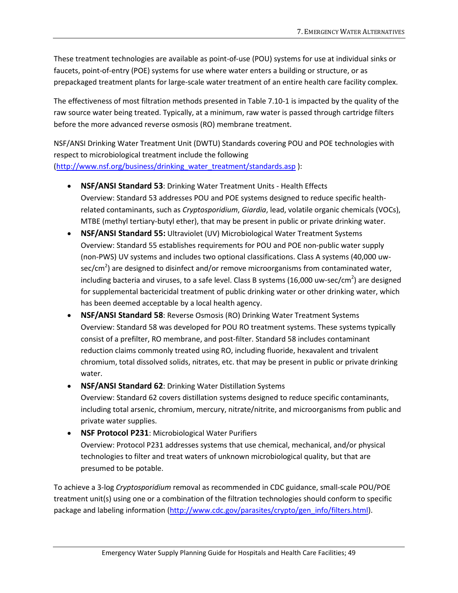These treatment technologies are available as point-of-use (POU) systems for use at individual sinks or faucets, point-of-entry (POE) systems for use where water enters a building or structure, or as prepackaged treatment plants for large-scale water treatment of an entire health care facility complex.

The effectiveness of most filtration methods presented in Table 7.10-1 is impacted by the quality of the raw source water being treated. Typically, at a minimum, raw water is passed through cartridge filters before the more advanced reverse osmosis (RO) membrane treatment.

NSF/ANSI Drinking Water Treatment Unit (DWTU) Standards covering POU and POE technologies with respect to microbiological treatment include the following [\(http://www.nsf.org/business/drinking\\_water\\_treatment/standards.asp](http://www.nsf.org/business/drinking_water_treatment/standards.asp)):

- **NSF/ANSI Standard 53**: Drinking Water Treatment Units Health Effects Overview: Standard 53 addresses POU and POE systems designed to reduce specific healthrelated contaminants, such as *Cryptosporidium*, *Giardia*, lead, volatile organic chemicals (VOCs), MTBE (methyl tertiary-butyl ether), that may be present in public or private drinking water.
- **NSF/ANSI Standard 55:** Ultraviolet (UV) Microbiological Water Treatment Systems Overview: Standard 55 establishes requirements for POU and POE non-public water supply (non-PWS) UV systems and includes two optional classifications. Class A systems (40,000 uwsec/cm<sup>2</sup>) are designed to disinfect and/or remove microorganisms from contaminated water, including bacteria and viruses, to a safe level. Class B systems (16,000 uw-sec/cm<sup>2</sup>) are designed for supplemental bactericidal treatment of public drinking water or other drinking water, which has been deemed acceptable by a local health agency.
- **NSF/ANSI Standard 58**: Reverse Osmosis (RO) Drinking Water Treatment Systems Overview: Standard 58 was developed for POU RO treatment systems. These systems typically consist of a prefilter, RO membrane, and post-filter. Standard 58 includes contaminant reduction claims commonly treated using RO, including fluoride, hexavalent and trivalent chromium, total dissolved solids, nitrates, etc. that may be present in public or private drinking water.
- **NSF/ANSI Standard 62**: Drinking Water Distillation Systems Overview: Standard 62 covers distillation systems designed to reduce specific contaminants, including total arsenic, chromium, mercury, nitrate/nitrite, and microorganisms from public and private water supplies.
- **NSF Protocol P231**: Microbiological Water Purifiers Overview: Protocol P231 addresses systems that use chemical, mechanical, and/or physical technologies to filter and treat waters of unknown microbiological quality, but that are presumed to be potable.

To achieve a 3-log *Cryptosporidium* removal as recommended in CDC guidance, small-scale POU/POE treatment unit(s) using one or a combination of the filtration technologies should conform to specific package and labeling information [\(http://www.cdc.gov/parasites/crypto/gen\\_info/filters.html\)](http://www.cdc.gov/parasites/crypto/gen_info/filters.html).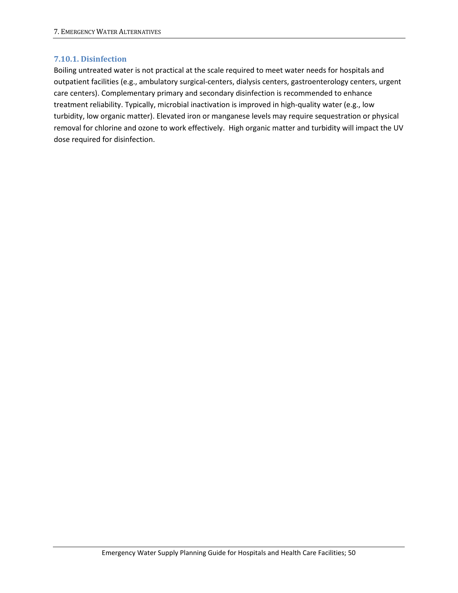#### **7.10.1. Disinfection**

Boiling untreated water is not practical at the scale required to meet water needs for hospitals and outpatient facilities (e.g., ambulatory surgical-centers, dialysis centers, gastroenterology centers, urgent care centers). Complementary primary and secondary disinfection is recommended to enhance treatment reliability. Typically, microbial inactivation is improved in high-quality water (e.g., low turbidity, low organic matter). Elevated iron or manganese levels may require sequestration or physical removal for chlorine and ozone to work effectively. High organic matter and turbidity will impact the UV dose required for disinfection.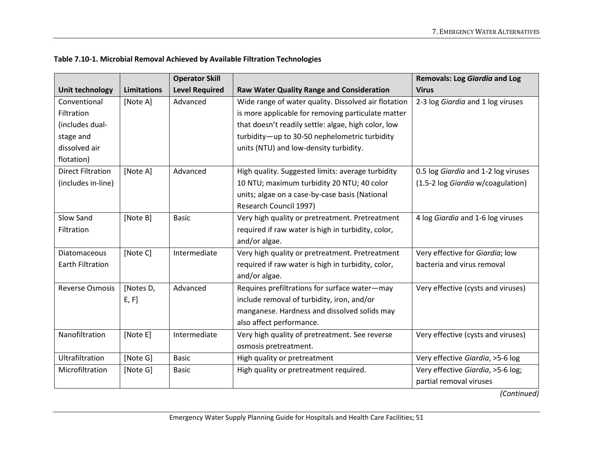|                          |                    | <b>Operator Skill</b> |                                                      | <b>Removals: Log Giardia and Log</b> |
|--------------------------|--------------------|-----------------------|------------------------------------------------------|--------------------------------------|
| Unit technology          | <b>Limitations</b> | <b>Level Required</b> | <b>Raw Water Quality Range and Consideration</b>     | <b>Virus</b>                         |
| Conventional             | [Note A]           | Advanced              | Wide range of water quality. Dissolved air flotation | 2-3 log Giardia and 1 log viruses    |
| Filtration               |                    |                       | is more applicable for removing particulate matter   |                                      |
| (includes dual-          |                    |                       | that doesn't readily settle: algae, high color, low  |                                      |
| stage and                |                    |                       | turbidity-up to 30-50 nephelometric turbidity        |                                      |
| dissolved air            |                    |                       | units (NTU) and low-density turbidity.               |                                      |
| flotation)               |                    |                       |                                                      |                                      |
| <b>Direct Filtration</b> | [Note A]           | Advanced              | High quality. Suggested limits: average turbidity    | 0.5 log Giardia and 1-2 log viruses  |
| (includes in-line)       |                    |                       | 10 NTU; maximum turbidity 20 NTU; 40 color           | (1.5-2 log Giardia w/coagulation)    |
|                          |                    |                       | units; algae on a case-by-case basis (National       |                                      |
|                          |                    |                       | Research Council 1997)                               |                                      |
| Slow Sand                | [Note B]           | <b>Basic</b>          | Very high quality or pretreatment. Pretreatment      | 4 log Giardia and 1-6 log viruses    |
| Filtration               |                    |                       | required if raw water is high in turbidity, color,   |                                      |
|                          |                    |                       | and/or algae.                                        |                                      |
| <b>Diatomaceous</b>      | [Note C]           | Intermediate          | Very high quality or pretreatment. Pretreatment      | Very effective for Giardia; low      |
| <b>Earth Filtration</b>  |                    |                       | required if raw water is high in turbidity, color,   | bacteria and virus removal           |
|                          |                    |                       | and/or algae.                                        |                                      |
| <b>Reverse Osmosis</b>   | [Notes D,          | Advanced              | Requires prefiltrations for surface water-may        | Very effective (cysts and viruses)   |
|                          | E, F]              |                       | include removal of turbidity, iron, and/or           |                                      |
|                          |                    |                       | manganese. Hardness and dissolved solids may         |                                      |
|                          |                    |                       | also affect performance.                             |                                      |
| Nanofiltration           | [Note E]           | Intermediate          | Very high quality of pretreatment. See reverse       | Very effective (cysts and viruses)   |
|                          |                    |                       | osmosis pretreatment.                                |                                      |
| Ultrafiltration          | [Note G]           | <b>Basic</b>          | High quality or pretreatment                         | Very effective Giardia, >5-6 log     |
| Microfiltration          | [Note G]           | <b>Basic</b>          | High quality or pretreatment required.               | Very effective Giardia, >5-6 log;    |
|                          |                    |                       |                                                      | partial removal viruses              |

#### **Table 7.10-1. Microbial Removal Achieved by Available Filtration Technologies**

*(Continued)*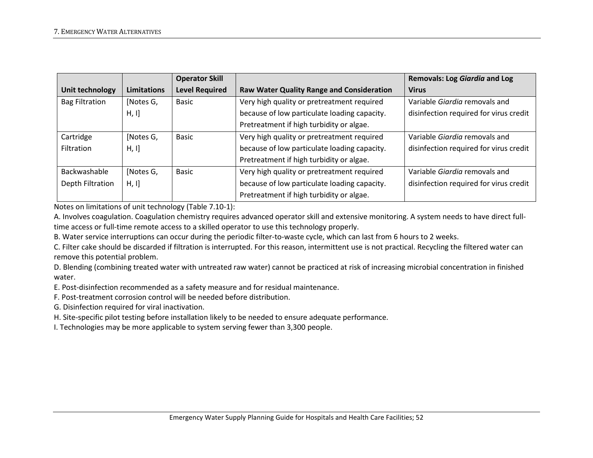|                       |                    | <b>Operator Skill</b> |                                                  | <b>Removals: Log Giardia and Log</b>   |
|-----------------------|--------------------|-----------------------|--------------------------------------------------|----------------------------------------|
| Unit technology       | <b>Limitations</b> | <b>Level Required</b> | <b>Raw Water Quality Range and Consideration</b> | <b>Virus</b>                           |
| <b>Bag Filtration</b> | [Notes G,          | <b>Basic</b>          | Very high quality or pretreatment required       | Variable Giardia removals and          |
|                       | H, I]              |                       | because of low particulate loading capacity.     | disinfection required for virus credit |
|                       |                    |                       | Pretreatment if high turbidity or algae.         |                                        |
| Cartridge             | [Notes G,          | <b>Basic</b>          | Very high quality or pretreatment required       | Variable Giardia removals and          |
| Filtration            | H, I]              |                       | because of low particulate loading capacity.     | disinfection required for virus credit |
|                       |                    |                       | Pretreatment if high turbidity or algae.         |                                        |
| Backwashable          | [Notes G,          | <b>Basic</b>          | Very high quality or pretreatment required       | Variable Giardia removals and          |
| Depth Filtration      | H, I]              |                       | because of low particulate loading capacity.     | disinfection required for virus credit |
|                       |                    |                       | Pretreatment if high turbidity or algae.         |                                        |

Notes on limitations of unit technology (Table 7.10-1):

A. Involves coagulation. Coagulation chemistry requires advanced operator skill and extensive monitoring. A system needs to have direct fulltime access or full-time remote access to a skilled operator to use this technology properly.

B. Water service interruptions can occur during the periodic filter-to-waste cycle, which can last from 6 hours to 2 weeks.

C. Filter cake should be discarded if filtration is interrupted. For this reason, intermittent use is not practical. Recycling the filtered water can remove this potential problem.

D. Blending (combining treated water with untreated raw water) cannot be practiced at risk of increasing microbial concentration in finished water.

E. Post-disinfection recommended as a safety measure and for residual maintenance.

F. Post-treatment corrosion control will be needed before distribution.

G. Disinfection required for viral inactivation.

H. Site-specific pilot testing before installation likely to be needed to ensure adequate performance.

I. Technologies may be more applicable to system serving fewer than 3,300 people.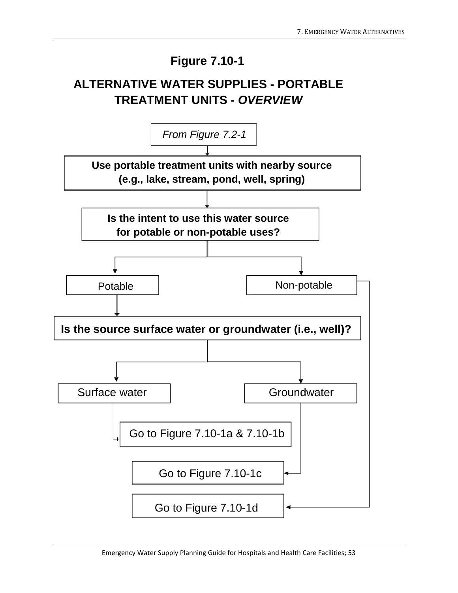# **Figure 7.10-1**

# **ALTERNATIVE WATER SUPPLIES - PORTABLE TREATMENT UNITS -** *OVERVIEW*

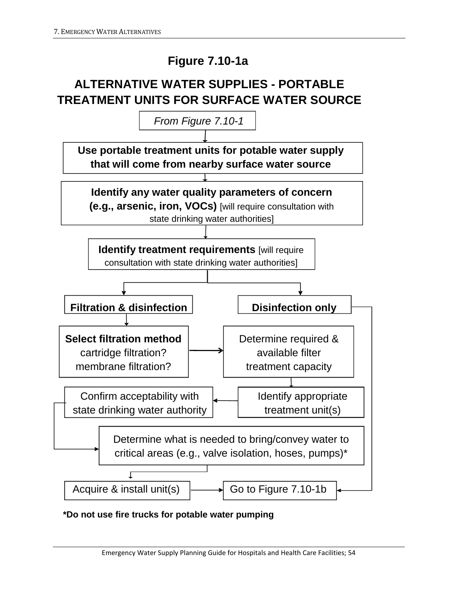# **Figure 7.10-1a**

# **ALTERNATIVE WATER SUPPLIES - PORTABLE TREATMENT UNITS FOR SURFACE WATER SOURCE**



**\*Do not use fire trucks for potable water pumping**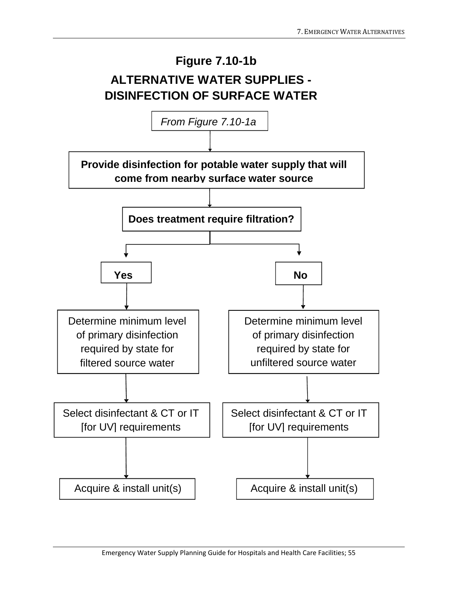

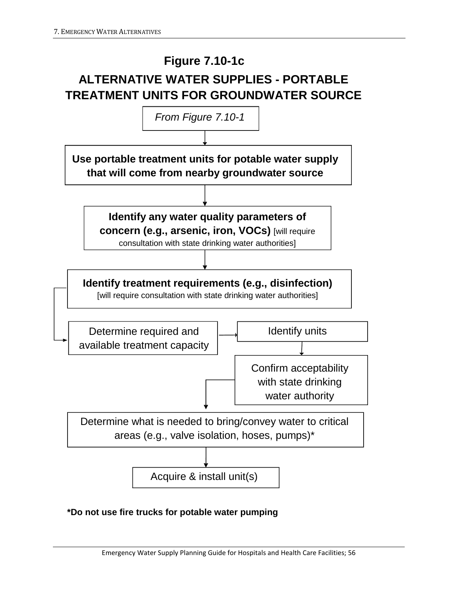

**Use portable treatment units for potable water supply that will come from nearby groundwater source Identify any water quality parameters of concern (e.g., arsenic, iron, VOCs)** [will require consultation with state drinking water authorities] Identify units Determine what is needed to bring/convey water to critical areas (e.g., valve isolation, hoses, pumps)\* Acquire & install unit(s) **Identify treatment requirements (e.g., disinfection)** [will require consultation with state drinking water authorities] Determine required and available treatment capacity Confirm acceptability with state drinking water authority *From Figure 7.10-1*

### **\*Do not use fire trucks for potable water pumping**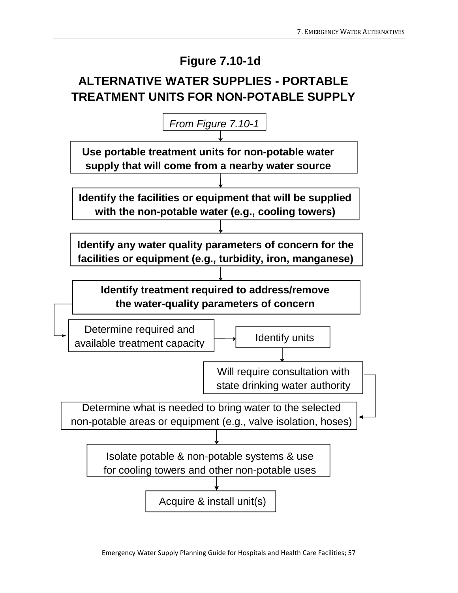# **Figure 7.10-1d**

# **ALTERNATIVE WATER SUPPLIES - PORTABLE TREATMENT UNITS FOR NON-POTABLE SUPPLY**

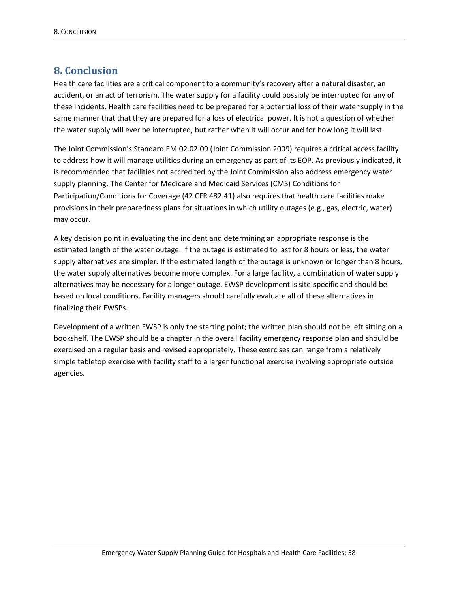### **8. Conclusion**

Health care facilities are a critical component to a community's recovery after a natural disaster, an accident, or an act of terrorism. The water supply for a facility could possibly be interrupted for any of these incidents. Health care facilities need to be prepared for a potential loss of their water supply in the same manner that that they are prepared for a loss of electrical power. It is not a question of whether the water supply will ever be interrupted, but rather when it will occur and for how long it will last.

The Joint Commission's Standard EM.02.02.09 (Joint Commission 2009) requires a critical access facility to address how it will manage utilities during an emergency as part of its EOP. As previously indicated, it is recommended that facilities not accredited by the Joint Commission also address emergency water supply planning. The Center for Medicare and Medicaid Services (CMS) Conditions for Participation/Conditions for Coverage (42 CFR 482.41) also requires that health care facilities make provisions in their preparedness plans for situations in which utility outages (e.g., gas, electric, water) may occur.

A key decision point in evaluating the incident and determining an appropriate response is the estimated length of the water outage. If the outage is estimated to last for 8 hours or less, the water supply alternatives are simpler. If the estimated length of the outage is unknown or longer than 8 hours, the water supply alternatives become more complex. For a large facility, a combination of water supply alternatives may be necessary for a longer outage. EWSP development is site-specific and should be based on local conditions. Facility managers should carefully evaluate all of these alternatives in finalizing their EWSPs.

Development of a written EWSP is only the starting point; the written plan should not be left sitting on a bookshelf. The EWSP should be a chapter in the overall facility emergency response plan and should be exercised on a regular basis and revised appropriately. These exercises can range from a relatively simple tabletop exercise with facility staff to a larger functional exercise involving appropriate outside agencies.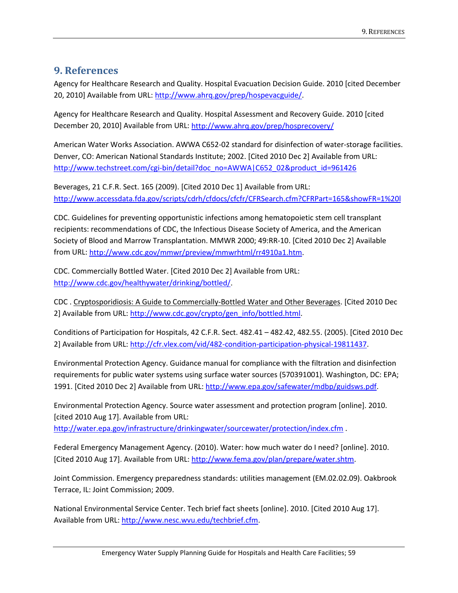### **9. References**

Agency for Healthcare Research and Quality. Hospital Evacuation Decision Guide. 2010 [cited December 20, 2010] Available from URL: [http://www.ahrq.gov/prep/hospevacguide/.](http://www.ahrq.gov/prep/hospevacguide/)

Agency for Healthcare Research and Quality. Hospital Assessment and Recovery Guide. 2010 [cited December 20, 2010] Available from URL:<http://www.ahrq.gov/prep/hosprecovery/>

American Water Works Association. AWWA C652-02 standard for disinfection of water-storage facilities. Denver, CO: American National Standards Institute; 2002. [Cited 2010 Dec 2] Available from URL: [http://www.techstreet.com/cgi-bin/detail?doc\\_no=AWWA|C652\\_02&product\\_id=961426](http://www.techstreet.com/cgi-bin/detail?doc_no=AWWA|C652_02&product_id=961426)

Beverages, 21 C.F.R. Sect. 165 (2009). [Cited 2010 Dec 1] Available from URL: <http://www.accessdata.fda.gov/scripts/cdrh/cfdocs/cfcfr/CFRSearch.cfm?CFRPart=165&showFR=1%20l>

CDC. Guidelines for preventing opportunistic infections among hematopoietic stem cell transplant recipients: recommendations of CDC, the Infectious Disease Society of America, and the American Society of Blood and Marrow Transplantation. MMWR 2000; 49:RR-10. [Cited 2010 Dec 2] Available from URL: [http://www.cdc.gov/mmwr/preview/mmwrhtml/rr4910a1.htm.](http://www.cdc.gov/mmwr/preview/mmwrhtml/rr4910a1.htm)

CDC. Commercially Bottled Water. [Cited 2010 Dec 2] Available from URL: [http://www.cdc.gov/healthywater/drinking/bottled/.](http://www.cdc.gov/healthywater/drinking/bottled/)

CDC . [Cryptosporidiosis: A Guide to Commercially-Bottled Water and Other Beverages.](http://www.cdc.gov/crypto/gen_info/bottled.html) [Cited 2010 Dec 2] Available from URL: [http://www.cdc.gov/crypto/gen\\_info/bottled.html.](http://www.cdc.gov/crypto/gen_info/bottled.html)

Conditions of Participation for Hospitals, 42 C.F.R. Sect. 482.41 – 482.42, 482.55. (2005). [Cited 2010 Dec 2] Available from URL: [http://cfr.vlex.com/vid/482-condition-participation-physical-19811437.](http://cfr.vlex.com/vid/482-condition-participation-physical-19811437)

Environmental Protection Agency. Guidance manual for compliance with the filtration and disinfection requirements for public water systems using surface water sources (570391001). Washington, DC: EPA; 1991. [Cited 2010 Dec 2] Available from URL: [http://www.epa.gov/safewater/mdbp/guidsws.pdf.](http://www.epa.gov/safewater/mdbp/guidsws.pdf)

Environmental Protection Agency. Source water assessment and protection program [online]. 2010. [cited 2010 Aug 17]. Available from URL: <http://water.epa.gov/infrastructure/drinkingwater/sourcewater/protection/index.cfm> .

Federal Emergency Management Agency. (2010). Water: how much water do I need? [online]. 2010. [Cited 2010 Aug 17]. Available from URL: [http://www.fema.gov/plan/prepare/water.shtm.](http://www.fema.gov/plan/prepare/water.shtm)

Joint Commission. Emergency preparedness standards: utilities management (EM.02.02.09). Oakbrook Terrace, IL: Joint Commission; 2009.

National Environmental Service Center. Tech brief fact sheets [online]. 2010. [Cited 2010 Aug 17]. Available from URL: [http://www.nesc.wvu.edu/techbrief.cfm.](http://www.nesc.wvu.edu/techbrief.cfm)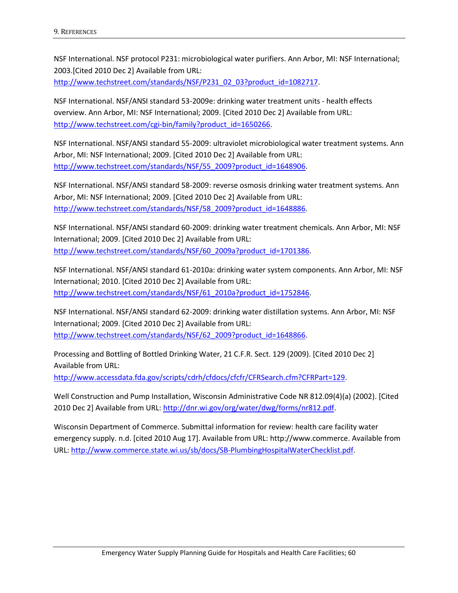NSF International. NSF protocol P231: microbiological water purifiers. Ann Arbor, MI: NSF International; 2003.[Cited 2010 Dec 2] Available from URL:

[http://www.techstreet.com/standards/NSF/P231\\_02\\_03?product\\_id=1082717.](http://www.techstreet.com/standards/NSF/P231_02_03?product_id=1082717)

NSF International. NSF/ANSI standard 53-2009e: drinking water treatment units - health effects overview. Ann Arbor, MI: NSF International; 2009. [Cited 2010 Dec 2] Available from URL: [http://www.techstreet.com/cgi-bin/family?product\\_id=1650266.](http://www.techstreet.com/cgi-bin/family?product_id=1650266)

NSF International. NSF/ANSI standard 55-2009: ultraviolet microbiological water treatment systems. Ann Arbor, MI: NSF International; 2009. [Cited 2010 Dec 2] Available from URL: [http://www.techstreet.com/standards/NSF/55\\_2009?product\\_id=1648906.](http://www.techstreet.com/standards/NSF/55_2009?product_id=1648906)

NSF International. NSF/ANSI standard 58-2009: reverse osmosis drinking water treatment systems. Ann Arbor, MI: NSF International; 2009. [Cited 2010 Dec 2] Available from URL: [http://www.techstreet.com/standards/NSF/58\\_2009?product\\_id=1648886.](http://www.techstreet.com/standards/NSF/58_2009?product_id=1648886)

NSF International. NSF/ANSI standard 60-2009: drinking water treatment chemicals. Ann Arbor, MI: NSF International; 2009. [Cited 2010 Dec 2] Available from URL: [http://www.techstreet.com/standards/NSF/60\\_2009a?product\\_id=1701386.](http://www.techstreet.com/standards/NSF/60_2009a?product_id=1701386)

NSF International. NSF/ANSI standard 61-2010a: drinking water system components. Ann Arbor, MI: NSF International; 2010. [Cited 2010 Dec 2] Available from URL: [http://www.techstreet.com/standards/NSF/61\\_2010a?product\\_id=1752846.](http://www.techstreet.com/standards/NSF/61_2010a?product_id=1752846)

NSF International. NSF/ANSI standard 62-2009: drinking water distillation systems. Ann Arbor, MI: NSF International; 2009. [Cited 2010 Dec 2] Available from URL: [http://www.techstreet.com/standards/NSF/62\\_2009?product\\_id=1648866.](http://www.techstreet.com/standards/NSF/62_2009?product_id=1648866)

Processing and Bottling of Bottled Drinking Water, 21 C.F.R. Sect. 129 (2009). [Cited 2010 Dec 2] Available from URL:

[http://www.accessdata.fda.gov/scripts/cdrh/cfdocs/cfcfr/CFRSearch.cfm?CFRPart=129.](http://www.accessdata.fda.gov/scripts/cdrh/cfdocs/cfcfr/CFRSearch.cfm?CFRPart=129)

Well Construction and Pump Installation, Wisconsin Administrative Code NR 812.09(4)(a) (2002). [Cited 2010 Dec 2] Available from URL: [http://dnr.wi.gov/org/water/dwg/forms/nr812.pdf.](http://dnr.wi.gov/org/water/dwg/forms/nr812.pdf)

Wisconsin Department of Commerce. Submittal information for review: health care facility water emergency supply. n.d. [cited 2010 Aug 17]. Available from URL: http://www.commerce. Available from URL: [http://www.commerce.state.wi.us/sb/docs/SB-PlumbingHospitalWaterChecklist.pdf.](http://www.commerce.state.wi.us/sb/docs/SB-PlumbingHospitalWaterChecklist.pdf)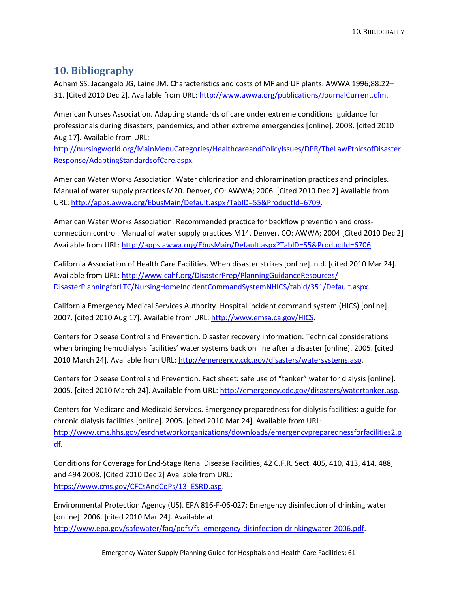# **10. Bibliography**

Adham SS, Jacangelo JG, Laine JM. Characteristics and costs of MF and UF plants. AWWA 1996;88:22– 31. [Cited 2010 Dec 2]. Available from URL[: http://www.awwa.org/publications/JournalCurrent.cfm.](http://www.awwa.org/publications/JournalCurrent.cfm)

American Nurses Association. Adapting standards of care under extreme conditions: guidance for professionals during disasters, pandemics, and other extreme emergencies [online]. 2008. [cited 2010 Aug 17]. Available from URL:

[http://nursingworld.org/MainMenuCategories/HealthcareandPolicyIssues/DPR/TheLawEthicsofDisaster](http://nursingworld.org/MainMenuCategories/HealthcareandPolicyIssues/DPR/TheLawEthicsofDisasterResponse/AdaptingStandardsofCare.aspx) [Response/AdaptingStandardsofCare.aspx.](http://nursingworld.org/MainMenuCategories/HealthcareandPolicyIssues/DPR/TheLawEthicsofDisasterResponse/AdaptingStandardsofCare.aspx)

American Water Works Association. Water chlorination and chloramination practices and principles. Manual of water supply practices M20. Denver, CO: AWWA; 2006. [Cited 2010 Dec 2] Available from URL: [http://apps.awwa.org/EbusMain/Default.aspx?TabID=55&ProductId=6709.](http://apps.awwa.org/EbusMain/Default.aspx?TabID=55&ProductId=6709)

American Water Works Association. Recommended practice for backflow prevention and crossconnection control. Manual of water supply practices M14. Denver, CO: AWWA; 2004 [Cited 2010 Dec 2] Available from URL[: http://apps.awwa.org/EbusMain/Default.aspx?TabID=55&ProductId=6706.](http://apps.awwa.org/EbusMain/Default.aspx?TabID=55&ProductId=6706)

California Association of Health Care Facilities. When disaster strikes [online]. n.d. [cited 2010 Mar 24]. Available from URL: [http://www.cahf.org/DisasterPrep/PlanningGuidanceResources/](http://www.cahf.org/DisasterPrep/PlanningGuidanceResources/%20DisasterPlanningforLTC/NursingHomeIncidentCommandSystemNHICS/tabid/351/Default.aspx)  [DisasterPlanningforLTC/NursingHomeIncidentCommandSystemNHICS/tabid/351/Default.aspx.](http://www.cahf.org/DisasterPrep/PlanningGuidanceResources/%20DisasterPlanningforLTC/NursingHomeIncidentCommandSystemNHICS/tabid/351/Default.aspx)

California Emergency Medical Services Authority. Hospital incident command system (HICS) [online]. 2007. [cited 2010 Aug 17]. Available from URL: [http://www.emsa.ca.gov/HICS.](http://www.emsa.ca.gov/HICS)

Centers for Disease Control and Prevention. Disaster recovery information: Technical considerations when bringing hemodialysis facilities' water systems back on line after a disaster [online]. 2005. [cited 2010 March 24]. Available from URL: [http://emergency.cdc.gov/disasters/watersystems.asp.](http://emergency.cdc.gov/disasters/watersystems.asp)

Centers for Disease Control and Prevention. Fact sheet: safe use of "tanker" water for dialysis [online]. 2005. [cited 2010 March 24]. Available from URL: [http://emergency.cdc.gov/disasters/watertanker.asp.](http://emergency.cdc.gov/disasters/watertanker.asp)

Centers for Medicare and Medicaid Services. Emergency preparedness for dialysis facilities: a guide for chronic dialysis facilities [online]. 2005. [cited 2010 Mar 24]. Available from URL: [http://www.cms.hhs.gov/esrdnetworkorganizations/downloads/emergencypreparednessforfacilities2.p](http://www.cms.hhs.gov/esrdnetworkorganizations/downloads/emergencypreparednessforfacilities2.pdf) [df.](http://www.cms.hhs.gov/esrdnetworkorganizations/downloads/emergencypreparednessforfacilities2.pdf)

Conditions for Coverage for End-Stage Renal Disease Facilities, 42 C.F.R. Sect. 405, 410, 413, 414, 488, and 494 2008. [Cited 2010 Dec 2] Available from URL: [https://www.cms.gov/CFCsAndCoPs/13\\_ESRD.asp.](https://www.cms.gov/CFCsAndCoPs/13_ESRD.asp)

Environmental Protection Agency (US). EPA 816-F-06-027: Emergency disinfection of drinking water [online]. 2006. [cited 2010 Mar 24]. Available at [http://www.epa.gov/safewater/faq/pdfs/fs\\_emergency-disinfection-drinkingwater-2006.pdf.](http://www.epa.gov/safewater/faq/pdfs/fs_emergency-disinfection-drinkingwater-2006.pdf)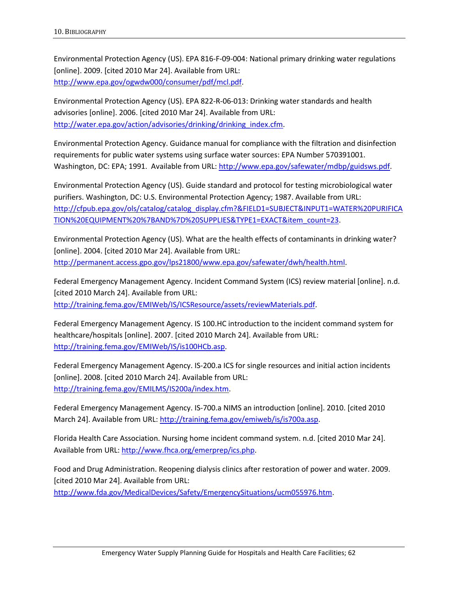Environmental Protection Agency (US). EPA 816-F-09-004: National primary drinking water regulations [online]. 2009. [cited 2010 Mar 24]. Available from URL: [http://www.epa.gov/ogwdw000/consumer/pdf/mcl.pdf.](http://www.epa.gov/ogwdw000/consumer/pdf/mcl.pdf)

Environmental Protection Agency (US). EPA 822-R-06-013: Drinking water standards and health advisories [online]. 2006. [cited 2010 Mar 24]. Available from URL: [http://water.epa.gov/action/advisories/drinking/drinking\\_index.cfm.](http://water.epa.gov/action/advisories/drinking/drinking_index.cfm)

Environmental Protection Agency. Guidance manual for compliance with the filtration and disinfection requirements for public water systems using surface water sources: EPA Number 570391001. Washington, DC: EPA; 1991. Available from URL[: http://www.epa.gov/safewater/mdbp/guidsws.pdf.](http://www.epa.gov/safewater/mdbp/guidsws.pdf)

Environmental Protection Agency (US). Guide standard and protocol for testing microbiological water purifiers. Washington, DC: U.S. Environmental Protection Agency; 1987. Available from URL: [http://cfpub.epa.gov/ols/catalog/catalog\\_display.cfm?&FIELD1=SUBJECT&INPUT1=WATER%20PURIFICA](http://cfpub.epa.gov/ols/catalog/catalog_display.cfm?&FIELD1=SUBJECT&INPUT1=WATER%20PURIFICATION%20EQUIPMENT%20%7BAND%7D%20SUPPLIES&TYPE1=EXACT&item_count=23) [TION%20EQUIPMENT%20%7BAND%7D%20SUPPLIES&TYPE1=EXACT&item\\_count=23.](http://cfpub.epa.gov/ols/catalog/catalog_display.cfm?&FIELD1=SUBJECT&INPUT1=WATER%20PURIFICATION%20EQUIPMENT%20%7BAND%7D%20SUPPLIES&TYPE1=EXACT&item_count=23)

Environmental Protection Agency (US). What are the health effects of contaminants in drinking water? [online]. 2004. [cited 2010 Mar 24]. Available from URL: [http://permanent.access.gpo.gov/lps21800/www.epa.gov/safewater/dwh/health.html.](http://permanent.access.gpo.gov/lps21800/www.epa.gov/safewater/dwh/health.html)

Federal Emergency Management Agency. Incident Command System (ICS) review material [online]. n.d. [cited 2010 March 24]. Available from URL: [http://training.fema.gov/EMIWeb/IS/ICSResource/assets/reviewMaterials.pdf.](http://training.fema.gov/EMIWeb/IS/ICSResource/assets/reviewMaterials.pdf)

Federal Emergency Management Agency. IS 100.HC introduction to the incident command system for healthcare/hospitals [online]. 2007. [cited 2010 March 24]. Available from URL: [http://training.fema.gov/EMIWeb/IS/is100HCb.asp.](http://training.fema.gov/EMIWeb/IS/is100HCb.asp)

Federal Emergency Management Agency. IS-200.a ICS for single resources and initial action incidents [online]. 2008. [cited 2010 March 24]. Available from URL: [http://training.fema.gov/EMILMS/IS200a/index.htm.](http://training.fema.gov/EMILMS/IS200a/index.htm)

Federal Emergency Management Agency. IS-700.a NIMS an introduction [online]. 2010. [cited 2010 March 24]. Available from URL: [http://training.fema.gov/emiweb/is/is700a.asp.](http://training.fema.gov/emiweb/is/is700a.asp)

Florida Health Care Association. Nursing home incident command system. n.d. [cited 2010 Mar 24]. Available from URL: [http://www.fhca.org/emerprep/ics.php.](http://www.fhca.org/emerprep/ics.php)

Food and Drug Administration. Reopening dialysis clinics after restoration of power and water. 2009. [cited 2010 Mar 24]. Available from URL: [http://www.fda.gov/MedicalDevices/Safety/EmergencySituations/ucm055976.htm.](http://www.fda.gov/MedicalDevices/Safety/EmergencySituations/ucm055976.htm)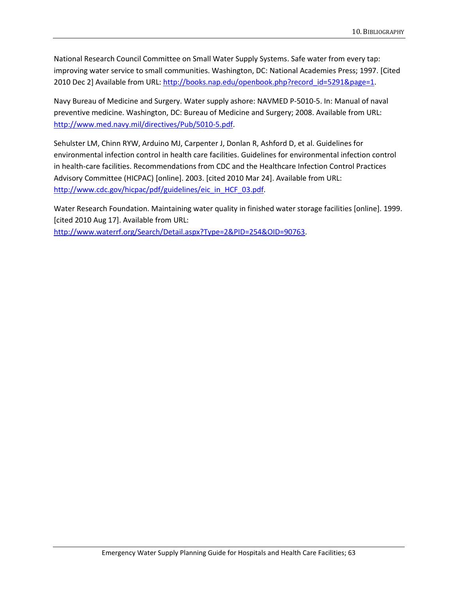National Research Council Committee on Small Water Supply Systems. Safe water from every tap: improving water service to small communities. Washington, DC: National Academies Press; 1997. [Cited 2010 Dec 2] Available from URL: [http://books.nap.edu/openbook.php?record\\_id=5291&page=1.](http://books.nap.edu/openbook.php?record_id=5291&page=1)

Navy Bureau of Medicine and Surgery. Water supply ashore: NAVMED P-5010-5. In: Manual of naval preventive medicine. Washington, DC: Bureau of Medicine and Surgery; 2008. Available from URL: [http://www.med.navy.mil/directives/Pub/5010-5.pdf.](http://www.med.navy.mil/directives/Pub/5010-5.pdf)

Sehulster LM, Chinn RYW, Arduino MJ, Carpenter J, Donlan R, Ashford D, et al. Guidelines for environmental infection control in health care facilities. Guidelines for environmental infection control in health-care facilities. Recommendations from CDC and the Healthcare Infection Control Practices Advisory Committee (HICPAC) [online]. 2003. [cited 2010 Mar 24]. Available from URL: [http://www.cdc.gov/hicpac/pdf/guidelines/eic\\_in\\_HCF\\_03.pdf.](http://www.cdc.gov/hicpac/pdf/guidelines/eic_in_HCF_03.pdf)

Water Research Foundation. Maintaining water quality in finished water storage facilities [online]. 1999. [cited 2010 Aug 17]. Available from URL: [http://www.waterrf.org/Search/Detail.aspx?Type=2&PID=254&OID=90763.](http://www.waterrf.org/Search/Detail.aspx?Type=2&PID=254&OID=90763)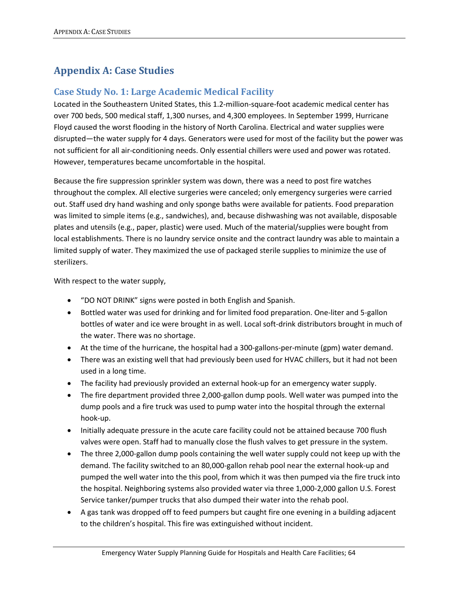# **Appendix A: Case Studies**

### **Case Study No. 1: Large Academic Medical Facility**

Located in the Southeastern United States, this 1.2-million-square-foot academic medical center has over 700 beds, 500 medical staff, 1,300 nurses, and 4,300 employees. In September 1999, Hurricane Floyd caused the worst flooding in the history of North Carolina. Electrical and water supplies were disrupted—the water supply for 4 days. Generators were used for most of the facility but the power was not sufficient for all air-conditioning needs. Only essential chillers were used and power was rotated. However, temperatures became uncomfortable in the hospital.

Because the fire suppression sprinkler system was down, there was a need to post fire watches throughout the complex. All elective surgeries were canceled; only emergency surgeries were carried out. Staff used dry hand washing and only sponge baths were available for patients. Food preparation was limited to simple items (e.g., sandwiches), and, because dishwashing was not available, disposable plates and utensils (e.g., paper, plastic) were used. Much of the material/supplies were bought from local establishments. There is no laundry service onsite and the contract laundry was able to maintain a limited supply of water. They maximized the use of packaged sterile supplies to minimize the use of sterilizers.

With respect to the water supply,

- "DO NOT DRINK" signs were posted in both English and Spanish.
- Bottled water was used for drinking and for limited food preparation. One-liter and 5-gallon bottles of water and ice were brought in as well. Local soft-drink distributors brought in much of the water. There was no shortage.
- At the time of the hurricane, the hospital had a 300-gallons-per-minute (gpm) water demand.
- There was an existing well that had previously been used for HVAC chillers, but it had not been used in a long time.
- The facility had previously provided an external hook-up for an emergency water supply.
- The fire department provided three 2,000-gallon dump pools. Well water was pumped into the dump pools and a fire truck was used to pump water into the hospital through the external hook-up.
- Initially adequate pressure in the acute care facility could not be attained because 700 flush valves were open. Staff had to manually close the flush valves to get pressure in the system.
- The three 2,000-gallon dump pools containing the well water supply could not keep up with the demand. The facility switched to an 80,000-gallon rehab pool near the external hook-up and pumped the well water into the this pool, from which it was then pumped via the fire truck into the hospital. Neighboring systems also provided water via three 1,000-2,000 gallon U.S. Forest Service tanker/pumper trucks that also dumped their water into the rehab pool.
- A gas tank was dropped off to feed pumpers but caught fire one evening in a building adjacent to the children's hospital. This fire was extinguished without incident.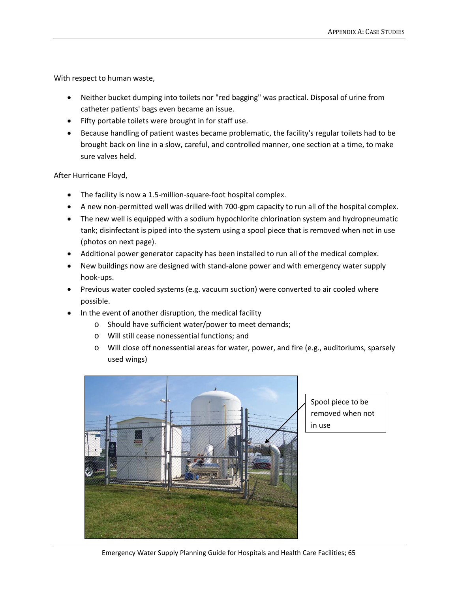With respect to human waste,

- Neither bucket dumping into toilets nor "red bagging" was practical. Disposal of urine from catheter patients' bags even became an issue.
- Fifty portable toilets were brought in for staff use.
- Because handling of patient wastes became problematic, the facility's regular toilets had to be brought back on line in a slow, careful, and controlled manner, one section at a time, to make sure valves held.

After Hurricane Floyd,

- The facility is now a 1.5-million-square-foot hospital complex.
- A new non-permitted well was drilled with 700-gpm capacity to run all of the hospital complex.
- The new well is equipped with a sodium hypochlorite chlorination system and hydropneumatic tank; disinfectant is piped into the system using a spool piece that is removed when not in use (photos on next page).
- Additional power generator capacity has been installed to run all of the medical complex.
- New buildings now are designed with stand-alone power and with emergency water supply hook-ups.
- Previous water cooled systems (e.g. vacuum suction) were converted to air cooled where possible.
- In the event of another disruption, the medical facility
	- o Should have sufficient water/power to meet demands;
	- o Will still cease nonessential functions; and
	- o Will close off nonessential areas for water, power, and fire (e.g., auditoriums, sparsely used wings)



Spool piece to be removed when not in use

Emergency Water Supply Planning Guide for Hospitals and Health Care Facilities; 65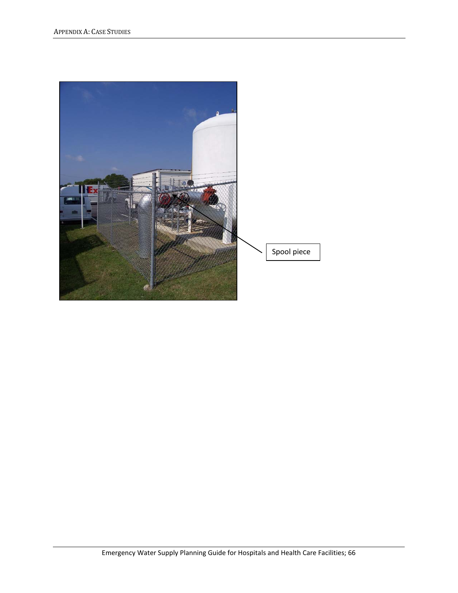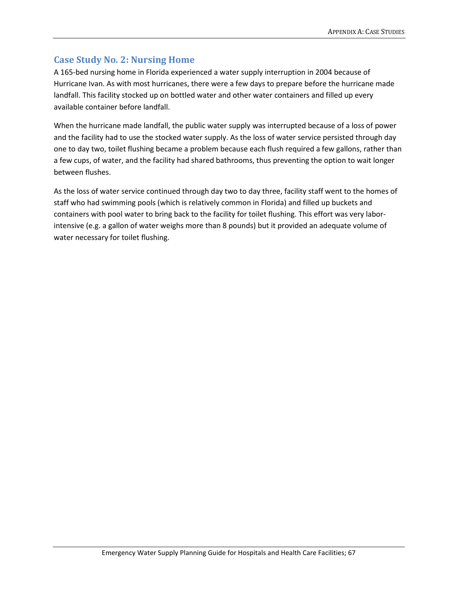## **Case Study No. 2: Nursing Home**

A 165-bed nursing home in Florida experienced a water supply interruption in 2004 because of Hurricane Ivan. As with most hurricanes, there were a few days to prepare before the hurricane made landfall. This facility stocked up on bottled water and other water containers and filled up every available container before landfall.

When the hurricane made landfall, the public water supply was interrupted because of a loss of power and the facility had to use the stocked water supply. As the loss of water service persisted through day one to day two, toilet flushing became a problem because each flush required a few gallons, rather than a few cups, of water, and the facility had shared bathrooms, thus preventing the option to wait longer between flushes.

As the loss of water service continued through day two to day three, facility staff went to the homes of staff who had swimming pools (which is relatively common in Florida) and filled up buckets and containers with pool water to bring back to the facility for toilet flushing. This effort was very laborintensive (e.g. a gallon of water weighs more than 8 pounds) but it provided an adequate volume of water necessary for toilet flushing.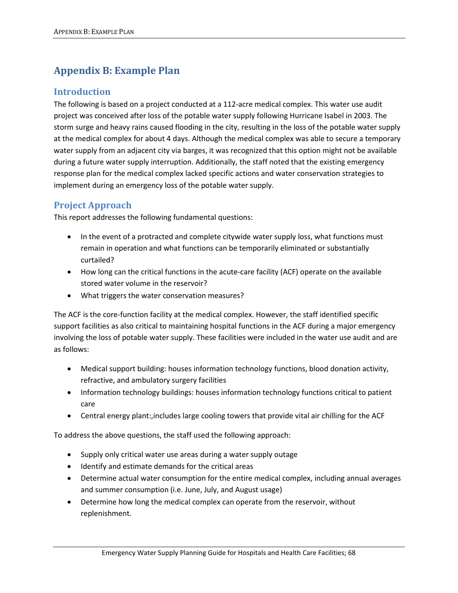# **Appendix B: Example Plan**

### **Introduction**

The following is based on a project conducted at a 112-acre medical complex. This water use audit project was conceived after loss of the potable water supply following Hurricane Isabel in 2003. The storm surge and heavy rains caused flooding in the city, resulting in the loss of the potable water supply at the medical complex for about 4 days. Although the medical complex was able to secure a temporary water supply from an adjacent city via barges, it was recognized that this option might not be available during a future water supply interruption. Additionally, the staff noted that the existing emergency response plan for the medical complex lacked specific actions and water conservation strategies to implement during an emergency loss of the potable water supply.

### **Project Approach**

This report addresses the following fundamental questions:

- In the event of a protracted and complete citywide water supply loss, what functions must remain in operation and what functions can be temporarily eliminated or substantially curtailed?
- How long can the critical functions in the acute-care facility (ACF) operate on the available stored water volume in the reservoir?
- What triggers the water conservation measures?

The ACF is the core-function facility at the medical complex. However, the staff identified specific support facilities as also critical to maintaining hospital functions in the ACF during a major emergency involving the loss of potable water supply. These facilities were included in the water use audit and are as follows:

- Medical support building: houses information technology functions, blood donation activity, refractive, and ambulatory surgery facilities
- Information technology buildings: houses information technology functions critical to patient care
- Central energy plant:,includes large cooling towers that provide vital air chilling for the ACF

To address the above questions, the staff used the following approach:

- Supply only critical water use areas during a water supply outage
- Identify and estimate demands for the critical areas
- Determine actual water consumption for the entire medical complex, including annual averages and summer consumption (i.e. June, July, and August usage)
- Determine how long the medical complex can operate from the reservoir, without replenishment.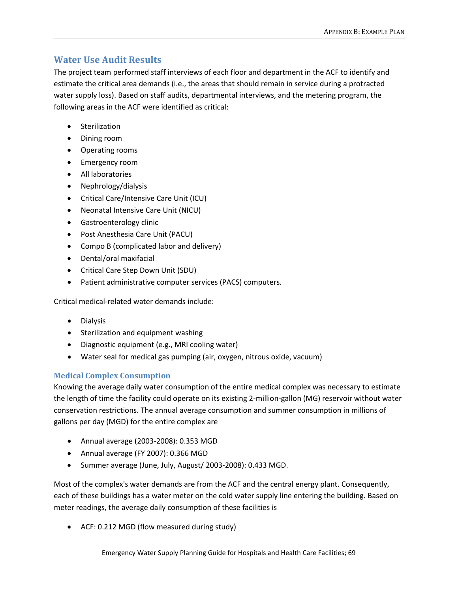### **Water Use Audit Results**

The project team performed staff interviews of each floor and department in the ACF to identify and estimate the critical area demands (i.e., the areas that should remain in service during a protracted water supply loss). Based on staff audits, departmental interviews, and the metering program, the following areas in the ACF were identified as critical:

- Sterilization
- Dining room
- Operating rooms
- Emergency room
- All laboratories
- Nephrology/dialysis
- Critical Care/Intensive Care Unit (ICU)
- Neonatal Intensive Care Unit (NICU)
- Gastroenterology clinic
- Post Anesthesia Care Unit (PACU)
- Compo B (complicated labor and delivery)
- Dental/oral maxifacial
- Critical Care Step Down Unit (SDU)
- Patient administrative computer services (PACS) computers.

Critical medical-related water demands include:

- Dialysis
- Sterilization and equipment washing
- Diagnostic equipment (e.g., MRI cooling water)
- Water seal for medical gas pumping (air, oxygen, nitrous oxide, vacuum)

#### **Medical Complex Consumption**

Knowing the average daily water consumption of the entire medical complex was necessary to estimate the length of time the facility could operate on its existing 2-million-gallon (MG) reservoir without water conservation restrictions. The annual average consumption and summer consumption in millions of gallons per day (MGD) for the entire complex are

- Annual average (2003-2008): 0.353 MGD
- Annual average (FY 2007): 0.366 MGD
- Summer average (June, July, August/ 2003-2008): 0.433 MGD.

Most of the complex's water demands are from the ACF and the central energy plant. Consequently, each of these buildings has a water meter on the cold water supply line entering the building. Based on meter readings, the average daily consumption of these facilities is

• ACF: 0.212 MGD (flow measured during study)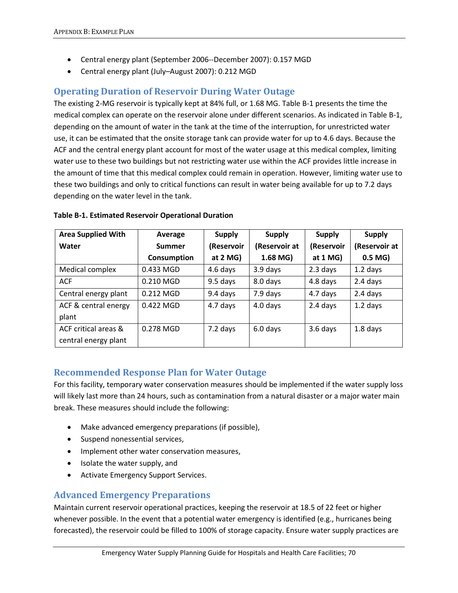- Central energy plant (September 2006--December 2007): 0.157 MGD
- Central energy plant (July–August 2007): 0.212 MGD

### **Operating Duration of Reservoir During Water Outage**

The existing 2-MG reservoir is typically kept at 84% full, or 1.68 MG. Table B-1 presents the time the medical complex can operate on the reservoir alone under different scenarios. As indicated in Table B-1, depending on the amount of water in the tank at the time of the interruption, for unrestricted water use, it can be estimated that the onsite storage tank can provide water for up to 4.6 days. Because the ACF and the central energy plant account for most of the water usage at this medical complex, limiting water use to these two buildings but not restricting water use within the ACF provides little increase in the amount of time that this medical complex could remain in operation. However, limiting water use to these two buildings and only to critical functions can result in water being available for up to 7.2 days depending on the water level in the tank.

| <b>Area Supplied With</b> | Average       | <b>Supply</b> | <b>Supply</b> | <b>Supply</b> | <b>Supply</b> |
|---------------------------|---------------|---------------|---------------|---------------|---------------|
| Water                     | <b>Summer</b> | (Reservoir    | (Reservoir at | (Reservoir    | (Reservoir at |
|                           | Consumption   | at $2$ MG)    | 1.68 MG)      | at $1$ MG)    | $0.5$ MG)     |
| Medical complex           | 0.433 MGD     | 4.6 days      | 3.9 days      | 2.3 days      | $1.2$ days    |
| <b>ACF</b>                | $0.210$ MGD   | 9.5 days      | 8.0 days      | 4.8 days      | 2.4 days      |
| Central energy plant      | 0.212 MGD     | 9.4 days      | 7.9 days      | 4.7 days      | 2.4 days      |
| ACF & central energy      | 0.422 MGD     | 4.7 days      | 4.0 days      | 2.4 days      | $1.2$ days    |
| plant                     |               |               |               |               |               |
| ACF critical areas &      | 0.278 MGD     | 7.2 days      | 6.0 days      | 3.6 days      | 1.8 days      |
| central energy plant      |               |               |               |               |               |

#### **Table B-1. Estimated Reservoir Operational Duration**

### **Recommended Response Plan for Water Outage**

For this facility, temporary water conservation measures should be implemented if the water supply loss will likely last more than 24 hours, such as contamination from a natural disaster or a major water main break. These measures should include the following:

- Make advanced emergency preparations (if possible),
- Suspend nonessential services,
- Implement other water conservation measures,
- Isolate the water supply, and
- Activate Emergency Support Services.

### **Advanced Emergency Preparations**

Maintain current reservoir operational practices, keeping the reservoir at 18.5 of 22 feet or higher whenever possible. In the event that a potential water emergency is identified (e.g., hurricanes being forecasted), the reservoir could be filled to 100% of storage capacity. Ensure water supply practices are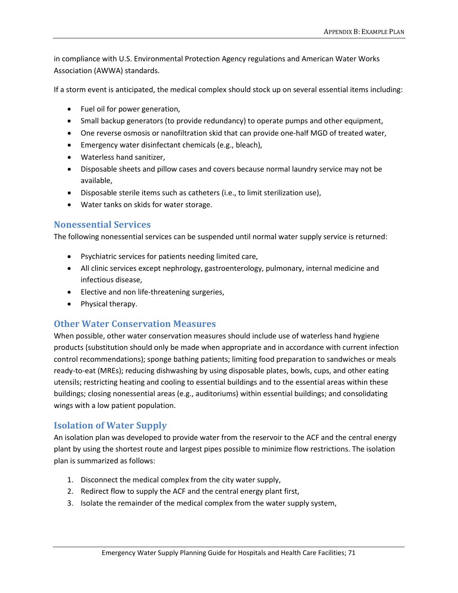in compliance with U.S. Environmental Protection Agency regulations and American Water Works Association (AWWA) standards.

If a storm event is anticipated, the medical complex should stock up on several essential items including:

- Fuel oil for power generation,
- Small backup generators (to provide redundancy) to operate pumps and other equipment,
- One reverse osmosis or nanofiltration skid that can provide one-half MGD of treated water,
- Emergency water disinfectant chemicals (e.g., bleach),
- Waterless hand sanitizer,
- Disposable sheets and pillow cases and covers because normal laundry service may not be available,
- Disposable sterile items such as catheters (i.e., to limit sterilization use),
- Water tanks on skids for water storage.

### **Nonessential Services**

The following nonessential services can be suspended until normal water supply service is returned:

- Psychiatric services for patients needing limited care,
- All clinic services except nephrology, gastroenterology, pulmonary, internal medicine and infectious disease,
- Elective and non life-threatening surgeries,
- Physical therapy.

### **Other Water Conservation Measures**

When possible, other water conservation measures should include use of waterless hand hygiene products (substitution should only be made when appropriate and in accordance with current infection control recommendations); sponge bathing patients; limiting food preparation to sandwiches or meals ready-to-eat (MREs); reducing dishwashing by using disposable plates, bowls, cups, and other eating utensils; restricting heating and cooling to essential buildings and to the essential areas within these buildings; closing nonessential areas (e.g., auditoriums) within essential buildings; and consolidating wings with a low patient population.

### **Isolation of Water Supply**

An isolation plan was developed to provide water from the reservoir to the ACF and the central energy plant by using the shortest route and largest pipes possible to minimize flow restrictions. The isolation plan is summarized as follows:

- 1. Disconnect the medical complex from the city water supply,
- 2. Redirect flow to supply the ACF and the central energy plant first,
- 3. Isolate the remainder of the medical complex from the water supply system,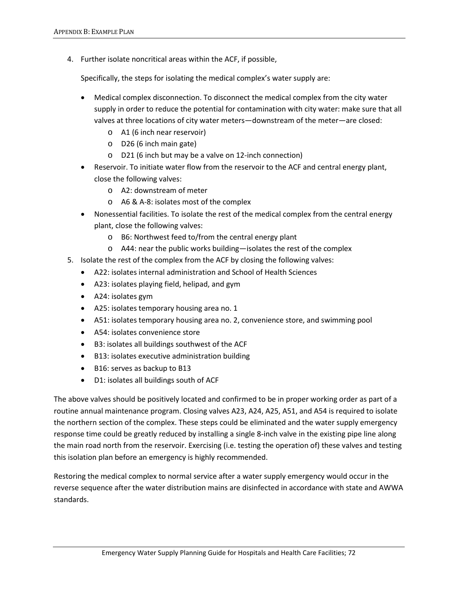4. Further isolate noncritical areas within the ACF, if possible,

Specifically, the steps for isolating the medical complex's water supply are:

- Medical complex disconnection. To disconnect the medical complex from the city water supply in order to reduce the potential for contamination with city water: make sure that all valves at three locations of city water meters—downstream of the meter—are closed:
	- o A1 (6 inch near reservoir)
	- o D26 (6 inch main gate)
	- o D21 (6 inch but may be a valve on 12-inch connection)
- Reservoir. To initiate water flow from the reservoir to the ACF and central energy plant, close the following valves:
	- o A2: downstream of meter
	- o A6 & A-8: isolates most of the complex
- Nonessential facilities. To isolate the rest of the medical complex from the central energy plant, close the following valves:
	- o B6: Northwest feed to/from the central energy plant
	- o A44: near the public works building—isolates the rest of the complex
- 5. Isolate the rest of the complex from the ACF by closing the following valves:
	- A22: isolates internal administration and School of Health Sciences
	- A23: isolates playing field, helipad, and gym
	- A24: isolates gym
	- A25: isolates temporary housing area no. 1
	- A51: isolates temporary housing area no. 2, convenience store, and swimming pool
	- A54: isolates convenience store
	- B3: isolates all buildings southwest of the ACF
	- B13: isolates executive administration building
	- B16: serves as backup to B13
	- D1: isolates all buildings south of ACF

The above valves should be positively located and confirmed to be in proper working order as part of a routine annual maintenance program. Closing valves A23, A24, A25, A51, and A54 is required to isolate the northern section of the complex. These steps could be eliminated and the water supply emergency response time could be greatly reduced by installing a single 8-inch valve in the existing pipe line along the main road north from the reservoir. Exercising (i.e. testing the operation of) these valves and testing this isolation plan before an emergency is highly recommended.

Restoring the medical complex to normal service after a water supply emergency would occur in the reverse sequence after the water distribution mains are disinfected in accordance with state and AWWA standards.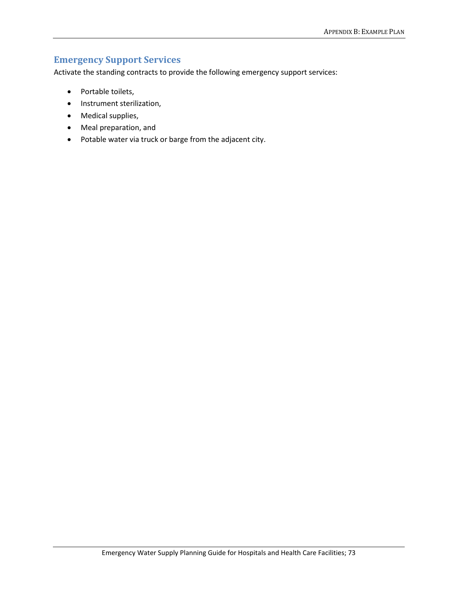## **Emergency Support Services**

Activate the standing contracts to provide the following emergency support services:

- Portable toilets,
- Instrument sterilization,
- Medical supplies,
- Meal preparation, and
- Potable water via truck or barge from the adjacent city.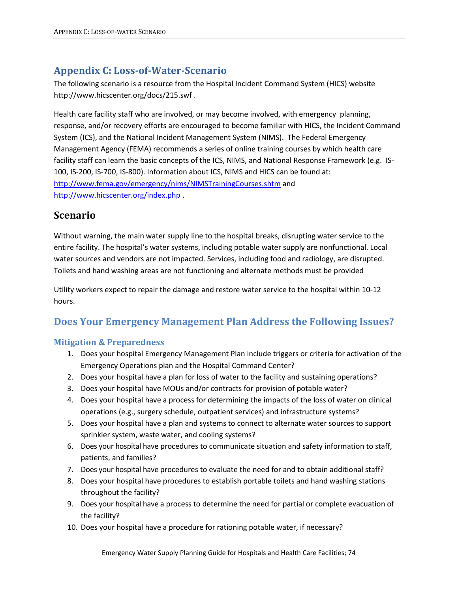# **Appendix C: Loss-of-Water-Scenario**

The following scenario is a resource from the Hospital Incident Command System (HICS) website <http://www.hicscenter.org/docs/215.swf> .

Health care facility staff who are involved, or may become involved, with emergency planning, response, and/or recovery efforts are encouraged to become familiar with HICS, the Incident Command System (ICS), and the National Incident Management System (NIMS). The Federal Emergency Management Agency (FEMA) recommends a series of online training courses by which health care facility staff can learn the basic concepts of the ICS, NIMS, and National Response Framework (e.g. IS-100, IS-200, IS-700, IS-800). Information about ICS, NIMS and HICS can be found at: <http://www.fema.gov/emergency/nims/NIMSTrainingCourses.shtm> and <http://www.hicscenter.org/index.php> .

## **Scenario**

Without warning, the main water supply line to the hospital breaks, disrupting water service to the entire facility. The hospital's water systems, including potable water supply are nonfunctional. Local water sources and vendors are not impacted. Services, including food and radiology, are disrupted. Toilets and hand washing areas are not functioning and alternate methods must be provided

Utility workers expect to repair the damage and restore water service to the hospital within 10-12 hours.

## **Does Your Emergency Management Plan Address the Following Issues?**

### **Mitigation & Preparedness**

- 1. Does your hospital Emergency Management Plan include triggers or criteria for activation of the Emergency Operations plan and the Hospital Command Center?
- 2. Does your hospital have a plan for loss of water to the facility and sustaining operations?
- 3. Does your hospital have MOUs and/or contracts for provision of potable water?
- 4. Does your hospital have a process for determining the impacts of the loss of water on clinical operations (e.g., surgery schedule, outpatient services) and infrastructure systems?
- 5. Does your hospital have a plan and systems to connect to alternate water sources to support sprinkler system, waste water, and cooling systems?
- 6. Does your hospital have procedures to communicate situation and safety information to staff, patients, and families?
- 7. Does your hospital have procedures to evaluate the need for and to obtain additional staff?
- 8. Does your hospital have procedures to establish portable toilets and hand washing stations throughout the facility?
- 9. Does your hospital have a process to determine the need for partial or complete evacuation of the facility?
- 10. Does your hospital have a procedure for rationing potable water, if necessary?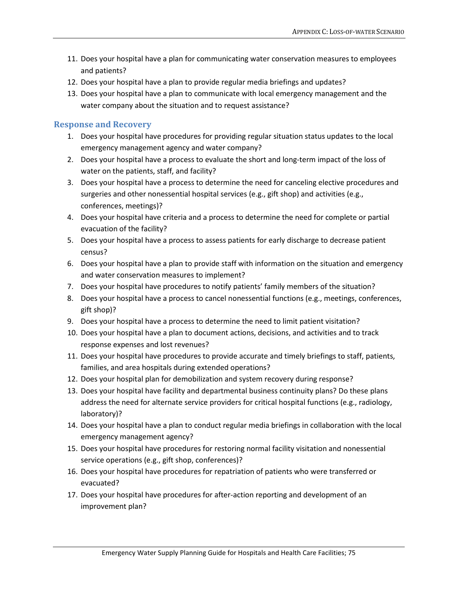- 11. Does your hospital have a plan for communicating water conservation measures to employees and patients?
- 12. Does your hospital have a plan to provide regular media briefings and updates?
- 13. Does your hospital have a plan to communicate with local emergency management and the water company about the situation and to request assistance?

#### **Response and Recovery**

- 1. Does your hospital have procedures for providing regular situation status updates to the local emergency management agency and water company?
- 2. Does your hospital have a process to evaluate the short and long-term impact of the loss of water on the patients, staff, and facility?
- 3. Does your hospital have a process to determine the need for canceling elective procedures and surgeries and other nonessential hospital services (e.g., gift shop) and activities (e.g., conferences, meetings)?
- 4. Does your hospital have criteria and a process to determine the need for complete or partial evacuation of the facility?
- 5. Does your hospital have a process to assess patients for early discharge to decrease patient census?
- 6. Does your hospital have a plan to provide staff with information on the situation and emergency and water conservation measures to implement?
- 7. Does your hospital have procedures to notify patients' family members of the situation?
- 8. Does your hospital have a process to cancel nonessential functions (e.g., meetings, conferences, gift shop)?
- 9. Does your hospital have a process to determine the need to limit patient visitation?
- 10. Does your hospital have a plan to document actions, decisions, and activities and to track response expenses and lost revenues?
- 11. Does your hospital have procedures to provide accurate and timely briefings to staff, patients, families, and area hospitals during extended operations?
- 12. Does your hospital plan for demobilization and system recovery during response?
- 13. Does your hospital have facility and departmental business continuity plans? Do these plans address the need for alternate service providers for critical hospital functions (e.g., radiology, laboratory)?
- 14. Does your hospital have a plan to conduct regular media briefings in collaboration with the local emergency management agency?
- 15. Does your hospital have procedures for restoring normal facility visitation and nonessential service operations (e.g., gift shop, conferences)?
- 16. Does your hospital have procedures for repatriation of patients who were transferred or evacuated?
- 17. Does your hospital have procedures for after-action reporting and development of an improvement plan?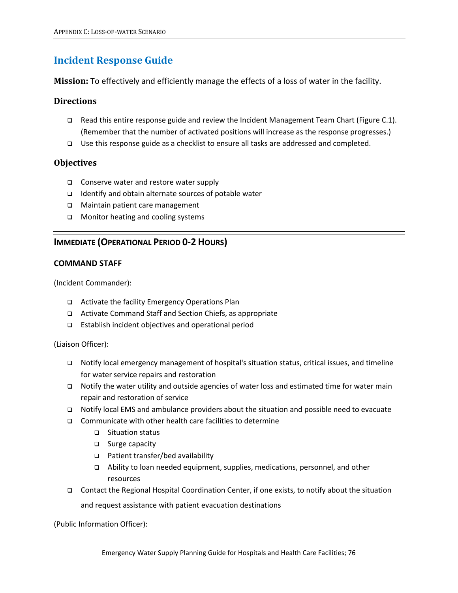## **Incident Response Guide**

**Mission:** To effectively and efficiently manage the effects of a loss of water in the facility.

### **Directions**

- $\Box$  Read this entire response guide and review the Incident Management Team Chart (Figure C.1). (Remember that the number of activated positions will increase as the response progresses.)
- $\Box$  Use this response guide as a checklist to ensure all tasks are addressed and completed.

### **Objectives**

- Conserve water and restore water supply
- $\Box$  Identify and obtain alternate sources of potable water
- Maintain patient care management
- □ Monitor heating and cooling systems

### **IMMEDIATE (OPERATIONAL PERIOD 0-2 HOURS)**

#### **COMMAND STAFF**

(Incident Commander):

- Activate the facility Emergency Operations Plan
- Activate Command Staff and Section Chiefs, as appropriate
- Establish incident objectives and operational period

(Liaison Officer):

- $\Box$  Notify local emergency management of hospital's situation status, critical issues, and timeline for water service repairs and restoration
- $\Box$  Notify the water utility and outside agencies of water loss and estimated time for water main repair and restoration of service
- Notify local EMS and ambulance providers about the situation and possible need to evacuate
- $\Box$  Communicate with other health care facilities to determine
	- □ Situation status
	- □ Surge capacity
	- Patient transfer/bed availability
	- Ability to loan needed equipment, supplies, medications, personnel, and other resources
- Contact the Regional Hospital Coordination Center, if one exists, to notify about the situation

and request assistance with patient evacuation destinations

(Public Information Officer):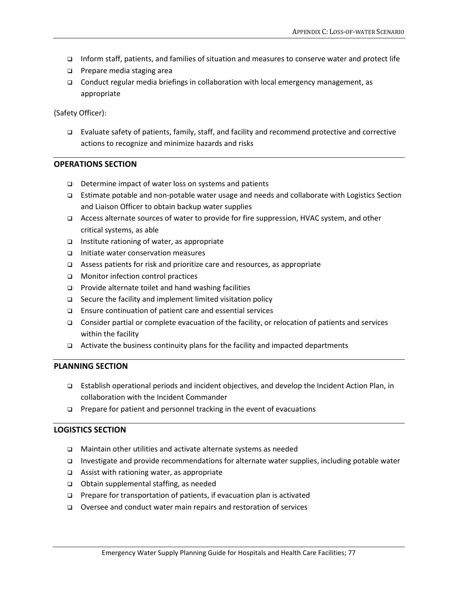- Inform staff, patients, and families of situation and measures to conserve water and protect life
- **D** Prepare media staging area
- Conduct regular media briefings in collaboration with local emergency management, as appropriate

(Safety Officer):

 Evaluate safety of patients, family, staff, and facility and recommend protective and corrective actions to recognize and minimize hazards and risks

#### **OPERATIONS SECTION**

- □ Determine impact of water loss on systems and patients
- Estimate potable and non-potable water usage and needs and collaborate with Logistics Section and Liaison Officer to obtain backup water supplies
- Access alternate sources of water to provide for fire suppression, HVAC system, and other critical systems, as able
- $\Box$  Institute rationing of water, as appropriate
- $\Box$  Initiate water conservation measures
- $\Box$  Assess patients for risk and prioritize care and resources, as appropriate
- **INONITY MONITOR CONTROL DIMINIST DETAIL**
- □ Provide alternate toilet and hand washing facilities
- □ Secure the facility and implement limited visitation policy
- Ensure continuation of patient care and essential services
- $\Box$  Consider partial or complete evacuation of the facility, or relocation of patients and services within the facility
- $\Box$  Activate the business continuity plans for the facility and impacted departments

#### **PLANNING SECTION**

- Establish operational periods and incident objectives, and develop the Incident Action Plan, in collaboration with the Incident Commander
- $\Box$  Prepare for patient and personnel tracking in the event of evacuations

#### **LOGISTICS SECTION**

- Maintain other utilities and activate alternate systems as needed
- Investigate and provide recommendations for alternate water supplies, including potable water
- $\Box$  Assist with rationing water, as appropriate
- Obtain supplemental staffing, as needed
- $\Box$  Prepare for transportation of patients, if evacuation plan is activated
- Oversee and conduct water main repairs and restoration of services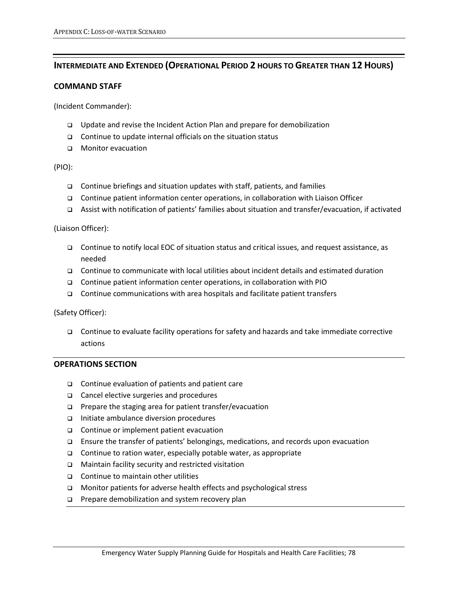### **INTERMEDIATE AND EXTENDED (OPERATIONAL PERIOD 2 HOURS TO GREATER THAN 12 HOURS)**

#### **COMMAND STAFF**

(Incident Commander):

- Update and revise the Incident Action Plan and prepare for demobilization
- $\Box$  Continue to update internal officials on the situation status
- **D** Monitor evacuation

#### (PIO):

- $\Box$  Continue briefings and situation updates with staff, patients, and families
- Continue patient information center operations, in collaboration with Liaison Officer
- Assist with notification of patients' families about situation and transfer/evacuation, if activated

(Liaison Officer):

- Continue to notify local EOC of situation status and critical issues, and request assistance, as needed
- Continue to communicate with local utilities about incident details and estimated duration
- Continue patient information center operations, in collaboration with PIO
- $\Box$  Continue communications with area hospitals and facilitate patient transfers

(Safety Officer):

 $\Box$  Continue to evaluate facility operations for safety and hazards and take immediate corrective actions

#### **OPERATIONS SECTION**

- $\Box$  Continue evaluation of patients and patient care
- □ Cancel elective surgeries and procedures
- □ Prepare the staging area for patient transfer/evacuation
- Initiate ambulance diversion procedures
- □ Continue or implement patient evacuation
- Ensure the transfer of patients' belongings, medications, and records upon evacuation
- □ Continue to ration water, especially potable water, as appropriate
- Maintain facility security and restricted visitation
- $\Box$  Continue to maintain other utilities
- □ Monitor patients for adverse health effects and psychological stress
- $\Box$  Prepare demobilization and system recovery plan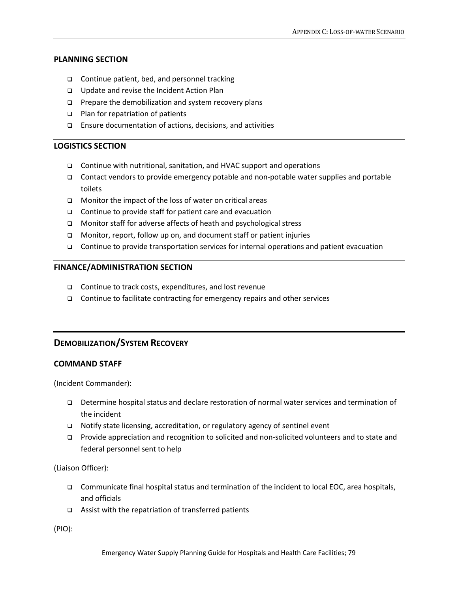#### **PLANNING SECTION**

- $\Box$  Continue patient, bed, and personnel tracking
- □ Update and revise the Incident Action Plan
- □ Prepare the demobilization and system recovery plans
- $\Box$  Plan for repatriation of patients
- Ensure documentation of actions, decisions, and activities

#### **LOGISTICS SECTION**

- □ Continue with nutritional, sanitation, and HVAC support and operations
- Contact vendors to provide emergency potable and non-potable water supplies and portable toilets
- $\Box$  Monitor the impact of the loss of water on critical areas
- □ Continue to provide staff for patient care and evacuation
- □ Monitor staff for adverse affects of heath and psychological stress
- □ Monitor, report, follow up on, and document staff or patient injuries
- $\Box$  Continue to provide transportation services for internal operations and patient evacuation

#### **FINANCE/ADMINISTRATION SECTION**

- □ Continue to track costs, expenditures, and lost revenue
- $\Box$  Continue to facilitate contracting for emergency repairs and other services

### **DEMOBILIZATION/SYSTEM RECOVERY**

#### **COMMAND STAFF**

(Incident Commander):

- Determine hospital status and declare restoration of normal water services and termination of the incident
- □ Notify state licensing, accreditation, or regulatory agency of sentinel event
- Provide appreciation and recognition to solicited and non-solicited volunteers and to state and federal personnel sent to help

(Liaison Officer):

- Communicate final hospital status and termination of the incident to local EOC, area hospitals, and officials
- $\Box$  Assist with the repatriation of transferred patients

(PIO):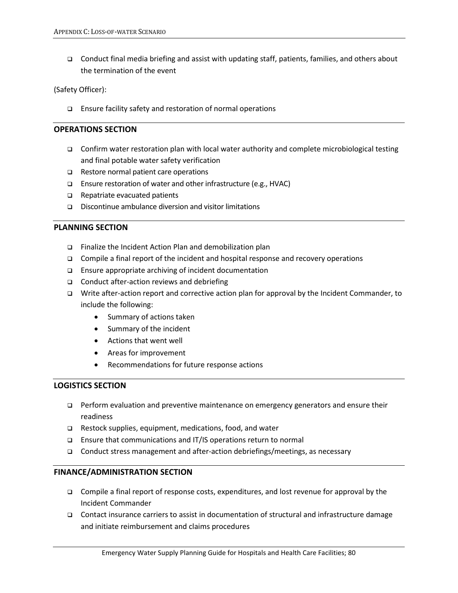Conduct final media briefing and assist with updating staff, patients, families, and others about the termination of the event

(Safety Officer):

□ Ensure facility safety and restoration of normal operations

#### **OPERATIONS SECTION**

- Confirm water restoration plan with local water authority and complete microbiological testing and final potable water safety verification
- □ Restore normal patient care operations
- Ensure restoration of water and other infrastructure (e.g., HVAC)
- $\Box$  Repatriate evacuated patients
- Discontinue ambulance diversion and visitor limitations

#### **PLANNING SECTION**

- □ Finalize the Incident Action Plan and demobilization plan
- $\Box$  Compile a final report of the incident and hospital response and recovery operations
- $\Box$  Ensure appropriate archiving of incident documentation
- $\Box$  Conduct after-action reviews and debriefing
- Write after-action report and corrective action plan for approval by the Incident Commander, to include the following:
	- Summary of actions taken
	- Summary of the incident
	- Actions that went well
	- Areas for improvement
	- Recommendations for future response actions

#### **LOGISTICS SECTION**

- $\Box$  Perform evaluation and preventive maintenance on emergency generators and ensure their readiness
- $\Box$  Restock supplies, equipment, medications, food, and water
- □ Ensure that communications and IT/IS operations return to normal
- Conduct stress management and after-action debriefings/meetings, as necessary

#### **FINANCE/ADMINISTRATION SECTION**

- $\Box$  Compile a final report of response costs, expenditures, and lost revenue for approval by the Incident Commander
- Contact insurance carriers to assist in documentation of structural and infrastructure damage and initiate reimbursement and claims procedures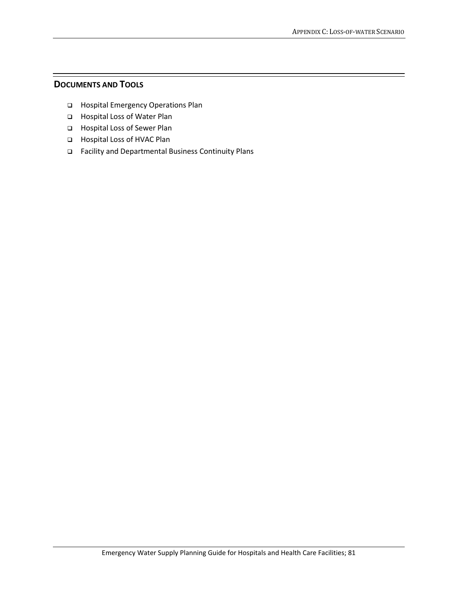### **DOCUMENTS AND TOOLS**

- Hospital Emergency Operations Plan
- Hospital Loss of Water Plan
- Hospital Loss of Sewer Plan
- □ Hospital Loss of HVAC Plan
- Facility and Departmental Business Continuity Plans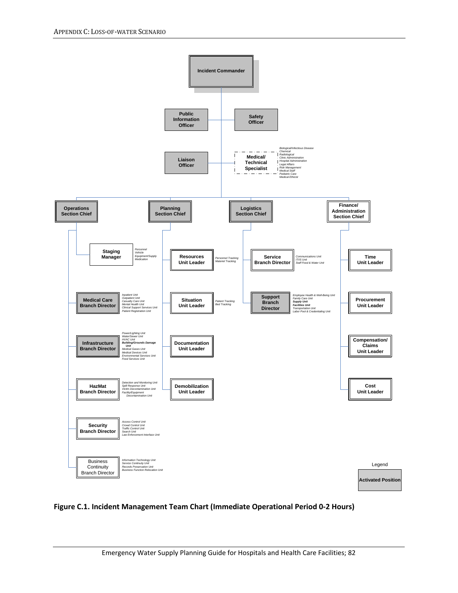

#### **Figure C.1. Incident Management Team Chart (Immediate Operational Period 0-2 Hours)**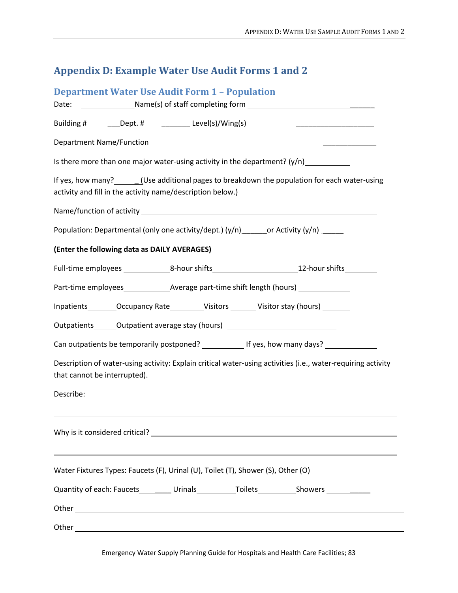# **Appendix D: Example Water Use Audit Forms 1 and 2**

| <b>Department Water Use Audit Form 1 - Population</b>                                                                                                         |
|---------------------------------------------------------------------------------------------------------------------------------------------------------------|
|                                                                                                                                                               |
| Building #__________Dept. #_______________Level(s)/Wing(s) _____________________                                                                              |
|                                                                                                                                                               |
| Is there more than one major water-using activity in the department? $(y/n)$                                                                                  |
| If yes, how many? _______(Use additional pages to breakdown the population for each water-using<br>activity and fill in the activity name/description below.) |
|                                                                                                                                                               |
| Population: Departmental (only one activity/dept.) (y/n) _______ or Activity (y/n) ______                                                                     |
| (Enter the following data as DAILY AVERAGES)                                                                                                                  |
|                                                                                                                                                               |
|                                                                                                                                                               |
| Inpatients_________Occupancy Rate___________Visitors ________ Visitor stay (hours) ________                                                                   |
| Outpatients_______Outpatient average stay (hours) ______________________________                                                                              |
| Can outpatients be temporarily postponed? _______________ If yes, how many days? __________________                                                           |
| Description of water-using activity: Explain critical water-using activities (i.e., water-requiring activity<br>that cannot be interrupted).                  |
|                                                                                                                                                               |
|                                                                                                                                                               |
|                                                                                                                                                               |
|                                                                                                                                                               |
| Water Fixtures Types: Faucets (F), Urinal (U), Toilet (T), Shower (S), Other (O)                                                                              |
| Quantity of each: Faucets___________Urinals____________Toilets____________Showers _________________                                                           |
|                                                                                                                                                               |
|                                                                                                                                                               |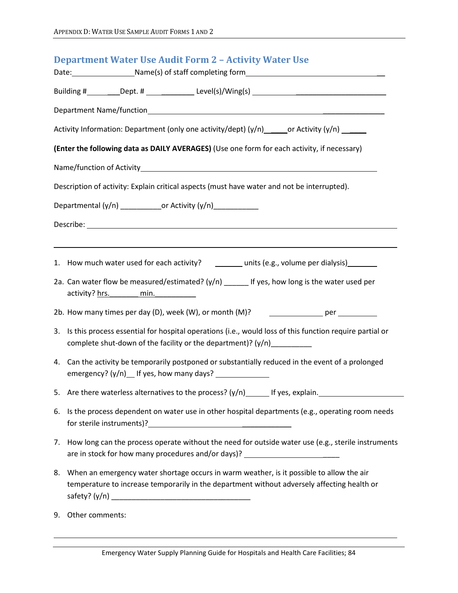|                                                                                                 | <b>Department Water Use Audit Form 2 - Activity Water Use</b>                                                                                                                              |  |  |  |  |
|-------------------------------------------------------------------------------------------------|--------------------------------------------------------------------------------------------------------------------------------------------------------------------------------------------|--|--|--|--|
|                                                                                                 | Building #_________Dept. # _________________Level(s)/Wing(s) ___________________                                                                                                           |  |  |  |  |
|                                                                                                 |                                                                                                                                                                                            |  |  |  |  |
| Activity Information: Department (only one activity/dept) (y/n) ______ or Activity (y/n) ______ |                                                                                                                                                                                            |  |  |  |  |
| (Enter the following data as DAILY AVERAGES) (Use one form for each activity, if necessary)     |                                                                                                                                                                                            |  |  |  |  |
|                                                                                                 |                                                                                                                                                                                            |  |  |  |  |
| Description of activity: Explain critical aspects (must have water and not be interrupted).     |                                                                                                                                                                                            |  |  |  |  |
| Departmental (y/n) ______________or Activity (y/n) ____________                                 |                                                                                                                                                                                            |  |  |  |  |
|                                                                                                 |                                                                                                                                                                                            |  |  |  |  |
|                                                                                                 | ,我们也不会有一个人的人,我们也不会有一个人的人,我们也不会有一个人的人,我们也不会有一个人的人,我们也不会有一个人的人。""我们的人,我们也不会有一个人的人,我<br>1. How much water used for each activity? _______ units (e.g., volume per dialysis)_______            |  |  |  |  |
|                                                                                                 | 2a. Can water flow be measured/estimated? $(y/n)$ ______ If yes, how long is the water used per<br>activity? hrs. min.                                                                     |  |  |  |  |
|                                                                                                 | 2b. How many times per day (D), week (W), or month (M)? __________________ per _________                                                                                                   |  |  |  |  |
| 3.                                                                                              | Is this process essential for hospital operations (i.e., would loss of this function require partial or<br>complete shut-down of the facility or the department)? (y/n)__________          |  |  |  |  |
|                                                                                                 | 4. Can the activity be temporarily postponed or substantially reduced in the event of a prolonged                                                                                          |  |  |  |  |
|                                                                                                 | 5. Are there waterless alternatives to the process? (y/n) _______ If yes, explain. ___________________________                                                                             |  |  |  |  |
| 6.                                                                                              | Is the process dependent on water use in other hospital departments (e.g., operating room needs                                                                                            |  |  |  |  |
|                                                                                                 | 7. How long can the process operate without the need for outside water use (e.g., sterile instruments<br>are in stock for how many procedures and/or days)? _____________________________  |  |  |  |  |
|                                                                                                 | 8. When an emergency water shortage occurs in warm weather, is it possible to allow the air<br>temperature to increase temporarily in the department without adversely affecting health or |  |  |  |  |
| 9.                                                                                              | Other comments:                                                                                                                                                                            |  |  |  |  |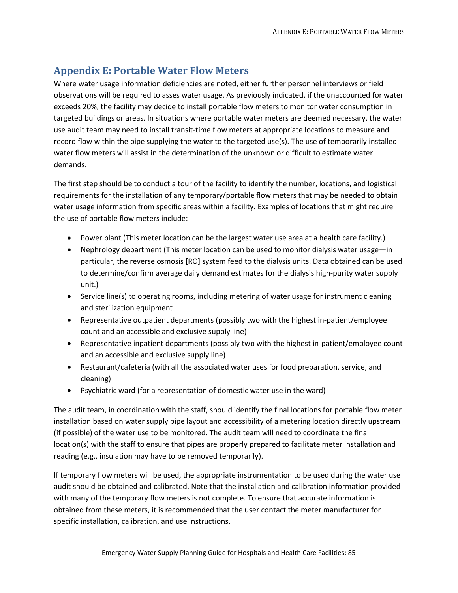# **Appendix E: Portable Water Flow Meters**

Where water usage information deficiencies are noted, either further personnel interviews or field observations will be required to asses water usage. As previously indicated, if the unaccounted for water exceeds 20%, the facility may decide to install portable flow meters to monitor water consumption in targeted buildings or areas. In situations where portable water meters are deemed necessary, the water use audit team may need to install transit-time flow meters at appropriate locations to measure and record flow within the pipe supplying the water to the targeted use(s). The use of temporarily installed water flow meters will assist in the determination of the unknown or difficult to estimate water demands.

The first step should be to conduct a tour of the facility to identify the number, locations, and logistical requirements for the installation of any temporary/portable flow meters that may be needed to obtain water usage information from specific areas within a facility. Examples of locations that might require the use of portable flow meters include:

- Power plant (This meter location can be the largest water use area at a health care facility.)
- Nephrology department (This meter location can be used to monitor dialysis water usage—in particular, the reverse osmosis [RO] system feed to the dialysis units. Data obtained can be used to determine/confirm average daily demand estimates for the dialysis high-purity water supply unit.)
- Service line(s) to operating rooms, including metering of water usage for instrument cleaning and sterilization equipment
- Representative outpatient departments (possibly two with the highest in-patient/employee count and an accessible and exclusive supply line)
- Representative inpatient departments (possibly two with the highest in-patient/employee count and an accessible and exclusive supply line)
- Restaurant/cafeteria (with all the associated water uses for food preparation, service, and cleaning)
- Psychiatric ward (for a representation of domestic water use in the ward)

The audit team, in coordination with the staff, should identify the final locations for portable flow meter installation based on water supply pipe layout and accessibility of a metering location directly upstream (if possible) of the water use to be monitored. The audit team will need to coordinate the final location(s) with the staff to ensure that pipes are properly prepared to facilitate meter installation and reading (e.g., insulation may have to be removed temporarily).

If temporary flow meters will be used, the appropriate instrumentation to be used during the water use audit should be obtained and calibrated. Note that the installation and calibration information provided with many of the temporary flow meters is not complete. To ensure that accurate information is obtained from these meters, it is recommended that the user contact the meter manufacturer for specific installation, calibration, and use instructions.